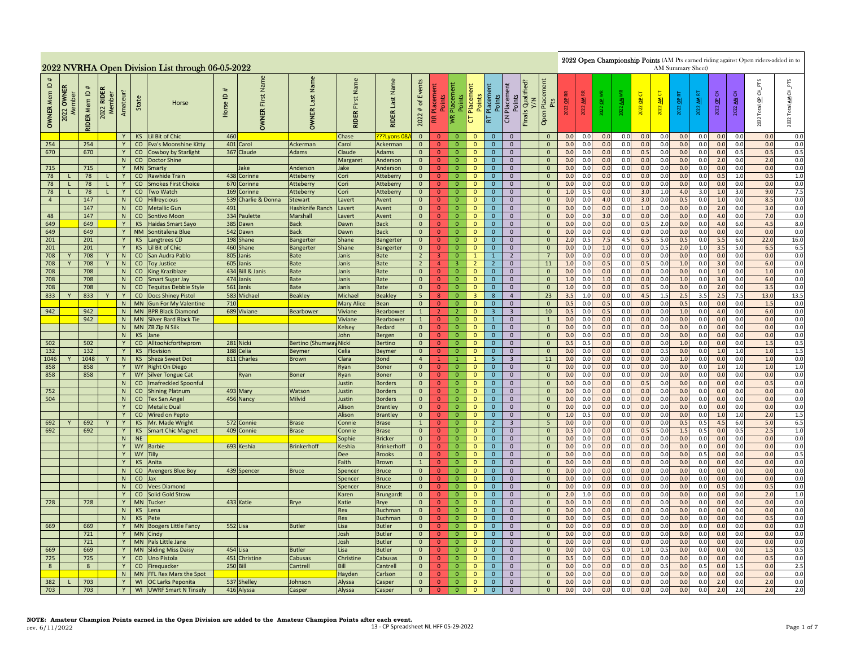|                                              |               |                         |                                |                |                        | 2022 NVRHA Open Division List through 06-05-2022 |                                     |                               |                                  |                               |                                    |                                          |                                  |                                     |                                                |                                        |                                  |                                                     |                 |                              |            |            |              | AM Summary Sheet) |                        |                |                          |                 | 2022 Open Championship Points (AM Pts earned riding against Open riders-added in to |                              |
|----------------------------------------------|---------------|-------------------------|--------------------------------|----------------|------------------------|--------------------------------------------------|-------------------------------------|-------------------------------|----------------------------------|-------------------------------|------------------------------------|------------------------------------------|----------------------------------|-------------------------------------|------------------------------------------------|----------------------------------------|----------------------------------|-----------------------------------------------------|-----------------|------------------------------|------------|------------|--------------|-------------------|------------------------|----------------|--------------------------|-----------------|-------------------------------------------------------------------------------------|------------------------------|
| $\mathbf{\underline{o}}$<br><b>OWNER Mem</b> | OWNER<br>2022 | <b>IDER Mem ID</b><br>ᅙ | <b>RIDEI</b><br>Member<br>2022 | Amateur?       | State                  | Horse                                            | $\mathbf{\underline{o}}$<br>Horse I | Name<br>First<br><b>OWNER</b> | Name<br>Last I<br><b>OWNER</b>   | Name<br>First<br><b>RIDER</b> | Name<br>Last<br><b>RIDER</b>       | Events<br>$\mathfrak{b}$<br>$\#$<br>2022 | 医                                | Points<br>Placement<br>Points<br>I≋ | Placement<br>Points<br>$\overline{\mathtt{C}}$ | Placement<br>Points<br>Placement<br>RT | Points<br>$\overline{c}$         | Qualified?<br>Y/N<br>Place<br>Pts<br>Finals<br>Open | $\frac{a}{b}$   | $\blacktriangleleft$<br>2022 | 2022 OP    | াৱা<br>22  | ь<br>2022 OP | 才<br>2022         | $\overline{a}$<br>2022 | 퉅<br>ৱ<br>2022 | OP <sub>CN</sub><br>2022 | 3<br>া≹<br>2022 | $CH\_PTS$<br>Total OP<br>2022                                                       | CH_PTS<br>₹<br>Total<br>2022 |
|                                              |               |                         |                                | Y              |                        | KS Lil Bit of Chic                               | 460                                 |                               |                                  | Chase                         | ???Lvons 0                         | $\overline{0}$                           | $\Omega$                         | - 0                                 | $\overline{0}$                                 | $\overline{0}$                         | $\mathbf{0}$                     | $\Omega$                                            | 0.0             | 0.0                          | 0.0        | 0.0        | 0.0          | 0.0               | 0.0                    | 0.0            | 0.0                      | 0.0             | 0.0                                                                                 | 0.0                          |
| 254                                          |               | 254                     |                                | Y              |                        | CO Eva's Moonshine Kitty                         |                                     | 401 Carol                     | Ackerman                         | Carol                         | Ackerman                           | $\mathbf{0}$                             | $\Omega$                         | $\mathbf{0}$                        | $\Omega$                                       | $\mathbf{0}$                           | $\mathbf{0}$                     | $\mathbf{0}$                                        | 0.0             | 0.0                          | 0.0        | 0.0        | 0.0          | 0.0               | 0.0                    | 0.0            | 0.0                      | 0.0             | 0.0                                                                                 | 0.0                          |
| 670                                          |               | 670                     |                                | Y<br>N         |                        | CO Cowboy by Starlight<br>CO   Doctor Shine      |                                     | 367 Claude                    | Adams                            | Claude<br>Margaret            | Adams<br>Anderson                  | $\mathbf{0}$<br>$\mathbf{0}$             | $\overline{0}$<br>$\overline{0}$ | $\overline{0}$<br>$\overline{0}$    | $\mathbf{0}$<br>$\mathbf{0}$                   | $\mathbf{0}$<br>$\overline{0}$         | $\mathbf 0$<br>$\mathbf{0}$      | $\mathbf{0}$<br>$\mathbf{0}$                        | 0.0<br>0.0      | 0.0<br>0.0                   | 0.0<br>0.0 | 0.0<br>0.0 | 0.5<br>0.0   | 0.0<br>0.0        | 0.0<br>0.0             | 0.0<br>0.0     | 0.0<br>2.0               | 0.5<br>0.0      | 0.5<br>2.0                                                                          | 0.5<br>0.0                   |
| 715                                          |               | 715                     |                                | Y              | <b>MN</b>              | Smarty                                           |                                     | ake                           | Anderson                         | Jake                          | Anderson                           | $\overline{0}$                           | $\overline{0}$                   | $\overline{0}$                      | $\mathbf{0}$                                   | $\mathbf{0}$                           | $\mathbf{0}$                     | $\overline{0}$                                      | 0.0             | 0.0                          | 0.0        | 0.0        | 0.0          | 0.0               | 0.0                    | 0.0            | 0.0                      | 0.0             | 0.0                                                                                 | 0.0                          |
| 78                                           |               | 78                      | $\mathbf{L}$                   | Y              | $\overline{c}$         | <b>Rawhide Train</b>                             | 438                                 | Corinne                       | Atteberry                        | Cori                          | Atteberry                          | $\overline{0}$                           | $\Omega$                         | $\overline{0}$                      | $\overline{0}$                                 | $\overline{0}$                         | $\overline{0}$                   | $\overline{0}$                                      | 0.0             | 0.0                          | 0.0        | 0.0        | 0.0          | 0.0               | 0.0                    | 0.0            | 0.5                      | 1.0             | 0.5                                                                                 | 1.0                          |
| 78                                           |               | 78                      |                                | Y              | CO                     | <b>Smokes First Choice</b>                       | 670                                 | Corinne                       | Atteberry                        | Cori                          | Atteberry                          | $\mathbf{0}$                             | $\mathbf{0}$                     | $\overline{0}$                      | $\mathbf{0}$                                   | $\mathbf{0}$                           | $\overline{0}$                   | $\mathbf{0}$                                        | 0.0             | 0.0                          | 0.0        | 0.0        | 0.0          | 0.0               | 0.0                    | 0.0            | 0.0                      | 0.0             | 0.0                                                                                 | 0.0                          |
| 78                                           |               | 78                      |                                | Y              | $\mathsf{CO}^-$        | Two Watch                                        | 169                                 | Corinne                       | Atteberry                        | Cori                          | Atteberry                          | $\mathbf{0}$                             | $\overline{0}$                   | $\overline{0}$                      | $\mathbf{0}$                                   | $\mathbf{0}$                           | $\mathbf{0}$                     | $\mathbf{0}$                                        | 1.0             | 0.5                          | 0.0        | 0.0        | 3.0          | 1.0               | 4.0                    | 3.0            | 1.0                      | 3.0             | 9.0                                                                                 | 7.5                          |
| $\overline{4}$                               |               | 147                     |                                | N              | CO                     | Hillreycious                                     | 539                                 | Charlie & Donna               | Stewart                          | avert                         | Avent                              | $\overline{0}$                           | $\bullet$                        | $\overline{0}$                      | $\mathbf 0$                                    | $\mathbf{0}$                           | $\mathbf 0$                      | $\mathbf{0}$                                        | 0.0             | 0.0                          | 4.0        | 0.0        | 3.0          | 0.0               | 0.5                    | 0.0            | 1.0                      | 0.0             | 8.5                                                                                 | 0.0                          |
|                                              |               | 147                     |                                | N              |                        | CO Metallic Gun                                  | 491                                 |                               | <b>Hashknife Ranch</b>           | Lavert                        | Avent                              | $\mathbf{0}$                             | $\overline{0}$                   | $\mathbf{0}$                        | $\mathbf 0$                                    | $\mathbf{0}$                           | $\mathbf 0$                      | $\mathbf 0$                                         | 0.0             | 0.0                          | 0.0        | 0.0        | 1.0          | 0.0               | 0.0                    | 0.0            | 2.0                      | 0.0             | 3.0                                                                                 | 0.0                          |
| 48<br>649                                    |               | 147<br>649              |                                | N<br>Y         | KS                     | CO Sontivo Moon<br><b>Haidas Smart Sayo</b>      |                                     | 334 Paulette<br>385 Dawn      | Marshall<br><b>Back</b>          | Lavert<br>Dawn                | Avent<br><b>Back</b>               | $\overline{0}$<br>$\overline{0}$         | $\mathbf{0}$<br>$\Omega$         | $\overline{0}$<br>$\mathbf{0}$      | $\mathbf{0}$<br>$\mathbf{0}$                   | $\mathbf{0}$<br>$\overline{0}$         | $\overline{0}$<br>$\mathbf{0}$   | $\overline{0}$<br>$\mathbf{0}$                      | 0.0<br>0.0      | 0.0<br>0.0                   | 3.0<br>0.0 | 0.0<br>0.0 | 0.0<br>0.5   | 0.0<br>2.0        | 0.0<br>0.0             | 0.0<br>0.0     | 4.0<br>4.0               | 0.0<br>6.0      | 7.0<br>4.5                                                                          | 0.0<br>8.0                   |
| 649                                          |               | 649                     |                                | Y              | <b>NM</b>              | Sontitalena Blue                                 |                                     | 542 Dawn                      | <b>Back</b>                      | Dawn                          | <b>Back</b>                        | $\overline{0}$                           | $\overline{0}$                   | $\overline{0}$                      | $\mathbf{0}$                                   | $\mathbf{0}$                           | $\overline{0}$                   | $\mathbf{0}$                                        | 0.0             | 0.0                          | 0.0        | 0.0        | 0.0          | 0.0               | 0.0                    | 0.0            | 0.0                      | 0.0             | 0.0                                                                                 | 0.0                          |
| 201                                          |               | 201                     |                                | Y              | KS                     | Langtrees CD                                     |                                     | 198 Shane                     | Bangerter                        | Shane                         | Bangerter                          | $\overline{0}$                           | $\overline{0}$                   | $\overline{0}$                      | $\mathbf{0}$                                   | $\mathbf 0$                            | $\mathbf 0$                      | $\mathbf 0$                                         | 2.0             | 0.5                          | 7.5        | 4.5        | 6.5          | 5.0               | 0.5                    | 0.0            | 5.5                      | 6.0             | 22.0                                                                                | 16.0                         |
| 201                                          |               | 201                     |                                | Y              | <b>KS</b>              | Lil Bit of Chic                                  | 460                                 | Shane                         | Bangerter                        | Shane                         | Bangerter                          | $\mathbf{0}$                             | $\overline{0}$                   | $\overline{0}$                      | $\mathbf{0}$                                   | $\mathbf{0}$                           | $\mathbf{0}$                     | $\mathbf{0}$                                        | 0.0             | 0.0                          | 1.0        | 0.0        | 0.0          | 0.5               | 2.0                    | 1.0            | 3.5                      | 5.0             | 6.5                                                                                 | 6.5                          |
| 708                                          |               | 708                     |                                | N              | CO                     | San Audra Pablo                                  | 805                                 | Janis                         | <b>Bate</b>                      | Janis                         | <b>Bate</b>                        | $2^{\circ}$                              | 3                                | $\overline{0}$                      | $\mathbf{1}$                                   | $\mathbf{1}$                           | $2^{\circ}$                      | 7                                                   | 0.0             | 0.0                          | 0.0        | 0.0        | 0.0          | 0.0               | 0.0                    | 0.0            | 0.0                      | 0.0             | 0.0                                                                                 | 0.0                          |
| 708                                          |               | 708                     |                                | N              | CO                     | <b>Toy Justice</b>                               |                                     | 605 Janis                     | <b>Bate</b>                      | Janis                         | <b>Bate</b>                        | $2^{\circ}$                              | 4 <sup>1</sup>                   | $\overline{3}$                      | $\overline{2}$                                 | $2^{\circ}$                            | $\mathbf{0}$                     | 11                                                  | 1.0             | 0.0                          | 0.5        | 0.0        | 0.5          | 0.0               | 1.0                    | 0.0            | 3.0                      | 0.0             | 6.0                                                                                 | 0.0                          |
| 708                                          |               | 708                     |                                | N              | co                     | King Kraziblaze                                  |                                     | 434 Bill & Janis              | <b>Bate</b>                      | Janis                         | <b>Bate</b>                        | $\overline{0}$                           | $\overline{0}$                   | $\overline{0}$                      | $\mathbf{0}$                                   | $\mathbf{0}$                           | $\mathbf 0$                      | $\mathbf{0}$                                        | 0.0             | 0.0                          | 0.0        | 0.0        | 0.0          | 0.0               | 0.0                    | 0.0<br>0.0     | 1.0<br>3.0               | 0.0             | 1.0                                                                                 | 0.0                          |
| 708<br>708                                   |               | 708<br>708              |                                | N<br>N         |                        | CO Smart Sugar Jay<br>CO Tequitas Debbie Style   | 561                                 | 474 Janis<br>Janis            | Bate<br>Bate                     | Janis<br>Janis                | <b>Bate</b><br>Bate                | $\mathbf{0}$<br>$\mathbf{0}$             | $\overline{0}$<br>$\overline{0}$ | $\overline{0}$<br>$\overline{0}$    | $\mathbf{0}$<br>$\mathbf{0}$                   | $\mathbf{0}$<br>$\mathbf{0}$           | $\overline{0}$<br>$\mathbf 0$    | $\overline{0}$<br>$\mathbf{0}$                      | 1.0<br>1.0      | 0.0<br>0.0                   | 1.0<br>0.0 | 0.0<br>0.0 | 0.0<br>0.5   | 0.0<br>0.0        | 1.0<br>0.0             | 0.0            | 2.0                      | 0.0<br>0.0      | 6.0<br>3.5                                                                          | 0.0<br>0.0                   |
| 833                                          |               | 833                     |                                | Y              |                        | CO Docs Shiney Pistol                            |                                     | 583 Michael                   | <b>Beakley</b>                   | Michael                       | <b>Beakley</b>                     | 5 <sub>1</sub>                           | 8                                | $\overline{0}$                      | $\overline{3}$                                 | 8                                      | $\overline{4}$                   | 23                                                  | 3.5             | 1.0                          | 0.0        | 0.0        | 4.5          | 1.5               | 2.5                    | 3.5            | 2.5                      | 7.5             | 13.0                                                                                | 13.5                         |
|                                              |               |                         |                                |                | N   MN                 | <b>Gun For My Valentine</b>                      | 710                                 |                               |                                  | <b>Mary Alice</b>             | Bean                               | $\mathbf{0}$                             | $\mathbf{0}$                     | $\overline{0}$                      | $\mathbf{0}$                                   | $\mathbf{0}$                           | $\mathbf{0}$                     | $\mathbf{0}$                                        | 0.5             | 0.0                          | 0.5        | 0.0        | 0.0          | 0.0               | 0.5                    | 0.0            | 0.0                      | 0.0             | 1.5                                                                                 | 0.0                          |
| 942                                          |               | 942                     |                                | N              | <b>MN</b>              | <b>BPR Black Diamond</b>                         |                                     | 689 Viviane                   | Bearbower                        | Viviane                       | Bearbower                          | $\mathbf{1}$                             | 2 <sup>7</sup>                   | $\overline{2}$                      | $\mathbf{0}$                                   | $\overline{3}$                         | $\overline{\mathbf{3}}$          | 10                                                  | 0.5             | 0.0                          | 0.5        | 0.0        | 0.0          | 0.0               | 1.0                    | 0.0            | 4.0                      | 0.0             | 6.0                                                                                 | 0.0                          |
|                                              |               | 942                     |                                | N              | MN                     | Silver Bard Black Tie                            |                                     |                               |                                  | Viviane                       | Bearbower                          | 1                                        | $\overline{0}$                   | $\overline{\mathbf{0}}$             | $\mathbf 0$                                    | $\mathbf{1}$                           | $\mathbf 0$                      | $\overline{1}$                                      | 0.0             | 0.0                          | 0.0        | 0.0        | 0.0          | 0.0               | 0.0                    | 0.0            | 0.0                      | 0.0             | 0.0                                                                                 | 0.0                          |
|                                              |               |                         |                                | N              |                        | MN ZB Zip N Silk                                 |                                     |                               |                                  | Kelsey                        | <b>Bedard</b>                      | $\mathbf{0}$                             | $\mathbf{0}$                     | $\overline{0}$                      | $\mathbf 0$                                    | $\mathbf{0}$                           | $\mathbf 0$                      | $\mathbf{0}$                                        | 0. <sub>C</sub> | 0.0                          | 0.0        | 0.0        | 0.0          | 0.0               | 0.0                    | 0.0            | 0.0                      | 0.0             | 0.0                                                                                 | 0.0                          |
|                                              |               |                         |                                | $\overline{N}$ | KS                     | Jane                                             |                                     |                               |                                  | John                          | Bergen                             | $\overline{0}$                           | $\mathbf{0}$                     | $\overline{0}$                      | $\overline{0}$                                 | $\overline{0}$                         | $\overline{0}$                   | $\overline{0}$                                      | 0.0             | 0.0                          | 0.0        | 0.0        | 0.0          | 0.0               | 0.0                    | 0.0            | 0.0                      | 0.0             | 0.0                                                                                 | 0.0                          |
| 502<br>132                                   |               | 502<br>132              |                                | Y<br>Y         | CO<br>KS               | Alltoohicfortheprom<br>Flovision                 | 188                                 | 281 Nicki<br>Celia            | Bertino (Shumway Nicki<br>Beymer | Celia                         | <b>Bertino</b><br><b>Beymer</b>    | $\overline{0}$<br>$\overline{0}$         | $\mathbf{0}$<br>$\overline{0}$   | $\overline{0}$<br>$\overline{0}$    | $\mathbf{0}$<br>$\mathbf 0$                    | $\mathbf{0}$<br>$\mathbf{0}$           | $\mathbf{0}$<br>$\mathbf{0}$     | $\mathbf{0}$<br>$\mathbf 0$                         | 0.5<br>0.0      | 0.5<br>0.0                   | 0.0<br>0.0 | 0.0<br>0.0 | 0.0<br>0.0   | 0.0<br>0.5        | 1.0<br>0.0             | 0.0<br>0.0     | 0.0<br>1.0               | 0.0<br>1.0      | 1.5<br>1.0                                                                          | 0.5<br>$1.5\,$               |
| 1046                                         |               | 1048                    |                                | N              |                        | KS Sheza Sweet Dot                               |                                     | 811 Charles                   | <b>Brown</b>                     | Clara                         | <b>Bond</b>                        | $\overline{4}$                           | $\mathbf{1}$                     | $\mathbf{1}$                        | $\mathbf{1}$                                   | 5 <sub>1</sub>                         | $\mathbf{3}$                     | $11\,$                                              | 0.0             | 0.0                          | 0.0        | 0.0        | 0.0          | 0.0               | 1.0                    | 0.0            | 0.0                      | 0.0             | 1.0                                                                                 | 0.0                          |
| 858                                          |               | 858                     |                                | Y              |                        | WY Right On Diego                                |                                     |                               |                                  | Ryan                          | <b>Boner</b>                       | $\mathbf{0}$                             | $\overline{0}$                   | $\overline{0}$                      | $\mathbf{0}$                                   | $\mathbf{0}$                           | $\mathbf 0$                      | $\mathbf{0}$                                        | 0.0             | 0.0                          | 0.0        | 0.0        | 0.0          | 0.0               | 0.0                    | 0.0            | 1.0                      | 1.0             | 1.0                                                                                 | 1.0                          |
| 858                                          |               | 858                     |                                | Y              |                        | <b>WY</b> Silver Tongue Cat                      |                                     | Ryan                          | Boner                            | Ryan                          | <b>Boner</b>                       | $\mathbf{0}$                             | $\mathbf{0}$                     | $\overline{0}$                      | $\mathbf{0}$                                   | $\mathbf{0}$                           | $\mathbf{0}$                     | $\mathbf{0}$                                        | 0.0             | 0.0                          | 0.0        | 0.0        | 0.0          | 0.0               | 0.0                    | 0.0            | 0.0                      | 0.0             | 0.0                                                                                 | 0.0                          |
|                                              |               |                         |                                | N              |                        | CO Imafreckled Spoonful                          |                                     |                               |                                  | Justin                        | <b>Borders</b>                     | $\overline{0}$                           | $\Omega$                         | $\overline{0}$                      | $\mathbf 0$                                    | $\Omega$                               | $\overline{0}$                   | $\overline{0}$                                      | 0.0             | 0.0                          | 0.0        | 0.0        | 0.5          | 0.0               | 0.0                    | 0.0            | 0.0                      | 0.0             | 0.5                                                                                 | 0.0                          |
| 752                                          |               |                         |                                | N              |                        | CO Shining Platnum                               |                                     | 493 Mary                      | Watson                           | Justin                        | <b>Borders</b>                     | $\overline{0}$                           | $\overline{0}$                   | $\overline{0}$                      | $\mathbf{0}$                                   | $\mathbf{0}$                           | $\mathbf{0}$                     | $\mathbf{0}$                                        | 0.0             | 0.0                          | 0.0        | 0.0        | 0.0          | 0.0               | 0.0                    | 0.0            | 0.0                      | 0.0             | 0.0                                                                                 | 0.0                          |
| 504                                          |               |                         |                                | N              | CO                     | <b>Tex San Angel</b>                             |                                     | 456 Nancy                     | Milvid                           | Justin                        | <b>Borders</b>                     | $\overline{0}$                           | $\overline{0}$                   | $\overline{0}$                      | $\mathbf{0}$                                   | $\mathbf{0}$                           | $\mathbf 0$                      | $\mathbf{0}$                                        | 0.0             | 0.0                          | 0.0        | 0.0        | 0.0          | 0.0               | 0.0                    | 0.0            | 0.0                      | 0.0             | 0.0                                                                                 | 0.0                          |
|                                              |               |                         |                                | Y<br>Y         |                        | CO Metalic Dual<br>CO Wired on Pepto             |                                     |                               |                                  | Alison<br>Alison              | <b>Brantley</b><br><b>Brantley</b> | $\mathbf{0}$<br>$\overline{0}$           | $\overline{0}$<br>$\overline{0}$ | $\overline{0}$<br>$\overline{0}$    | $\mathbf 0$<br>$\mathbf 0$                     | $\mathbf{0}$<br>$\mathbf 0$            | $\mathbf{0}$<br>$\overline{0}$   | $\mathbf 0$<br>$\mathbf{0}$                         | 0. <sub>C</sub> | 0.0<br>0.5                   | 0.0<br>0.0 | 0.0<br>0.0 | 0.0<br>0.0   | 0.0<br>0.0        | 0.0<br>0.0             | 0.0<br>0.0     | 0.0<br>1.0               | 0.0<br>1.0      | 0.0<br>2.0                                                                          | 0.0<br>1.5                   |
| 692                                          |               | 692                     |                                | Y              | KS                     | Mr. Made Wright                                  |                                     | 572 Connie                    | Brase                            | Connie                        | <b>Brase</b>                       | $\mathbf{1}$                             | $\mathbf{0}$                     | $\overline{0}$                      | $\mathbf{0}$                                   | $\overline{2}$                         | $\overline{3}$                   | 5                                                   | 1.0<br>0.0      | 0.0                          | 0.0        | 0.0        | 0.0          | 0.0               | 0.5                    | 0.5            | 4.5                      | 6.0             | 5.0                                                                                 | 6.5                          |
| 692                                          |               | 692                     |                                | Y              | KS                     | <b>Smart Chic Magnet</b>                         |                                     | 409 Connie                    | <b>Brase</b>                     | Connie                        | <b>Brase</b>                       | $\overline{0}$                           | $\mathbf{0}$                     | $\mathbf{0}$                        | $\mathbf{0}$                                   | $\mathbf{0}$                           | $\mathbf{0}$                     | $\mathbf{0}$                                        | 0.5             | 0.0                          | 0.0        | 0.0        | 0.5          | 0.0               | 1.5                    | 0.5            | 0.0                      | 0.5             | 2.5                                                                                 | 1.0                          |
|                                              |               |                         |                                | N              | $\sf NE$               |                                                  |                                     |                               |                                  | Sophie                        | <b>Bricker</b>                     | $\overline{0}$                           | $\overline{0}$                   | $\mathbf{0}$                        | $\mathbf{0}$                                   | $\mathbf 0$                            | $\mathbf{0}$                     | $\mathbf 0$                                         | 0.0             | 0.0                          | 0.0        | 0.0        | 0.0          | 0.0               | 0.0                    | 0.0            | 0.0                      | 0.0             | 0.0                                                                                 | 0.0                          |
|                                              |               |                         |                                | Y              |                        | WY Barbie                                        |                                     | 693 Keshia                    | <b>Brinkerhoff</b>               | Keshia                        | <b>Brinkerhoff</b>                 | $\overline{0}$                           | $\overline{0}$                   | $\overline{0}$                      | $\mathbf 0$                                    | $\mathbf{0}$                           | $\mathbf 0$                      | $\mathbf 0$                                         | 0.0             | 0.0                          | 0.0        | 0.0        | 0.0          | 0.0               | 0.0                    | 0.0            | 0.0                      | 0.0             | 0.0                                                                                 | 0.0                          |
|                                              |               |                         |                                | Y              | WY                     | Tilly                                            |                                     |                               |                                  | <b>Dee</b>                    | <b>Brooks</b>                      | $\mathbf{0}$                             | $\mathbf{0}$                     | $\overline{0}$                      | $\mathbf{0}$                                   | $\mathbf{0}$                           | $\overline{0}$                   | $\mathbf{0}$                                        | 0.0             | 0.0                          | 0.0        | 0.0        | 0.0          | 0.0               | 0.0                    | 0.5            | 0.0                      | 0.0             | 0.0                                                                                 | 0.5                          |
|                                              |               |                         |                                | Y              | KS                     | Anita                                            |                                     |                               |                                  | Faith                         | <b>Brown</b>                       | $\mathbf{1}$<br>$\overline{0}$           | $\mathbf{0}$                     | $\overline{0}$<br>$\overline{0}$    | $\mathbf{0}$                                   | $\mathbf{0}$                           | $\overline{0}$<br>$\overline{0}$ | $\mathbf{0}$<br>$\mathbf{0}$                        | 0.0<br>0.0      | 0.0<br>0.0                   | 0.0<br>0.0 | 0.0<br>0.0 | 0.0<br>0.0   | 0.0<br>0.0        | 0.0<br>0.0             | 0.0<br>0.0     | 0.0<br>0.0               | 0.0<br>0.0      | 0.0<br>0.0                                                                          | 0.0<br>0.0                   |
|                                              |               |                         |                                | N<br>N         | CO Jax                 | CO Avengers Blue Boy                             |                                     | 439 Spencer                   | <b>Bruce</b>                     | Spencer<br>Spencer            | <b>Bruce</b><br><b>Bruce</b>       | $\overline{0}$                           | $\mathbf{0}$<br>$\overline{0}$   | $\overline{0}$                      | $\mathbf{0}$<br>$\overline{0}$                 | $\mathbf{0}$<br>$\overline{0}$         | $\overline{0}$                   | $\overline{0}$                                      | 0.0             | 0.0                          | 0.0        | 0.0        | 0.0          | 0.0               | 0.0                    | 0.0            | 0.0                      | 0.0             | 0.0                                                                                 | 0.0                          |
|                                              |               |                         |                                | N              |                        | CO Vees Diamond                                  |                                     |                               |                                  | Spencer                       | <b>Bruce</b>                       | $\mathbf{0}$                             | $\overline{0}$                   | $\mathbf{0}$                        | $\mathbf{0}$                                   | $\mathbf{0}$                           | $\mathbf{0}$                     | $\mathbf{0}$                                        | 0.0             | 0.0                          | 0.0        | 0.0        | 0.0          | 0.0               | 0.0                    | 0.0            | 0.5                      | 0.0             | 0.5                                                                                 | 0.0                          |
|                                              |               |                         |                                | Y              | CO                     | Solid Gold Straw                                 |                                     |                               |                                  | Karen                         | <b>Brungardt</b>                   | $\mathbf{0}$                             | $\overline{0}$                   | $\overline{0}$                      | $\mathbf{0}$                                   | $\mathbf{0}$                           | $\mathbf{0}$                     | $\mathbf{0}$                                        | 2.0             | 1.0                          | 0.0        | 0.0        | 0.0          | 0.0               | 0.0                    | 0.0            | 0. <sub>C</sub>          | 0.0             | 2.0                                                                                 | 1.0                          |
| 728                                          |               | 728                     |                                | Y              | MN                     | Tucker                                           |                                     | 433 Katie                     | <b>Brye</b>                      | Katie                         | <b>Brye</b>                        | $\mathbf{0}$                             | $\mathbf{0}$                     | $\overline{0}$                      | $\mathbf 0$                                    | $\mathbf{0}$                           | $\overline{0}$                   | $\mathbf{0}$                                        | 0.0             | 0.0                          | 0.0        | 0.0        | 0.0          | 0.0               | 0.0                    | 0.0            | 0.0                      | 0.0             | 0.0                                                                                 | 0.0                          |
|                                              |               |                         |                                | N              | <b>KS</b>              | Lena                                             |                                     |                               |                                  | Rex                           | <b>Buchman</b>                     | $\mathbf{0}$                             | $\Omega$                         | $\overline{0}$                      | $\mathbf{0}$                                   | $\mathbf{0}$                           | $\mathbf{0}$                     | $\mathbf{0}$                                        | 0.0             | 0.0                          | 0.0        | 0.0        | 0.0          | 0.0               | 0.0                    | 0.0            | 0.0                      | 0.0             | 0.0                                                                                 | 0.0                          |
|                                              |               |                         |                                | N              | KS                     | Pete                                             |                                     |                               |                                  | Rex                           | <b>Buchman</b>                     | $\mathbf{0}$                             | $\overline{0}$                   | $\mathbf{0}$                        | $\mathbf{0}$                                   | $\mathbf{0}$                           | $\mathbf 0$                      | $\mathbf{0}$                                        | 0.0             | 0.0                          | 0.5        | 0.0        | 0.0          | 0.0               | 0.0                    | 0.0            | 0.0                      | 0.0             | 0.5                                                                                 | 0.0                          |
| 669                                          |               | 669<br>721              |                                | Y<br>Y         | <b>MN</b><br><b>MN</b> | <b>Boogers Little Fancy</b>                      |                                     | 552 Lisa                      | <b>Butler</b>                    | Lisa<br>Josh                  | <b>Butler</b><br><b>Butler</b>     | $\mathbf{0}$<br>$\mathbf{0}$             | $\mathbf{0}$                     | $\mathbf{0}$<br>$\overline{0}$      | $\mathbf 0$                                    | $\mathbf{0}$<br>$\mathbf{0}$           | $\mathbf 0$<br>$\overline{0}$    | $\mathbf 0$<br>$\mathbf{0}$                         | 0.0<br>0.0      | 0.0<br>0.0                   | 0.0<br>0.0 | 0.0<br>0.0 | 0.0<br>0.0   | 0.0<br>0.0        | 0.0<br>0.0             | 0.0<br>0.0     | 0.0<br>0.0               | 0.0<br>0.0      | 0.0<br>0.0                                                                          | 0.0<br>0.0                   |
|                                              |               | 721                     |                                | Y              |                        | Cindy<br>MN Pals Little Jane                     |                                     |                               |                                  | Josh                          | <b>Butler</b>                      | $\overline{0}$                           | $\mathbf{0}$<br>$\mathbf{0}$     | $\overline{0}$                      | $\mathbf{0}$<br>$\mathbf{0}$                   | $\mathbf{0}$                           | $\overline{0}$                   | $\mathbf{0}$                                        | 0.0             | 0.0                          | 0.0        | 0.0        | 0.0          | 0.0               | 0.0                    | 0.0            | 0.0                      | 0.0             | 0.0                                                                                 | 0.0                          |
| 669                                          |               | 669                     |                                | Y              |                        | MN Sliding Miss Daisy                            |                                     | 454 Lisa                      | <b>Butler</b>                    | Lisa                          | <b>Butler</b>                      | $\mathbf{0}$                             | $\Omega$                         | $\overline{0}$                      | $\mathbf{0}$                                   | $\overline{0}$                         | $\overline{0}$                   | $\mathbf{0}$                                        | 0.0             | 0.0                          | 0.5        | 0.0        | 1.0          | 0.5               | 0.0                    | 0.0            | 0.0                      | 0.0             | 1.5                                                                                 | 0.5                          |
| 725                                          |               | 725                     |                                | Y              | CO                     | Uno Pistola                                      |                                     | 451 Christine                 | Cabusas                          | Christine                     | Cabusas                            | $\overline{0}$                           | $\Omega$                         | $\overline{0}$                      | $\mathbf{0}$                                   | $\mathbf 0$                            | $\overline{0}$                   | $\mathbf 0$                                         | 0.5             | 0.0                          | 0.0        | 0.0        | 0.0          | 0.0               | 0.0                    | 0.0            | 0.0                      | 0.0             | 0.5                                                                                 | 0.0                          |
| 8                                            |               | $8\phantom{1}$          |                                | Y              |                        | CO Firequacker                                   | 250                                 |                               | Cantrell                         | Bill                          | Cantrell                           | $\overline{0}$                           | $\overline{0}$                   | $\overline{0}$                      | $\mathbf{0}$                                   | $\mathbf{0}$                           | $\mathbf{0}$                     | $\mathbf{0}$                                        | 0. <sub>C</sub> | 0.0                          | 0.0        | 0.0        | 0.0          | 0.5               | 0.0                    | 0.5            | 0.0                      | 1.5             | 0.0                                                                                 | 2.5                          |
|                                              |               |                         |                                | N              | <b>MN</b>              | FFL Rex Marx the Spot                            |                                     |                               |                                  | Hayden                        | Carlson                            | $\mathbf{0}$                             | $\overline{0}$                   | $\mathbf{0}$                        | $\mathbf{0}$                                   | $\mathbf{0}$                           | $\mathbf{0}$                     | $\mathbf{0}$                                        | 0. <sub>C</sub> | 0.0                          | 0.0        | 0.0        | 0.0          | 0.0               | 0.0                    | 0.0            | 0.0                      | 0.0             | 0.0                                                                                 | 0.0                          |
| 382                                          |               | 703                     |                                | Y              |                        | WI OC Larks Peponita                             |                                     | 537 Shelley                   | ohnson                           | Alyssa                        | Casper                             | $\overline{0}$                           | $\Omega$                         | $\Omega$                            | $\mathbf{0}$                                   | $\overline{0}$                         | $\overline{0}$                   | $\overline{0}$                                      | 0.0             | 0.0                          | 0.0        | 0.0        | 0.0          | 0.0               | 0.0                    | 0.0            | 2.0                      | 0.0             | 2.0                                                                                 | 0.0                          |
| 703                                          |               | 703                     |                                |                |                        | Y   WI UWRF Smart N Tinsely                      |                                     | 416 Alyssa                    | Casper                           | Alyssa                        | Casper                             | $\overline{0}$                           | $\mathbf{0}$                     | $\mathbf{0}$                        | $\mathbf{0}$                                   | $\mathbf{0}$                           | $\mathbf{0}$                     | $\mathbf{0}$                                        | 0.0             | 0.0                          | 0.0        | 0.0        | 0.0          | 0.0               | 0.0                    | 0.0            | 2.0                      | 2.0             | 2.0                                                                                 | 2.0                          |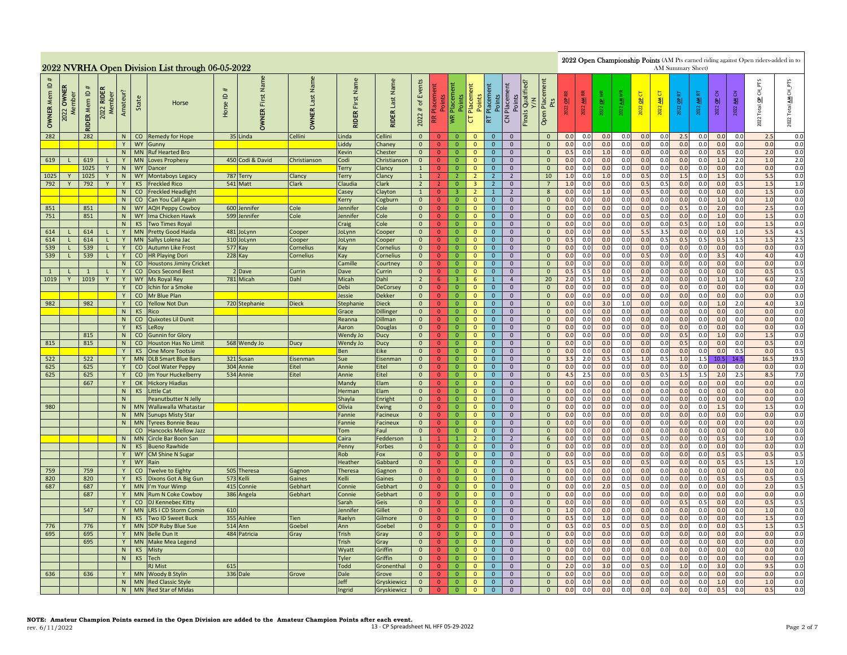|                                              |               |                     |                                     |          |                         | 2022 NVRHA Open Division List through 06-05-2022 |                                     |                               |                           |                               |                                  |                                          |                                |                                     |                                                |                                        |                                  |                                                      |                 |                              |              |                    |              | AM Summary Sheet) |                             |                |                          |                | 2022 Open Championship Points (AM Pts earned riding against Open riders-added in to |                              |
|----------------------------------------------|---------------|---------------------|-------------------------------------|----------|-------------------------|--------------------------------------------------|-------------------------------------|-------------------------------|---------------------------|-------------------------------|----------------------------------|------------------------------------------|--------------------------------|-------------------------------------|------------------------------------------------|----------------------------------------|----------------------------------|------------------------------------------------------|-----------------|------------------------------|--------------|--------------------|--------------|-------------------|-----------------------------|----------------|--------------------------|----------------|-------------------------------------------------------------------------------------|------------------------------|
| $\mathbf{\underline{o}}$<br><b>OWNER Mem</b> | OWNER<br>2022 | <b>RIDER Mem ID</b> | <b>RIDEI</b><br>2022 RIDE<br>Member | Amateur? | State                   | Horse                                            | $\mathbf{\underline{o}}$<br>Horse I | Name<br>First<br><b>OWNER</b> | Last Name<br><b>OWNER</b> | Name<br>First<br><b>RIDER</b> | Name<br>Last<br><b>RIDER</b>     | Events<br>$\mathfrak{b}$<br>$\#$<br>2022 | 医                              | Points<br>Placement<br>Points<br>I≸ | Placement<br>Points<br>$\overline{\mathtt{C}}$ | Placement<br>Points<br>Placement<br>RT | Points<br>$\overline{c}$         | Qualified?<br>Y/N<br>Placer<br>Pts<br>Finals<br>Open | $\frac{1}{2}$   | $\blacktriangleleft$<br>2022 | 2022 OP      | াৱা<br>$\tilde{a}$ | ь<br>2022 OP | 5<br>ᅨ<br>2022    | ÷<br>$\overline{a}$<br>2022 | 튒<br>ৱ<br>2022 | OP <sub>CN</sub><br>2022 | 3<br>ᅨ<br>2022 | $CH\_PTS$<br>Total OP<br>2022                                                       | CH_PTS<br>₹<br>Total<br>2022 |
| 282                                          |               | 282                 |                                     |          |                         | N   CO Remedy for Hope                           |                                     | 35 Linda                      | Cellini                   | Linda                         | Cellini                          | $\overline{0}$                           | $\mathbf{0}$                   | $\Omega$                            | $\mathbf{0}$                                   | $\mathbf{0}$                           | $\mathbf{0}$                     | $\mathbf{0}$                                         | 0.0             | 0.0                          | 0.0          | 0.0                | 0.0          | 0.0               | 2.5                         | 0.0            | 0.0                      | 0.0            | 2.5                                                                                 | 0.0                          |
|                                              |               |                     |                                     | Y<br>N   |                         | WY Gunny                                         |                                     |                               |                           | Liddy                         | Chaney                           | $\overline{0}$                           | $\Omega$<br>$\overline{0}$     | $\mathbf{0}$<br>$\overline{0}$      | $\Omega$<br>$\mathbf{0}$                       | $\mathbf{0}$<br>$\mathbf{0}$           | $\mathbf{0}$<br>$\mathbf 0$      | $\mathbf{0}$                                         | 0.0             | 0.0                          | 0.0          | 0.0<br>0.0         | 0.0          | 0.0<br>0.0        | 0.0                         | 0.0<br>0.0     | 0.0                      | 0.0<br>0.0     | 0.0                                                                                 | 0.0                          |
| 619                                          |               | 619                 |                                     | Y        | <b>MN</b><br><b>MN</b>  | <b>Ruf Hearted Bro</b><br><b>Loves Prophesy</b>  |                                     | 450 Codi & David              | Christianson              | Kevin<br>Codi                 | Chester<br>Christianson          | $\overline{0}$<br>$\overline{0}$         | $\overline{0}$                 | $\overline{0}$                      | $\mathbf{0}$                                   | $\overline{0}$                         | $\overline{0}$                   | $\mathbf 0$<br>$\mathbf{0}$                          | 0.5<br>0.0      | 0.0<br>0.0                   | $1.0$<br>0.0 | 0.0                | 0.0<br>0.0   | 0.0               | 0.0<br>0.0                  | 0.0            | 0.5<br>1.0               | 2.0            | 2.0<br>1.0                                                                          | $0.0\,$<br>2.0               |
|                                              |               | 1025                | Y                                   | N        | <b>WY</b>               | Dancer                                           |                                     |                               |                           | Terry                         | Clancy                           | $\mathbf{1}$                             | $\overline{0}$                 | $\overline{0}$                      | $\mathbf{0}$                                   | $\mathbf{0}$                           | $\mathbf{0}$                     | $\overline{0}$                                       | 0.0             | 0.0                          | 0.0          | 0.0                | 0.0          | 0.0               | 0.0                         | 0.0            | 0.0                      | 0.0            | 0.0                                                                                 | 0.0                          |
| 1025                                         |               | 1025                | Y                                   | N        | <b>WY</b>               | Montaboys Legacy                                 |                                     | 787 Terry                     | Clancy                    | Terry                         | Clancy                           | $\mathbf{1}$                             | 2 <sup>1</sup>                 | $\overline{2}$                      | $\overline{2}$                                 | $\overline{2}$                         | $2^{\circ}$                      | 10                                                   | 1.0             | 0.0                          | 1.0          | 0.0                | 0.5          | 0.0               | 1.5                         | 0.0            | 1.5                      | 0.0            | 5.5                                                                                 | 0.0                          |
| 792                                          | Y             | 792                 | Y                                   | Y        | <b>KS</b>               | <b>Freckled Rico</b>                             |                                     | 541 Matt                      | Clark                     | Claudia                       | <b>Clark</b>                     | $\overline{2}$                           | 2 <sup>1</sup>                 | $\mathbf{0}$                        | $\overline{\mathbf{3}}$                        | $2^{\circ}$                            | $\overline{0}$                   | $\overline{7}$                                       | 1.0             | 0.0                          | 0.0          | 0.0                | 0.5          | 0.5               | 0.0                         | 0.0            | 0.0                      | 0.5            | 1.5                                                                                 | 1.0                          |
|                                              |               |                     |                                     | N        |                         | CO Freckled Headlight                            |                                     |                               |                           | Casey                         | Clayton                          | $\mathbf{1}$                             | $\overline{0}$                 | $\overline{3}$                      | $\overline{2}$                                 | $\mathbf{1}$                           | $2^{\circ}$                      | 8                                                    | 0.0             | 0.0                          | 1.0          | 0.0                | 0.5          | 0.0               | 0.0                         | 0.0            | 0.0                      | 0.0            | 1.5                                                                                 | 0.0                          |
|                                              |               |                     |                                     | N        |                         | CO Can You Call Again                            |                                     |                               |                           | Kerry                         | Cogburn                          | $\overline{0}$                           | $\overline{0}$                 | $\overline{0}$                      | $\mathbf{0}$                                   | $\mathbf{0}$                           | $\overline{0}$                   | $\mathbf{0}$                                         | 0.0             | 0.0                          | 0.0          | 0.0                | 0.0          | 0.0               | 0.0                         | 0.0            | 1.0                      | 0.0            | 1.0                                                                                 | 0.0                          |
| 851                                          |               | 851                 |                                     | N        |                         | WY AQH Peppy Cowboy                              |                                     | 600 Jennifer                  | Cole                      | Jennifer                      | Cole                             | $\mathbf{0}$                             | $\overline{0}$                 | $\overline{0}$                      | $\mathbf 0$                                    | $\mathbf{0}$                           | $\overline{0}$                   | $\mathbf{0}$                                         | 0.0             | 0.0                          | 0.0          | 0.0                | 0.0          | 0.0<br>0.0        | 0.5                         | 0.0<br>0.0     | 2.0                      | 0.0            | 2.5                                                                                 | 0.0<br>0.0                   |
| 751                                          |               | 851                 |                                     | N<br>N   | KS                      | WY Ima Chicken Hawk<br><b>Two Times Royal</b>    |                                     | 599 Jennifer                  | Cole                      | Jennifer<br>Craig             | Cole<br>Cole                     | $\overline{0}$<br>$\overline{0}$         | $\mathbf{0}$<br>$\mathbf{0}$   | $\overline{0}$<br>$\overline{0}$    | $\mathbf 0$<br>$\mathbf{0}$                    | $\mathbf{0}$<br>$\mathbf{0}$           | $\overline{0}$<br>$\mathbf{0}$   | $\overline{0}$<br>$\mathbf{0}$                       | 0.0<br>0.0      | 0.0<br>0.0                   | 0.0<br>0.0   | 0.0<br>0.0         | 0.5<br>0.0   | 0.0               | 0.0<br>0.5                  | 0.0            | 1.0<br>1.0               | 0.0<br>0.0     | 1.5<br>1.5                                                                          | 0.0                          |
| 614                                          |               | 614                 | т.                                  | Y        | <b>MN</b>               | <b>Pretty Good Haida</b>                         |                                     | 481 JoLynn                    | Cooper                    | JoLynn                        | Cooper                           | $\mathbf{0}$                             | $\overline{0}$                 | $\overline{0}$                      | $\mathbf{0}$                                   | $\mathbf{0}$                           | $\overline{0}$                   | $\mathbf{0}$                                         | 0.0             | 0.0                          | 0.0          | 0.0                | 5.5          | 3.5               | 0.0                         | 0.0            | 0.0                      | 1.0            | 5.5                                                                                 | 4.5                          |
| 614                                          |               | 614                 |                                     | Y        | <b>MN</b>               | Sallys Lolena Jac                                | 310                                 | JoLynn                        | Cooper                    | JoLynn                        | Cooper                           | $\overline{0}$                           | $\overline{0}$                 | $\overline{0}$                      | $\mathbf 0$                                    | $\mathbf{0}$                           | $\mathbf 0$                      | $\mathbf{0}$                                         | 0.5             | 0.0                          | 0.0          | 0.0                | 0.0          | 0.5               | 0.5                         | 0.5            | 0.5                      | 1.5            | 1.5                                                                                 | 2.5                          |
| 539                                          | $\mathbf{L}$  | 539                 | L                                   | Y        | co                      | <b>Autumn Like Frost</b>                         |                                     | <b>577 Kay</b>                | Cornelius                 | Kay                           | Cornelius                        | $\mathbf{0}$                             | $\overline{0}$                 | $\overline{0}$                      | $\mathbf{0}$                                   | $\mathbf{0}$                           | $\mathbf{0}$                     | $\mathbf 0$                                          | 0.0             | 0.0                          | 0.0          | 0.0                | 0.0          | 0.0               | 0.0                         | 0.0            | 0.0                      | 0.0            | 0.0                                                                                 | 0.0                          |
| 539                                          | L.            | 539                 | $\mathsf{L}$                        | Y        | CO                      | <b>HR Playing Dori</b>                           |                                     | 228 Kay                       | Cornelius                 | Kay                           | Cornelius                        | $\overline{0}$                           | $\mathbf{0}$                   | $\overline{0}$                      | $\mathbf 0$                                    | $\mathbf{0}$                           | $\overline{0}$                   | $\mathbf{0}$                                         | 0.0             | 0.0                          | 0.0          | 0.0                | 0.5          | 0.0               | 0.0                         | 0.0            | 3.5                      | 4.0            | 4.0                                                                                 | 4.0                          |
|                                              |               |                     |                                     | N        | co                      | <b>Houstons Jiminy Cricket</b>                   |                                     |                               |                           | Camille                       | Courtney                         | $\mathbf{0}$                             | $\overline{0}$                 | $\overline{0}$                      | $\mathbf{0}$                                   | $\mathbf{0}$                           | $\mathbf{0}$                     | $\mathbf{0}$                                         | 0.0             | 0.0                          | 0.0          | 0.0                | 0.0          | 0.0               | 0.0                         | 0.0            | 0.0                      | 0.0            | 0.0                                                                                 | 0.0                          |
| $\overline{1}$                               |               | $\mathbf{1}$        | $\mathsf{L}$                        | Y        | co                      | <b>Docs Second Best</b>                          |                                     | 2 Dave                        | Currin                    | Dave                          | Currin                           | $\overline{0}$                           | $\overline{0}$                 | $\mathbf{0}$                        | $\mathbf{0}$                                   | $\mathbf 0$                            | $\mathbf{0}$                     | $\mathbf 0$                                          | 0.5             | 0.5                          | 0.0          | 0.0                | 0.0          | 0.0               | 0.0                         | 0.0            | 0.0                      | 0.0            | 0.5                                                                                 | 0.5                          |
| 1019                                         | Y             | 1019                | $\overline{Y}$                      | Y        |                         | WY Ms Royal Rey                                  |                                     | 781 Micah                     | Dahl                      | Micah                         | Dahl                             | $\overline{2}$                           | 6 <sup>1</sup>                 | $\overline{3}$                      | $6\overline{6}$                                | $\mathbf{1}$                           | $\overline{4}$                   | 20                                                   | 2.0             | 0.5                          | 1.0          | 0.5                | 2.0          | 0.0               | 0.0                         | 0.0            | 1.0                      | 1.0            | 6.0                                                                                 | 2.0                          |
|                                              |               |                     |                                     | Y<br>Y   | $\overline{c}$          | Ichin for a Smoke<br>CO Mr Blue Plan             |                                     |                               |                           | Debi<br>Jessie                | <b>DeCorsey</b><br><b>Dekker</b> | $\overline{0}$<br>$\overline{0}$         | $\mathbf{0}$                   | $\overline{0}$<br>$\overline{0}$    | $\overline{0}$<br>$\mathbf{0}$                 | $\mathbf{0}$<br>$\mathbf{0}$           | $\overline{0}$<br>$\overline{0}$ | $\overline{0}$<br>$\mathbf{0}$                       | 0.0<br>0.0      | 0.0<br>0.0                   | 0.0<br>0.0   | 0.0<br>0.0         | 0.0<br>0.0   | 0.0<br>0.0        | 0.0<br>0.0                  | 0.0<br>0.0     | 0.0<br>0.0               | 0.0<br>0.0     | 0.0<br>0.0                                                                          | 0.0<br>0.0                   |
| 982                                          |               | 982                 |                                     | Y        |                         | CO Yellow Not Dun                                |                                     | 720 Stephanie                 | <b>Dieck</b>              | Stephanie                     | <b>Dieck</b>                     | $\mathbf{0}$                             | $\mathbf{0}$<br>$\overline{0}$ | $\overline{0}$                      | $\mathbf{0}$                                   | $\overline{0}$                         | $\overline{0}$                   | $\overline{0}$                                       | 0.0             | 0.0                          | 3.0          | 1.0                | 0.0          | 0.0               | 0.0                         | 0.0            | 1.0                      | 2.0            | 4.0                                                                                 | 3.0                          |
|                                              |               |                     |                                     | N        | KS                      | Rico                                             |                                     |                               |                           | Grace                         | Dillinger                        | $\overline{0}$                           | $\overline{0}$                 | $\overline{0}$                      | $\mathbf{0}$                                   | $\mathbf{0}$                           | $\overline{0}$                   | $\mathbf{0}$                                         | 0.0             | 0.0                          | 0.0          | 0.0                | 0.0          | 0.0               | 0.0                         | 0.0            | 0.0                      | 0.0            | 0.0                                                                                 | 0.0                          |
|                                              |               |                     |                                     | N        | co                      | Quixotes Lil Dunit                               |                                     |                               |                           | Reanna                        | Dillman                          | $\overline{0}$                           | $\overline{0}$                 | $\overline{0}$                      | $\mathbf{0}$                                   | $\mathbf{0}$                           | $\mathbf 0$                      | $\mathbf{0}$                                         | 0. <sub>C</sub> | 0.0                          | 0.0          | 0.0                | 0.0          | 0.0               | 0.0                         | 0.0            | 0.0                      | 0.0            | 0.0                                                                                 | 0.0                          |
|                                              |               |                     |                                     | Y        | <b>KS</b>               | .eRoy                                            |                                     |                               |                           | Aaron                         | <b>Douglas</b>                   | $\mathbf{0}$                             | $\overline{0}$                 | $\overline{0}$                      | $\mathbf{0}$                                   | $\mathbf{0}$                           | $\mathbf{0}$                     | $\mathbf{0}$                                         | 0. <sub>C</sub> | 0.0                          | 0.0          | 0.0                | 0.0          | 0.0               | 0.0                         | 0.0            | 0.0                      | 0.0            | 0.0                                                                                 | 0.0                          |
|                                              |               | 815                 |                                     | N        | $\overline{\mathbf{c}}$ | <b>Gunnin for Glory</b>                          |                                     |                               |                           | Wendy Jo                      | <b>Ducy</b>                      | $\overline{0}$                           | $\mathbf{0}$                   | $\Omega$                            | $\overline{\mathbf{0}}$                        | $\overline{0}$                         | $\overline{0}$                   | $\overline{0}$                                       | 0.0             | 0.0                          | 0.0          | 0.0                | 0.0          | 0.0               | 0.5                         | 0.0            | 1.0                      | 0.0            | 1.5                                                                                 | 0.0                          |
| 815                                          |               | 815                 |                                     | N        | CO                      | <b>Houston Has No Limit</b>                      |                                     | 568 Wendy Jo                  | Ducy                      | Wendy Jo                      | <b>Ducy</b>                      | $\overline{0}$                           | $\mathbf{0}$                   | $\overline{0}$                      | $\mathbf{0}$                                   | $\mathbf{0}$                           | $\mathbf{0}$                     | $\overline{0}$                                       | 0.0             | 0.0                          | 0.0          | 0.0                | 0.0          | 0.0               | 0.5                         | 0.0            | 0.0                      | 0.0            | 0.5                                                                                 | 0.0                          |
|                                              |               |                     |                                     | Y        | KS                      | One More Tootsie                                 |                                     |                               |                           | Ben                           | Eike                             | $\mathbf{0}$                             | $\overline{0}$                 | $\overline{0}$                      | $\mathbf{0}$                                   | $\mathbf{0}$                           | $\overline{0}$                   | $\mathbf{0}$                                         | 0.0             | 0.0                          | 0.0          | 0.0                | 0.0          | 0.0               | 0.0                         | 0.0            | 0.0                      | 0.5            | 0.0                                                                                 | 0.5                          |
| 522                                          |               | 522                 |                                     | Y        | <b>MN</b>               | <b>DLB Smart Blue Bars</b>                       |                                     | 321 Susan                     | Eisenman                  | Sue                           | Eisenman                         | $\mathbf{0}$                             | $\overline{0}$                 | $\overline{0}$                      | $\mathbf{0}$                                   | $\mathbf{0}$                           | $\mathbf{0}$                     | $\mathbf{0}$                                         | 3.5             | 2.0                          | 0.5          | 0.5                | $1.0\,$      | 0.5               | 1.0                         | 1.5            | 10.5                     | 14.5           | 16.5                                                                                | 19.0                         |
| 625<br>625                                   |               | 625<br>625          |                                     | Y<br>Y   |                         | CO Cool Water Peppy<br>CO Im Your Huckelberry    |                                     | 304 Annie<br>534 Annie        | Eitel<br>Eitel            | Annie<br>Annie                | Eitel<br>Eitel                   | $\mathbf{0}$<br>$\overline{0}$           | $\overline{0}$<br>$\mathbf{0}$ | $\overline{0}$<br>$\overline{0}$    | $\mathbf 0$<br>$\overline{0}$                  | $\mathbf{0}$<br>$\overline{0}$         | $\mathbf 0$<br>$\overline{0}$    | $\mathbf{0}$<br>$\overline{0}$                       | 0.0<br>4.5      | 0.0<br>2.5                   | 0.0<br>0.0   | 0.0<br>0.0         | 0.0<br>0.5   | 0.0<br>0.5        | 0.0<br>1.5                  | 0.0<br>1.5     | 0.0<br>2.0               | 0.0<br>2.5     | 0.0<br>8.5                                                                          | 0.0<br>7.0                   |
|                                              |               | 667                 |                                     |          |                         | Y OK Hickory Hiadias                             |                                     |                               |                           | Mandy                         | Elam                             | $\mathbf{0}$                             | $\mathbf{0}$                   | $\overline{0}$                      | $\mathbf{0}$                                   | $\mathbf{0}$                           | $\overline{0}$                   | $\mathbf{0}$                                         | 0.0             | 0.0                          | 0.0          | 0.0                | 0.0          | 0.0               | 0.0                         | 0.0            | 0.0                      | 0.0            | 0.0                                                                                 | 0.0                          |
|                                              |               |                     |                                     | N        | KS                      | <b>Little Cat</b>                                |                                     |                               |                           | Herman                        | Elam                             | $\overline{0}$                           | $\overline{0}$                 | $\overline{0}$                      | $\mathbf{0}$                                   | $\mathbf{0}$                           | $\overline{0}$                   | $\mathbf{0}$                                         | 0.0             | 0.0                          | 0.0          | 0.0                | 0.0          | 0.0               | 0.0                         | 0.0            | 0.0                      | 0.0            | 0.0                                                                                 | 0.0                          |
|                                              |               |                     |                                     | N        |                         | Peanutbutter N Jelly                             |                                     |                               |                           | Shayla                        | Enright                          | $\overline{0}$                           | $\overline{0}$                 | $\overline{\mathbf{0}}$             | $\mathbf 0$                                    | $\mathbf{0}$                           | $\mathbf 0$                      | $\mathbf 0$                                          | 0.0             | 0.0                          | 0.0          | 0.0                | 0.0          | 0.0               | 0.0                         | 0.0            | 0.0                      | 0.0            | 0.0                                                                                 | 0.0                          |
| 980                                          |               |                     |                                     | N        |                         | MN Wallawalla Whatastar                          |                                     |                               |                           | Olivia                        | Ewing                            | $\mathbf{0}$                             | $\overline{0}$                 | $\overline{0}$                      | $\mathbf{0}$                                   | $\mathbf{0}$                           | $\mathbf{0}$                     | $\mathbf 0$                                          | 0.0             | 0.0                          | 0.0          | 0.0                | 0.0          | 0.0               | 0.0                         | 0.0            | 1.5                      | 0.0            | 1.5                                                                                 | 0.0                          |
|                                              |               |                     |                                     | N        |                         | <b>MN</b> Sunups Misty Star                      |                                     |                               |                           | Fannie                        | <b>Facineux</b>                  | $\overline{0}$                           | $\mathbf{0}$                   | $\overline{0}$                      | $\mathbf{0}$                                   | $\overline{0}$                         | $\overline{0}$                   | $\mathbf{0}$                                         | 0.0             | 0.0                          | 0.0          | 0.0                | 0.0          | 0.0               | 0.0                         | 0.0            | 0.0                      | 0.0            | 0.0                                                                                 | 0.0                          |
|                                              |               |                     |                                     | N        | <b>MN</b>               | <b>Tyrees Bonnie Beau</b>                        |                                     |                               |                           | Fannie                        | Facineux                         | $\overline{0}$                           | $\overline{0}$                 | $\overline{0}$                      | $\mathbf 0$                                    | $\overline{0}$                         | $\overline{0}$                   | $\mathbf{0}$                                         | 0.0             | 0.0                          | 0.0          | 0.0                | 0.0          | 0.0               | 0.0                         | 0.0            | 0.0                      | 0.0            | 0.0                                                                                 | 0.0                          |
|                                              |               |                     |                                     |          | $\mathsf{co}\,$         | <b>Hancocks Mellow Jazz</b>                      |                                     |                               |                           | Tom                           | Faul                             | $\overline{0}$                           | $\overline{0}$                 | $\overline{0}$                      | $\mathbf{0}$                                   | $\mathbf{0}$                           | $\overline{0}$                   | $\overline{0}$                                       | 0.0             | 0.0                          | 0.0          | 0.0                | 0.0          | 0.0               | 0.0                         | 0.0            | 0.0                      | 0.0            | 0.0                                                                                 | 0.0                          |
|                                              |               |                     |                                     | N<br>N   | MN                      | Circle Bar Boon San<br><b>Bueno Rawhide</b>      |                                     |                               |                           | Caira<br>Penny                | Fedderson<br><b>Forbes</b>       | $\mathbf{1}$<br>$\overline{0}$           | $\mathbf{1}$<br>$\overline{0}$ | $\mathbf{1}$<br>$\overline{0}$      | $\overline{2}$<br>$\mathbf{0}$                 | $\mathbf{0}$                           | $\overline{2}$<br>$\mathbf{0}$   | $\sqrt{6}$<br>$\mathbf{0}$                           | 0.0<br>0.0      | 0.0<br>0.0                   | 0.0<br>0.0   | 0.0<br>0.0         | 0.5<br>0.0   | 0.0<br>0.0        | 0.0<br>0.0                  | 0.0<br>0.0     | 0.5<br>0.0               | 0.0<br>0.0     | 1.0<br>0.0                                                                          | 0.0<br>0.0                   |
|                                              |               |                     |                                     | Y        | <b>KS</b>               | WY CM Shine N Sugar                              |                                     |                               |                           | Rob                           | Fox                              | $\overline{0}$                           | $\mathbf{0}$                   | $\overline{0}$                      | $\mathbf{0}$                                   | $\mathbf{0}$<br>$\mathbf{0}$           | $\overline{0}$                   | $\mathbf{0}$                                         | 0.0             | 0.0                          | 0.0          | 0.0                | 0.0          | 0.0               | 0.0                         | 0.0            | 0.5                      | 0.5            | 0.5                                                                                 | 0.5                          |
|                                              |               |                     |                                     | Y        | <b>WY</b>               | Rain                                             |                                     |                               |                           | Heather                       | Gabbard                          | $\mathbf{0}$                             | $\mathbf{0}$                   | $\overline{0}$                      | $\mathbf{0}$                                   | $\mathbf{0}$                           | $\overline{0}$                   | $\overline{0}$                                       | 0.5             | 0.5                          | 0.0          | 0.0                | 0.5          | 0.0               | 0.0                         | 0.0            | 0.5                      | 0.5            | 1.5                                                                                 | 1.0                          |
| 759                                          |               | 759                 |                                     | Y        | co                      | <b>Twelve to Eighty</b>                          |                                     | 505 Theresa                   | Gagnon                    | Theresa                       | Gagnon                           | $\overline{0}$                           | $\overline{0}$                 | $\overline{0}$                      | $\mathbf{0}$                                   | $\mathbf{0}$                           | $\overline{0}$                   | $\mathbf{0}$                                         | 0.0             | 0.0                          | 0.0          | 0.0                | 0.0          | 0.0               | 0.0                         | 0.0            | 0.0                      | 0.0            | 0.0                                                                                 | 0.0                          |
| 820                                          |               | 820                 |                                     | Y        | KS                      | Dixons Got A Big Gun                             |                                     | 573 Kelli                     | Gaines                    | Kelli                         | Gaines                           | $\overline{0}$                           | $\overline{0}$                 | $\overline{0}$                      | $\circ$                                        | $\overline{0}$                         | $\overline{0}$                   | $\overline{0}$                                       | 0.0             | 0.0                          | 0.0          | 0.0                | 0.0          | 0.0               | 0.0                         | 0.0            | 0.5                      | 0.5            | 0.5                                                                                 | 0.5                          |
| 687                                          |               | 687                 |                                     | Y        | <b>MN</b>               | I'm Your Wimp                                    | 415                                 | Connie                        | Gebhart                   | Connie                        | Gebhart                          | $\overline{0}$                           | $\overline{0}$                 | $\overline{0}$                      | $\mathbf{0}$                                   | $\mathbf{0}$                           | $\mathbf{0}$                     | $\mathbf{0}$                                         | 0. <sub>C</sub> | 0.0                          | 2.0          | 0.5                | 0.0          | 0.0               | 0.0                         | 0.0            | 0.0                      | 0.0            | 2.0                                                                                 | 0.5                          |
|                                              |               | 687                 |                                     | Y        | <b>MN</b>               | <b>Rum N Coke Cowboy</b>                         |                                     | 386 Angela                    | Gebhart                   | Connie                        | Gebhart                          | $\overline{0}$                           | $\overline{0}$                 | $\overline{0}$                      | $\mathbf 0$                                    | $\mathbf 0$                            | $\overline{0}$                   | $\mathbf{0}$                                         | 0.0             | 0.0                          | 0.0          | 0.0                | 0.0          | 0.0               | 0.0                         | 0.0            | 0.0                      | 0.0            | 0.0                                                                                 | 0.0                          |
|                                              |               |                     |                                     | Y        | CO                      | <b>DJ Kennebec Kitty</b>                         |                                     |                               |                           | Sarah                         | Geis                             | $\mathbf{0}$                             | $\mathbf{0}$                   | $\overline{0}$                      | $\mathbf{0}$                                   | $\mathbf{0}$                           | $\mathbf{0}$                     | $\mathbf{0}$                                         | 0.0             | 0.0                          | 0.0          | 0.0                | 0.0          | 0.0               | 0.5                         | 0.5            | 0.0                      | 0.0            | 0.5                                                                                 | 0.5                          |
|                                              |               | 547                 |                                     | Y        | <b>MN</b>               | <b>LRS I CD Storm Comin</b>                      | 610                                 |                               |                           | Jennifer                      | Gillet                           | $\mathbf{0}$                             | $\overline{0}$                 | $\overline{0}$                      | $\mathbf{0}$                                   | $\mathbf{0}$                           | $\overline{0}$                   | $\mathbf{0}$                                         | 1.0             | 0.0                          | 0.0          | 0.0                | 0.0          | 0.0               | 0.0                         | 0.0            | 0.0                      | 0.0            | 1.0                                                                                 | 0.0                          |
| 776                                          |               | 776                 |                                     | N<br>Y   | KS                      | Two ID Sweet Buck<br>MN SDP Ruby Blue Sue        |                                     | 355 Ashlee<br><b>514</b> Ann  | <b>Tien</b><br>Goebel     | Raelyn<br>Ann                 | Gilmore<br>Goebel                | $\mathbf{0}$<br>$\mathbf{0}$             | $\overline{0}$<br>$\mathbf{0}$ | $\mathbf 0$<br>$\mathbf{0}$         | $\mathbf 0$<br>$\mathbf 0$                     | $\mathbf{0}$<br>$\mathbf{0}$           | $\mathbf 0$<br>$\mathbf 0$       | $\mathbf 0$<br>$\mathbf 0$                           | 0.5<br>0.5      | 0.0<br>0.0                   | $1.0$<br>0.5 | 0.0<br>0.0         | 0.0<br>0.5   | 0.0<br>0.0        | 0.0<br>0.0                  | 0.0<br>0.0     | 0.0<br>0.0               | 0.0<br>0.5     | 1.5<br>1.5                                                                          | 0.0<br>0.5                   |
| 695                                          |               | 695                 |                                     | Y        | <b>MN</b>               | <b>Belle Dun It</b>                              |                                     | 484 Patricia                  | Gray                      | Trish                         | Gray                             | $\overline{0}$                           | $\mathbf{0}$                   | $\overline{0}$                      | $\overline{0}$                                 | $\overline{0}$                         | $\overline{0}$                   | $\overline{0}$                                       | 0.0             | 0.0                          | 0.0          | 0.0                | 0.0          | 0.0               | 0.0                         | 0.0            | 0.0                      | 0.0            | 0.0                                                                                 | 0.0                          |
|                                              |               | 695                 |                                     |          | Y MN                    | Make Mea Legend                                  |                                     |                               |                           | Trish                         | Gray                             | $\mathbf{0}$                             | $\mathbf{0}$                   | $\overline{0}$                      | $\mathbf{0}$                                   | $\mathbf{0}$                           | $\mathbf{0}$                     | $\mathbf{0}$                                         | 0.0             | 0.0                          | 0.0          | 0.0                | 0.0          | 0.0               | 0.0                         | 0.0            | 0.0                      | 0.0            | 0.0                                                                                 | 0.0                          |
|                                              |               |                     |                                     | N        | KS                      | Misty                                            |                                     |                               |                           | Wyatt                         | Griffin                          | $\overline{0}$                           | $\overline{0}$                 | $\overline{0}$                      | $\mathbf{0}$                                   | $\mathbf{0}$                           | $\mathbf{0}$                     | $\overline{0}$                                       | 0.0             | 0.0                          | 0.0          | 0.0                | 0.0          | 0.0               | 0.0                         | 0.0            | 0.0                      | 0.0            | 0.0                                                                                 | 0.0                          |
|                                              |               |                     |                                     | N        | KS                      | Tech                                             |                                     |                               |                           | Tyler                         | Griffin                          | $\overline{0}$                           | $\overline{0}$                 | $\overline{0}$                      | $\mathbf{0}$                                   | $\mathbf 0$                            | $\mathbf 0$                      | $\mathbf 0$                                          | 0.0             | 0.0                          | 0.0          | 0.0                | 0.0          | 0.0               | 0.0                         | 0.0            | 0.0                      | 0.0            | 0.0                                                                                 | 0.0                          |
|                                              |               |                     |                                     |          |                         | <b>RJ</b> Mist                                   | 615                                 |                               |                           | Todd                          | Gronenthal                       | $\overline{0}$                           | $\overline{0}$                 | $\overline{0}$                      | $\mathbf{0}$                                   | $\mathbf{0}$                           | $\mathbf{0}$                     | $\mathbf{0}$                                         | 2.0             | 0.0                          | 3.0          | 0.0                | 0.5          | 0.0               | 1.0                         | 0.0            | 3.0                      | 0.0            | 9.5                                                                                 | 0.0                          |
| 636                                          |               | 636                 |                                     | Y        | <b>MN</b>               | Woody B Stylin                                   |                                     | 336 Dale                      | Grove                     | Dale                          | Grove                            | $\mathbf{0}$                             | $\mathbf{0}$                   | $\overline{0}$                      | $\mathbf{0}$                                   | $\mathbf{0}$                           | $\mathbf{0}$                     | $\mathbf{0}$                                         | 0.0             | 0.0                          | 0.0          | 0.0                | 0.0          | 0.0               | 0.0                         | 0.0            | 0.0                      | 0.0            | 0.0                                                                                 | 0.0                          |
|                                              |               |                     |                                     |          |                         | N MN Red Classic Style                           |                                     |                               |                           | Jeff                          | Gryskiewicz                      | $\overline{0}$                           | $\Omega$                       | $\overline{0}$                      | $\mathbf 0$                                    | $\mathbf{0}$                           | $\overline{0}$                   | $\overline{0}$                                       | 0.0             | 0.0                          | 0.0          | 0.0                | 0.0          | 0.0               | 0.0                         | 0.0            | 1.0                      | 0.0            | 1.0                                                                                 | 0.0                          |
|                                              |               |                     |                                     |          |                         | N MN Red Star of Midas                           |                                     |                               |                           | Ingrid                        | Gryskiewicz                      | $\mathbf{0}$                             | $\overline{0}$                 | $\overline{0}$                      | $\mathbf{0}$                                   | $\mathbf{0}$                           | $\mathbf{0}$                     | $\mathbf{0}$                                         | 0.0             | 0.0                          | 0.0          | 0.0                | 0.0          | 0.0               | 0.0                         | 0.0            | 0.5                      | 0.0            | 0.5                                                                                 | 0.0                          |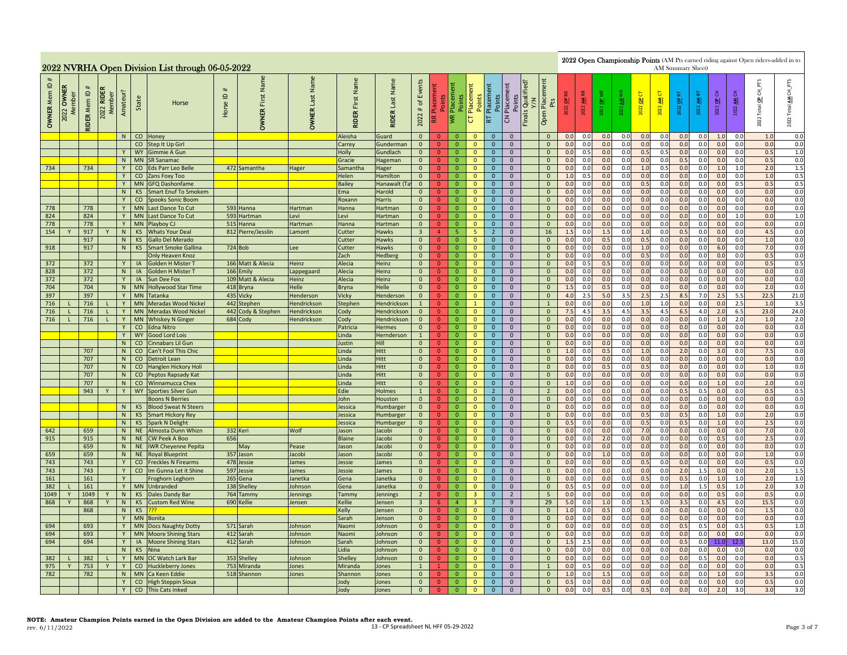|                                              |               |                     |                                      |                |                        | 2022 NVRHA Open Division List through 06-05-2022 |                                                  |                               |                              |                               |                           |                                                                                                                                                                                                                                                                                                                                                                                                                                                                                                                                                                                                                                                                                                                                                                                                                                                                    |                                  |                                  |                              |                                |                                  |                                                                                                                                                                                          |                                                                                           |                     |            |            |            |            | AM Summary Sheet) |            |                                 |                 |             | 2022 Open Championship Points (AM Pts earned riding against Open riders-added in to |                |
|----------------------------------------------|---------------|---------------------|--------------------------------------|----------------|------------------------|--------------------------------------------------|--------------------------------------------------|-------------------------------|------------------------------|-------------------------------|---------------------------|--------------------------------------------------------------------------------------------------------------------------------------------------------------------------------------------------------------------------------------------------------------------------------------------------------------------------------------------------------------------------------------------------------------------------------------------------------------------------------------------------------------------------------------------------------------------------------------------------------------------------------------------------------------------------------------------------------------------------------------------------------------------------------------------------------------------------------------------------------------------|----------------------------------|----------------------------------|------------------------------|--------------------------------|----------------------------------|------------------------------------------------------------------------------------------------------------------------------------------------------------------------------------------|-------------------------------------------------------------------------------------------|---------------------|------------|------------|------------|------------|-------------------|------------|---------------------------------|-----------------|-------------|-------------------------------------------------------------------------------------|----------------|
| $\mathbf{\underline{o}}$<br><b>OWNER Mem</b> | OWNER<br>2022 | <b>RIDER Mem ID</b> | <b>RIDER</b><br>2022 RIDEI<br>Member | Amateur?       | State                  | Horse                                            | #<br>$\mathrel{\underline{\mathsf{e}}}$<br>Horse | Name<br>First<br><b>OWNER</b> | Name<br>Last<br><b>OWNER</b> | Name<br>First<br><b>RIDER</b> | Last Name<br><b>RIDER</b> | Events<br>Placement<br>FTS<br>Qualified<br>Placement<br>Points<br>Placement<br>Placement<br>$\overline{5}$<br>Placeme<br>5<br>5<br>보<br>OP CN<br>3<br><b>Points</b><br>Points<br>Points<br>Points<br>히<br>2022 AM<br>2022 OP<br>죙<br>$\frac{1}{2}$<br>豸<br>ᅨ<br>Pts<br>$\frac{a}{b}$<br>히<br>ᅨ<br>$\mathfrak{b}$<br><b>Total</b><br>2022<br>2022<br>2022<br>2022<br>2022<br>22<br>$\#$<br>202<br><b>Finals</b><br>Open<br>2022<br> ≸<br>$\overline{c}$<br>Æ<br>p<br>RT<br>2022<br>$\overline{0}$<br>0.0<br>0.0<br>0.0<br>0.0<br>0.0<br>1.0<br>0.0<br>$\Omega$<br>$\mathbf{0}$<br>$\mathbf{0}$<br>$\overline{0}$<br>$\mathbf{0}$<br>0.0<br>0.0<br>0.0<br>1.0<br>0.<br>0.0<br>0.0<br>0.0<br>0.0<br>$\overline{0}$<br>$\overline{0}$<br>$\mathbf{0}$<br>0.0<br>0.0<br>0.0<br>0.0<br>0.0<br>0.0<br>0.0<br>$\mathbf{0}$<br>$\mathbf{0}$<br>$\mathbf{0}$<br>$\mathbf{0}$ |                                  |                                  |                              |                                |                                  |                                                                                                                                                                                          |                                                                                           |                     |            |            |            |            |                   |            | $CH\_PTS$<br>₹<br>Total<br>2022 |                 |             |                                                                                     |                |
|                                              |               |                     |                                      | $\overline{N}$ |                        | CO Honey                                         |                                                  |                               |                              | Aleisha                       | Guard                     |                                                                                                                                                                                                                                                                                                                                                                                                                                                                                                                                                                                                                                                                                                                                                                                                                                                                    |                                  |                                  |                              |                                |                                  |                                                                                                                                                                                          |                                                                                           |                     |            |            |            |            |                   |            |                                 |                 |             |                                                                                     | 0.0            |
|                                              |               |                     |                                      | Y              | <b>WY</b>              | CO Step It Up Girl<br>Gimmie A Gun               |                                                  |                               |                              | Carrey<br>Holly               | Gunderman<br>Gundlach     | $\mathbf{0}$                                                                                                                                                                                                                                                                                                                                                                                                                                                                                                                                                                                                                                                                                                                                                                                                                                                       | $\mathbf{0}$                     | $\overline{0}$                   | $\mathbf{0}$                 | $\mathbf{0}$                   | $\mathbf{0}$                     |                                                                                                                                                                                          | $\mathbf 0$                                                                               | 0.0                 | 0.5        | 0.0        | 0.0        | 0.5        | 0.5               | 0.0        | 0.0                             | 0.0             | 0.0         | 0.5                                                                                 | 0.0<br>1.0     |
|                                              |               |                     |                                      | N              | MN                     | <b>SR Sanamac</b>                                |                                                  |                               |                              | Gracie                        | Hageman                   | $\overline{0}$                                                                                                                                                                                                                                                                                                                                                                                                                                                                                                                                                                                                                                                                                                                                                                                                                                                     | $\overline{0}$                   | $\overline{0}$                   | $\mathbf{0}$                 | $\mathbf 0$                    | $\mathbf 0$                      |                                                                                                                                                                                          | $\mathbf 0$                                                                               | 0.0                 | 0.0        | 0.0        | 0.0        | 0.0        | 0.0               | 0.5        | 0.0                             | 0.0             | 0.0         | 0.5                                                                                 | 0.0            |
| 734                                          |               | 734                 |                                      | Y              | CO                     | <b>Eds Parr Leo Belle</b>                        |                                                  | 472 Samantha                  | <b>Hager</b>                 | Samantha                      | Hager                     | $\mathbf{0}$                                                                                                                                                                                                                                                                                                                                                                                                                                                                                                                                                                                                                                                                                                                                                                                                                                                       | $\overline{0}$                   | $\overline{0}$                   | $\mathbf{0}$                 | $\mathbf{0}$                   | $\mathbf{0}$                     |                                                                                                                                                                                          | $\mathbf{0}$                                                                              | 0.0                 | 0.0        | 0.0        | 0.0        | 1.0        | 0.5               | 0.0        | 0.0                             | 1.0             | 1.0         | 2.0                                                                                 | 1.5            |
|                                              |               |                     |                                      | Y              | CO                     | Zans Foxy Too                                    |                                                  |                               |                              | Helen                         | Hamilton                  | $\overline{0}$                                                                                                                                                                                                                                                                                                                                                                                                                                                                                                                                                                                                                                                                                                                                                                                                                                                     | $\mathbf{0}$                     | $\overline{0}$                   | $\mathbf{0}$                 | $\mathbf{0}$                   | $\overline{0}$                   | $\mathbf{0}$<br>1.0<br>0.5<br>0.0<br>0.0<br>0.0<br>0.0<br>0.0<br>0.0<br>0.0<br>0.0<br>1.0<br>0.0<br>0.0<br>0.0<br>0.5<br>0.0<br>0.0<br>0.0<br>0.0<br>0.5<br>$\overline{0}$<br>0.0<br>0.5 |                                                                                           |                     |            |            |            |            |                   |            |                                 |                 |             |                                                                                     | 0.5            |
|                                              |               |                     |                                      | Y              |                        | MN GFQ Dashonfame                                |                                                  |                               |                              | <b>Bailey</b>                 | Hanawalt (Ta              | $\overline{0}$                                                                                                                                                                                                                                                                                                                                                                                                                                                                                                                                                                                                                                                                                                                                                                                                                                                     | $\Omega$                         | $\overline{0}$                   | $\mathbf{0}$                 | $\mathbf{0}$                   | $\overline{0}$                   | $\mathbf{0}$<br>0.0<br>0.0<br>0.0<br>0.0<br>0.0<br>0.0<br>0.0<br>0.0<br>0.0<br>0.0<br>0.0                                                                                                |                                                                                           |                     |            |            |            |            |                   |            |                                 |                 |             |                                                                                     | 0.5<br>0.0     |
|                                              |               |                     |                                      | N              | <b>KS</b>              | <b>Smart Enuf To Smokem</b>                      |                                                  |                               |                              | Ema                           | Harold                    | $\mathbf{0}$                                                                                                                                                                                                                                                                                                                                                                                                                                                                                                                                                                                                                                                                                                                                                                                                                                                       | $\mathbf{0}$                     | $\overline{0}$                   | $\mathbf{0}$                 | $\mathbf{0}$                   | $\mathbf{0}$                     |                                                                                                                                                                                          | 0.0<br>0.0<br>0.0<br>0.0<br>0.0<br>0.0<br>0.0<br>0.0<br>0.0<br>0.0<br>$\mathbf{0}$<br>0.0 |                     |            |            |            |            |                   |            |                                 |                 |             |                                                                                     |                |
|                                              |               |                     |                                      | Y              | $\mathsf{co}$          | <b>Spooks Sonic Boom</b>                         |                                                  |                               |                              | Roxann                        | Harris                    | $\mathbf{0}$                                                                                                                                                                                                                                                                                                                                                                                                                                                                                                                                                                                                                                                                                                                                                                                                                                                       | $\overline{0}$                   | $\overline{0}$                   | $\overline{0}$               | $\mathbf{0}$                   | $\mathbf 0$                      |                                                                                                                                                                                          | 0.0<br>0.0<br>$\mathbf{0}$<br>0.0<br>0.0<br>0.0<br>0.0<br>0.0<br>0.0<br>0.0<br>0.0<br>0.0 |                     |            |            |            |            |                   |            |                                 |                 |             |                                                                                     |                |
| 778<br>824                                   |               | 778<br>824          |                                      | Y<br>Y         | <b>MN</b><br><b>MN</b> | Last Dance To Cut                                |                                                  | 593 Hanna<br>593 Hartman      | <b>Hartman</b>               | Hanna                         | Hartman<br>Hartman        | $\mathbf{0}$<br>$\overline{0}$                                                                                                                                                                                                                                                                                                                                                                                                                                                                                                                                                                                                                                                                                                                                                                                                                                     | $\overline{0}$<br>$\overline{0}$ | $\overline{0}$<br>$\overline{0}$ | $\mathbf{0}$<br>$\mathbf 0$  | $\mathbf{0}$<br>$\mathbf{0}$   | $\mathbf 0$<br>$\overline{0}$    |                                                                                                                                                                                          | $\mathbf{0}$<br>0.0<br>0.0<br>0.0<br>0.0<br>0.0<br>0.0<br>0.0<br>0.0<br>1.0<br>0.0<br>0.0 |                     |            |            |            |            |                   |            |                                 |                 |             |                                                                                     |                |
| 778                                          |               | 778                 |                                      |                | Y MN                   | Last Dance To Cut<br>Playboy CJ                  |                                                  | 515 Hanna                     | .evi<br>Hartmar              | Levi<br>Hanna                 | Hartman                   | $\overline{0}$                                                                                                                                                                                                                                                                                                                                                                                                                                                                                                                                                                                                                                                                                                                                                                                                                                                     | $\mathbf{0}$                     | $\overline{0}$                   | $\mathbf{0}$                 | $\mathbf{0}$                   | $\mathbf{0}$                     |                                                                                                                                                                                          | $\mathbf{0}$                                                                              | 0.0                 | 0.0        | 0.0        | 0.0        | 0.0        | 0.0               | 0.0        | 0.0                             | 0.0             | 0.0         | 0.0                                                                                 | $1.0\,$<br>0.0 |
| 154                                          |               | 917                 |                                      | N              | <b>KS</b>              | <b>Whats Your Deal</b>                           |                                                  | 812 Pierre/Jesslin            | Lamont                       | Cutter                        | Hawks                     | $\overline{3}$                                                                                                                                                                                                                                                                                                                                                                                                                                                                                                                                                                                                                                                                                                                                                                                                                                                     | 4 <sup>1</sup>                   | -5                               | 5                            | $\overline{2}$                 | $\mathbf{0}$                     |                                                                                                                                                                                          | 16                                                                                        | 1.5                 | 0.0        | 1.5        | 0.0        | 1.0        | 0.0               | 0.5        | 0.0                             | 0.0             | 0.0         | 4.5                                                                                 | 0.0            |
|                                              |               | 917                 |                                      | N              | KS                     | <b>Gallo Del Merado</b>                          |                                                  |                               |                              | Cutter                        | Hawks                     | $\overline{0}$                                                                                                                                                                                                                                                                                                                                                                                                                                                                                                                                                                                                                                                                                                                                                                                                                                                     | $\overline{0}$                   | $\overline{0}$                   | $\mathbf{0}$                 | $\mathbf{0}$                   | $\mathbf 0$                      |                                                                                                                                                                                          | $\mathbf{0}$                                                                              | 0.0                 | 0.0        | 0.5        | 0.0        | 0.5        | 0.0               | 0.0        | 0.0                             | 0.0             | 0.0         | 1.0                                                                                 | $0.0\,$        |
| 918                                          |               | 917                 |                                      | N              | KS                     | <b>Smart Smoke Gallina</b>                       |                                                  | 724 Bob                       | ee                           | Cutter                        | Hawks                     | $\mathbf{0}$                                                                                                                                                                                                                                                                                                                                                                                                                                                                                                                                                                                                                                                                                                                                                                                                                                                       | $\bullet$                        | $\overline{0}$                   | $\mathbf{0}$                 | $\mathbf{0}$                   | $\mathbf{0}$                     |                                                                                                                                                                                          | $\mathbf{0}$                                                                              | 0. <sub>C</sub>     | 0.0        | 0.0        | 0.0        | $1.0$      | 0.0               | 0.0        | 0.0                             | 6.0             | 0.0         | 7.0                                                                                 | 0.0            |
|                                              |               |                     |                                      |                |                        | <b>Only Heaven Knoz</b>                          |                                                  |                               |                              | Zach                          | Hedberg                   | $\overline{0}$                                                                                                                                                                                                                                                                                                                                                                                                                                                                                                                                                                                                                                                                                                                                                                                                                                                     | $\overline{0}$                   | $\overline{0}$                   | $\mathbf{0}$                 | $\mathbf{0}$                   | $\overline{0}$                   |                                                                                                                                                                                          | $\mathbf{0}$                                                                              | 0.0                 | 0.0        | 0.0        | 0.0        | 0.5        | 0.0               | 0.0        | 0.0                             | 0.0             | 0.0         | 0.5                                                                                 | 0.0            |
| 372                                          |               | 372                 |                                      | Y              | IA                     | Golden H Mister 1                                |                                                  | 166 Matt & Alecia             | Heinz                        | Alecia                        | Heinz                     | $\overline{0}$                                                                                                                                                                                                                                                                                                                                                                                                                                                                                                                                                                                                                                                                                                                                                                                                                                                     | $\mathbf{0}$                     | $\overline{0}$                   | $\mathbf{0}$                 | $\mathbf{0}$                   | $\overline{0}$                   |                                                                                                                                                                                          | $\mathbf{0}$                                                                              | 0.0                 | 0.5        | 0.5        | 0.0        | 0.0        | 0.0               | 0.0        | 0.0                             | 0.0             | 0.0         | 0.5                                                                                 | 0.5            |
| 828                                          |               | 372                 |                                      | N              | IA                     | Golden H Mister T                                |                                                  | 166 Emily                     | appegaard                    | Alecia                        | Heinz                     | $\overline{0}$                                                                                                                                                                                                                                                                                                                                                                                                                                                                                                                                                                                                                                                                                                                                                                                                                                                     | $\overline{0}$                   | $\overline{0}$                   | $\mathbf 0$                  | $\mathbf{0}$                   | $\mathbf 0$                      |                                                                                                                                                                                          | $\mathbf 0$                                                                               | 0.0                 | 0.0        | 0.0        | 0.0        | 0.0        | 0.0               | 0.0        | 0.0                             | 0.0             | 0.0         | 0.0                                                                                 | 0.0            |
| 372                                          |               | 372                 |                                      | Y              | IA                     | Sun Dee Fox                                      |                                                  | 109 Matt & Alecia             | Heinz                        | Alecia                        | Heinz                     | $\overline{0}$                                                                                                                                                                                                                                                                                                                                                                                                                                                                                                                                                                                                                                                                                                                                                                                                                                                     | $\overline{0}$<br>$\overline{0}$ | $\overline{0}$                   | $\overline{0}$               | $\mathbf{0}$                   | $\overline{0}$                   |                                                                                                                                                                                          | $\overline{0}$                                                                            | 0.0                 | 0.0        | 0.0        | 0.0        | 0.0        | 0.0               | 0.0        | 0.0                             | 0.0             | 0.0         | 0.0                                                                                 | 0.0<br>0.0     |
| 704<br>397                                   |               | 704<br>397          |                                      | N<br>Y         | <b>MN</b><br><b>MN</b> | <b>Hollywood Star Time</b><br><b>Tatanka</b>     |                                                  | 418 Bryna<br>435 Vicky        | Helle<br><b>Henderson</b>    | <b>Bryna</b><br>Vicky         | Helle<br>Henderson        | $\mathbf{0}$<br>$\overline{0}$                                                                                                                                                                                                                                                                                                                                                                                                                                                                                                                                                                                                                                                                                                                                                                                                                                     | $\overline{0}$                   | $\mathbf{0}$<br>$\overline{0}$   | $\mathbf{0}$<br>$\mathbf{0}$ | $\mathbf{0}$<br>$\mathbf{0}$   | $\mathbf 0$<br>$\overline{0}$    |                                                                                                                                                                                          | $\mathbf 0$<br>$\mathbf{0}$                                                               | $\mathbf{1}$<br>4.0 | 0.0<br>2.5 | 0.5<br>5.0 | 0.0<br>3.5 | 0.0<br>2.5 | 0.0<br>2.5        | 0.0<br>8.5 | 0.0<br>7.0                      | 0.0<br>2.5      | 0.0<br>5.5  | 2.0<br>22.5                                                                         | 21.0           |
| 716                                          |               | 716                 |                                      | Y              | <b>MN</b>              | <b>Meradas Wood Nickel</b>                       |                                                  | 442 Stephen                   | <b>Hendrickson</b>           | Stephen                       | Hendrickson               | $\mathbf{1}$                                                                                                                                                                                                                                                                                                                                                                                                                                                                                                                                                                                                                                                                                                                                                                                                                                                       | $\mathbf{0}$                     | $\overline{0}$                   | $\mathbf{1}$                 | $\mathbf{0}$                   | $\overline{0}$                   |                                                                                                                                                                                          | $\mathbf{1}$                                                                              | 0.0                 | 0.0        | 0.0        | 0.0        | 1.0        | $1.0$             | 0.0        | 0.0                             | 0.0             | 2.5         | 1.0                                                                                 | 3.5            |
| 716                                          |               | 716                 |                                      | Y              | <b>MN</b>              | Meradas Wood Nickel                              |                                                  | 442 Cody & Stephen            | Hendrickson                  | Cody                          | Hendrickson               | $\mathbf{0}$                                                                                                                                                                                                                                                                                                                                                                                                                                                                                                                                                                                                                                                                                                                                                                                                                                                       | $\overline{0}$                   | $\overline{0}$                   | $\mathbf{0}$                 | $\mathbf{0}$                   | $\overline{0}$                   |                                                                                                                                                                                          | $\mathbf 0$                                                                               | 7.5                 | 4.5        | 3.5        | 4.5        | 3.5        | 4.5               | 6.5        | 4.0                             | 2.0             | 6.5         | 23.0                                                                                | 24.0           |
| 716                                          |               | 716                 |                                      | Y              | <b>MN</b>              | <b>Whiskey N Ginger</b>                          |                                                  | 684 Cody                      | Hendrickson                  | Cody                          | Hendrickson               | $\mathbf{0}$                                                                                                                                                                                                                                                                                                                                                                                                                                                                                                                                                                                                                                                                                                                                                                                                                                                       | $\overline{0}$                   | $\overline{0}$                   | $\overline{0}$               | $\mathbf{0}$                   | $\mathbf 0$                      |                                                                                                                                                                                          | $\mathbf 0$                                                                               | 0.0                 | 0.0        | 0.0        | 0.0        | 0.0        | 0.0               | 0.0        | 0.0                             | 1.0             | 2.0         | 1.0                                                                                 | 2.0            |
|                                              |               |                     |                                      | Y              | $\rm CO$               | Edna Nitro                                       |                                                  |                               |                              | Patricia                      | <b>Hermes</b>             | $\mathbf{0}$                                                                                                                                                                                                                                                                                                                                                                                                                                                                                                                                                                                                                                                                                                                                                                                                                                                       | $\mathbf{0}$                     | $\mathbf{0}$                     | $\mathbf{0}$                 | $\mathbf{0}$                   | $\mathbf{0}$                     |                                                                                                                                                                                          | $\mathbf{0}$                                                                              | 0.0                 | 0.0        | 0.0        | 0.0        | 0.0        | 0.0               | 0.0        | 0.0                             | 0.0             | 0.0         | 0.0                                                                                 | 0.0            |
|                                              |               |                     |                                      | Y              | <b>WY</b>              | <b>Good Lord Lois</b>                            |                                                  |                               |                              | Linda                         | Hernderson                | $\mathbf{1}$                                                                                                                                                                                                                                                                                                                                                                                                                                                                                                                                                                                                                                                                                                                                                                                                                                                       | $\overline{0}$                   | $\overline{0}$                   | $\mathbf{0}$                 | $\mathbf{0}$                   | $\mathbf{0}$                     |                                                                                                                                                                                          | $\overline{0}$                                                                            | 0.0                 | 0.0        | 0.0        | 0.0        | 0.0        | 0.0               | 0.0        | 0.0                             | 0.0             | 0.0         | 0.0                                                                                 | 0.0            |
|                                              |               |                     |                                      | N              | CO                     | Cinnabars Lil Gun                                |                                                  |                               |                              | Justin                        | <b>Hill</b>               | $\overline{0}$                                                                                                                                                                                                                                                                                                                                                                                                                                                                                                                                                                                                                                                                                                                                                                                                                                                     | $\mathbf{0}$                     | $\overline{0}$                   | $\mathbf 0$                  | $\mathbf 0$                    | $\overline{0}$                   |                                                                                                                                                                                          | $\mathbf{0}$                                                                              | 0.0                 | 0.0        | 0.0        | 0.0        | 0.0        | 0.0               | 0.0        | 0.0                             | 0.0             | 0.0         | 0.0                                                                                 | 0.0            |
|                                              |               | 707                 |                                      | N              |                        | CO Can't Fool This Chic                          |                                                  |                               |                              | Linda                         | Hitt                      | $\overline{0}$                                                                                                                                                                                                                                                                                                                                                                                                                                                                                                                                                                                                                                                                                                                                                                                                                                                     | $\mathbf{0}$                     | $\overline{0}$                   | $\mathbf{0}$                 | $\mathbf{0}$                   | $\mathbf{0}$                     |                                                                                                                                                                                          | $\mathbf{0}$                                                                              | 1.0                 | 0.0        | 0.5        | 0.0        | 1.0        | 0.0               | 2.0        | 0.0                             | 3.0             | 0.0         | 7.5                                                                                 | 0.0            |
|                                              |               | 707                 |                                      | N              |                        | CO Detroit Lean                                  |                                                  |                               |                              | Linda                         | Hitt                      | $\mathbf{0}$                                                                                                                                                                                                                                                                                                                                                                                                                                                                                                                                                                                                                                                                                                                                                                                                                                                       | $\overline{0}$                   | $\overline{0}$                   | $\mathbf{0}$                 | $\mathbf{0}$                   | $\mathbf{0}$                     |                                                                                                                                                                                          | $\mathbf{0}$                                                                              | 0.0                 | 0.0        | 0.0        | 0.0        | 0.0        | 0.0               | 0.0        | 0.0                             | 0.0             | 0.0         | 0.0                                                                                 | 0.0            |
|                                              |               | 707                 |                                      | N              |                        | CO Hanglen Hickory Holi                          |                                                  |                               |                              | Linda                         | Hitt                      | $\mathbf{0}$                                                                                                                                                                                                                                                                                                                                                                                                                                                                                                                                                                                                                                                                                                                                                                                                                                                       | $\overline{0}$                   | $\overline{0}$                   | $\mathbf 0$                  | $\mathbf{0}$                   | $\mathbf 0$                      |                                                                                                                                                                                          | $\mathbf 0$                                                                               | 0.0                 | 0.0        | 0.5        | 0.0        | 0.5        | 0.0<br>0.0        | 0.0        | 0.0                             | 0.0             | 0.0         | $1.0$<br>0.0                                                                        | 0.0            |
|                                              |               | 707<br>707          |                                      | N              |                        | CO Peptos Rapsady Kat<br>N CO Winnamucca Chex    |                                                  |                               |                              | Linda<br>Linda                | Hitt<br><b>Hitt</b>       | $\mathbf{0}$<br>$\mathbf{0}$                                                                                                                                                                                                                                                                                                                                                                                                                                                                                                                                                                                                                                                                                                                                                                                                                                       | $\mathbf{0}$<br>$\mathbf{0}$     | $\overline{0}$<br>$\overline{0}$ | $\mathbf{0}$<br>$\mathbf{0}$ | $\mathbf{0}$<br>$\mathbf{0}$   | $\overline{0}$<br>$\mathbf{0}$   |                                                                                                                                                                                          | $\mathbf{0}$<br>$\overline{0}$                                                            | 0.0<br>1.0          | 0.0<br>0.0 | 0.0<br>0.0 | 0.0<br>0.0 | 0.0<br>0.0 | 0.0               | 0.0<br>0.0 | 0.0<br>0.0                      | 0.0<br>1.0      | 0.0<br>0.0  | 2.0                                                                                 | 0.0<br>0.0     |
|                                              |               | 943                 |                                      | Y              |                        | WY Sporties Silver Gun                           |                                                  |                               |                              | Edie                          | <b>Holmes</b>             | $\mathbf{1}$                                                                                                                                                                                                                                                                                                                                                                                                                                                                                                                                                                                                                                                                                                                                                                                                                                                       | $\mathbf{0}$                     | $\overline{0}$                   | $\mathbf{0}$                 | $\overline{2}$                 | $\mathbf{0}$                     |                                                                                                                                                                                          | $\overline{2}$                                                                            | 0.0                 | 0.0        | 0.0        | 0.0        | 0.0        | 0.0               | 0.5        | 0.5                             | 0.0             | 0.0         | 0.5                                                                                 | 0.5            |
|                                              |               |                     |                                      |                |                        | <b>Boons N Berries</b>                           |                                                  |                               |                              | John                          | Houston                   | $\overline{0}$                                                                                                                                                                                                                                                                                                                                                                                                                                                                                                                                                                                                                                                                                                                                                                                                                                                     | $\overline{0}$                   | $\overline{0}$                   | $\mathbf{0}$                 | $\mathbf 0$                    | $\mathbf 0$                      |                                                                                                                                                                                          | $\mathbf 0$                                                                               | 0.0                 | 0.0        | 0.0        | 0.0        | 0.0        | 0.0               | 0.0        | 0.0                             | 0.0             | 0.0         | 0.0                                                                                 | $0.0\,$        |
|                                              |               |                     |                                      | N              | KS                     | <b>Blood Sweat N Steers</b>                      |                                                  |                               |                              | Jessica                       | Humbarger                 | $\overline{0}$                                                                                                                                                                                                                                                                                                                                                                                                                                                                                                                                                                                                                                                                                                                                                                                                                                                     | $\overline{0}$                   | $\overline{0}$                   | $\mathbf{0}$                 | $\mathbf{0}$                   | $\mathbf{0}$                     |                                                                                                                                                                                          | $\mathbf{0}$                                                                              | 0. <sub>C</sub>     | 0.0        | 0.0        | 0.0        | 0.0        | 0.0               | 0.0        | 0.0                             | 0.0             | 0.0         | 0.0                                                                                 | 0.0            |
|                                              |               |                     |                                      | N              | <b>KS</b>              | <b>Smart Hickory Rey</b>                         |                                                  |                               |                              | Jessica                       | Humbarger                 | $\overline{0}$                                                                                                                                                                                                                                                                                                                                                                                                                                                                                                                                                                                                                                                                                                                                                                                                                                                     | $\overline{0}$                   | $\overline{0}$                   | $\mathbf{0}$                 | $\mathbf{0}$                   | $\mathbf{0}$                     |                                                                                                                                                                                          | $\mathbf{0}$                                                                              | 0.0                 | 0.0        | 0.0        | 0.0        | 0.5        | 0.0               | 0.5        | 0.0                             | 1 <sub>c</sub>  | 0.0         | 2.0                                                                                 | 0.0            |
|                                              |               |                     |                                      | N              | KS                     | <b>Spark N Delight</b>                           |                                                  |                               |                              | Jessica                       | Humbarger                 | $\mathbf{0}$                                                                                                                                                                                                                                                                                                                                                                                                                                                                                                                                                                                                                                                                                                                                                                                                                                                       | $\mathbf{0}$                     | $\overline{0}$                   | $\mathbf{0}$                 | $\mathbf{0}$                   | $\overline{0}$                   |                                                                                                                                                                                          | $\mathbf{0}$                                                                              | 0.5                 | 0.0        | 0.0        | 0.0        | 0.5        | 0.0               | 0.5        | 0.0                             | 1.0             | 0.0         | 2.5                                                                                 | 0.0            |
| 642                                          |               | 659                 |                                      | N              |                        | NE Almosta Dunn Whizn                            |                                                  | 332 Keri                      | Wolf                         | Jason                         | Jacobi                    | $\mathbf{0}$                                                                                                                                                                                                                                                                                                                                                                                                                                                                                                                                                                                                                                                                                                                                                                                                                                                       | $\Omega$                         | $\overline{0}$                   | $\mathbf{0}$                 | $\overline{0}$                 | $\overline{0}$                   |                                                                                                                                                                                          | $\overline{0}$                                                                            | 0.0                 | 0.0        | 0.0        | 0.0        | 7.0        | 0.0               | 0.0        | 0.0                             | 0.0             | 0.0         | 7.0                                                                                 | 0.0            |
| 915                                          |               | 915                 |                                      | N              | NE                     | <b>CW Peek A Boo</b>                             | 656                                              |                               |                              | <b>Blaine</b>                 | Jacobi                    | $\mathbf{0}$                                                                                                                                                                                                                                                                                                                                                                                                                                                                                                                                                                                                                                                                                                                                                                                                                                                       | $\overline{0}$                   | $\overline{0}$                   | $\mathbf{0}$                 | $\mathbf{0}$                   | $\mathbf 0$                      |                                                                                                                                                                                          | $\mathbf 0$                                                                               | 0.0                 | 0.0        | 2.0        | 0.0        | 0.0        | 0.0               | 0.0        | 0.0                             | 0.5             | 0.0         | 2.5                                                                                 | 0.0            |
|                                              |               | 659                 |                                      | N              | <b>NE</b>              | <b>IWR Cheyenne Pepita</b>                       |                                                  | May                           | Pease<br>acobi               | Jason                         | Jacobi                    | $\overline{0}$<br>$\mathbf{0}$                                                                                                                                                                                                                                                                                                                                                                                                                                                                                                                                                                                                                                                                                                                                                                                                                                     | $\overline{0}$<br>$\overline{0}$ | $\overline{0}$<br>$\overline{0}$ | $\mathbf{0}$                 | $\mathbf{0}$<br>$\mathbf{0}$   | $\mathbf{0}$<br>$\mathbf{0}$     |                                                                                                                                                                                          | $\mathbf{0}$                                                                              | 0.0<br>0.0          | 0.0<br>0.0 | 0.0        | 0.0<br>0.0 | 0.0<br>0.0 | 0.0<br>0.0        | 0.0<br>0.0 | 0.0<br>0.0                      | 0.0<br>0.0      | 0.0<br>0.0  | 0.0<br>1.0                                                                          | 0.0<br>0.0     |
| 659<br>743                                   |               | 659<br>743          |                                      | N<br>Y         |                        | NE Royal Blueprint<br>CO Freckles N Firearms     |                                                  | 357 Jason<br>478 Jessie       | lames                        | Jason<br>Jessie               | Jacobi<br>James           | $\overline{0}$                                                                                                                                                                                                                                                                                                                                                                                                                                                                                                                                                                                                                                                                                                                                                                                                                                                     | $\mathbf{0}$                     | $\overline{0}$                   | $\mathbf{0}$<br>$\mathbf{0}$ | $\mathbf{0}$                   | $\overline{0}$                   |                                                                                                                                                                                          | $\mathbf{0}$<br>$\mathbf{0}$                                                              | 0.0                 | 0.0        | 1.0<br>0.0 | 0.0        | 0.5        | 0.0               | 0.0        | 0.0                             | 0.0             | 0.0         | 0.5                                                                                 | 0.0            |
| 743                                          |               | 743                 |                                      | Y              | co                     | Im Gunna Let it Shine                            |                                                  | 597 Jessie                    | lames                        | Jessie                        | James                     | $\overline{0}$                                                                                                                                                                                                                                                                                                                                                                                                                                                                                                                                                                                                                                                                                                                                                                                                                                                     | $\overline{0}$                   | $\overline{0}$                   | $\mathbf{0}$                 | $\mathbf{0}$                   | $\mathbf 0$                      |                                                                                                                                                                                          | $\mathbf{0}$                                                                              | 0.0                 | 0.0        | 0.0        | 0.0        | 0.0        | 0.0               | 2.0        | 1.5                             | 0.0             | 0.0         | 2.0                                                                                 | 1.5            |
| 161                                          |               | 161                 |                                      | Y              |                        | Froghorn Leghorn                                 | 265                                              | Gena                          | anetka                       | Gena                          | Janetka                   | $\overline{0}$                                                                                                                                                                                                                                                                                                                                                                                                                                                                                                                                                                                                                                                                                                                                                                                                                                                     | $\overline{0}$                   | $\overline{0}$                   | $\overline{0}$               | $\overline{0}$                 | $\overline{0}$                   |                                                                                                                                                                                          | $\overline{0}$                                                                            | 0.0                 | 0.0        | 0.0        | 0.0        | 0.5        | 0.0               | 0.5        | 0.0                             | 1.0             | 1.0         | 2.0                                                                                 | 1.0            |
| 382                                          |               | 161                 |                                      | Y              | <b>MN</b>              | Unbranded                                        | 138                                              | Shelley                       | Johnson                      | Gena                          | Janetka                   | $\mathbf{0}$                                                                                                                                                                                                                                                                                                                                                                                                                                                                                                                                                                                                                                                                                                                                                                                                                                                       | $\overline{0}$                   | $\overline{0}$                   | $\mathbf{0}$                 | $\mathbf{0}$                   | $\mathbf{0}$                     |                                                                                                                                                                                          | $\mathbf{0}$                                                                              | 0.5                 | 0.5        | 0.0        | 0.0        | 0.0        | 0.0               | 1.0        | 1.5                             | 0.5             | 1.0         | 2.0                                                                                 | 3.0            |
| 1049                                         |               | 1049                |                                      | N              | <b>KS</b>              | <b>Dales Dandy Bar</b>                           | 764                                              | Tammy                         | ennings                      | Tammy                         | Jennings                  | $\overline{2}$                                                                                                                                                                                                                                                                                                                                                                                                                                                                                                                                                                                                                                                                                                                                                                                                                                                     | $\overline{0}$                   | $\overline{0}$                   | $\overline{3}$               | $\mathbf{0}$                   | $2^{\circ}$                      |                                                                                                                                                                                          | 5                                                                                         | 0.0                 | 0.0        | 0.0        | 0.0        | 0.0        | 0.0               | 0.0        | 0.0                             | 0.5             | 0.0         | 0.5                                                                                 | 0.0            |
| 868                                          |               | 868                 | <b>V</b>                             | N              | KS                     | <b>Custom Red Wine</b>                           |                                                  | 690 Kellie                    | Jensen                       | Kellie                        | Jensen                    | $\overline{\mathbf{3}}$                                                                                                                                                                                                                                                                                                                                                                                                                                                                                                                                                                                                                                                                                                                                                                                                                                            | 6                                | $\overline{4}$                   | $\overline{\mathbf{3}}$      | $7^{\circ}$                    | 9                                |                                                                                                                                                                                          | 29                                                                                        | 5.0                 | 0.0        | 1.0        | 0.0        | 1.5        | 0.0               | 3.5        | 0.0                             | 4.5             | 0.0         | 15.5                                                                                | 0.0            |
|                                              |               | 868                 |                                      | N              | <b>KS</b>              |                                                  |                                                  |                               |                              | Kelly                         | Jensen                    | $\overline{0}$                                                                                                                                                                                                                                                                                                                                                                                                                                                                                                                                                                                                                                                                                                                                                                                                                                                     | $\mathbf{0}$                     | $\mathbf{0}$                     | $\mathbf{0}$                 | $\mathbf{0}$                   | $\mathbf{0}$                     |                                                                                                                                                                                          | $\mathbf{0}$                                                                              | 1.0                 | 0.0        | 0.5        | 0.0        | 0.0        | 0.0               | 0.0        | 0.0                             | 0.0             | 0.0         | 1.5                                                                                 | 0.0            |
|                                              |               |                     |                                      | Y              | <b>MN</b>              | <b>Bonita</b>                                    |                                                  |                               |                              | Sarah                         | Jenson                    | $\overline{0}$                                                                                                                                                                                                                                                                                                                                                                                                                                                                                                                                                                                                                                                                                                                                                                                                                                                     | $\overline{0}$                   | $\overline{0}$                   | $\mathbf{0}$                 | $\mathbf{0}$                   | $\mathbf 0$                      |                                                                                                                                                                                          | $\mathbf{0}$                                                                              | 0.0                 | 0.0        | 0.0        | 0.0        | 0.0        | 0.0               | 0.0        | 0.0                             | 0.0             | 0.0         | 0.0                                                                                 | 0.0            |
| 694                                          |               | 693                 |                                      | Y              | <b>MN</b>              | <b>Docs Naughty Dotty</b>                        |                                                  | 571 Sarah                     | Johnson                      | Naomi                         | Johnson                   | $\mathbf{0}$                                                                                                                                                                                                                                                                                                                                                                                                                                                                                                                                                                                                                                                                                                                                                                                                                                                       | $\overline{0}$                   | $\overline{0}$                   | $\mathbf 0$                  | $\mathbf{0}$                   | $\mathbf{0}$                     |                                                                                                                                                                                          | $\mathbf{0}$                                                                              | 0.0                 | 0.0        | 0.0        | 0.0        | 0.0        | 0.0               | 0.5        | 0.5                             | 0.0             | 0.5         | 0.5                                                                                 | 1.0            |
| 694<br>694                                   |               | 693                 |                                      | Y              | <b>MN</b>              | <b>Moore Shining Stars</b>                       |                                                  | 412 Sarah<br>412 Sarah        | ohnson                       | Naomi                         | Johnson                   | $\mathbf{0}$<br>$\overline{0}$                                                                                                                                                                                                                                                                                                                                                                                                                                                                                                                                                                                                                                                                                                                                                                                                                                     | $\mathbf{0}$                     | $\overline{0}$<br>$\overline{0}$ | $\mathbf{0}$                 | $\mathbf{0}$                   | $\overline{0}$                   |                                                                                                                                                                                          | $\mathbf{0}$                                                                              | 0.0                 | 0.0        | 0.0        | 0.0<br>0.0 | 0.0<br>0.0 | 0.0<br>0.0        | 0.0<br>0.5 | 0.0<br>0.0                      | 0.0<br>11.0     | 0.0<br>12.5 | 0.0<br>13.0                                                                         | 0.0<br>15.0    |
|                                              |               | 694                 |                                      | Y<br>N         | IA<br><b>KS</b>        | <b>Moore Shining Stars</b><br><b>Nina</b>        |                                                  |                               | Johnson                      | Sarah<br>Lidia                | Johnson<br>Johnson        | $\overline{0}$                                                                                                                                                                                                                                                                                                                                                                                                                                                                                                                                                                                                                                                                                                                                                                                                                                                     | $\mathbf{0}$<br>$\Omega$         | $\mathbf{0}$                     | $\mathbf{0}$<br>$\mathbf{0}$ | $\mathbf{0}$<br>$\overline{0}$ | $\overline{0}$<br>$\overline{0}$ |                                                                                                                                                                                          | $\mathbf{0}$<br>$\mathbf{0}$                                                              | 1.5<br>0.0          | 2.5<br>0.0 | 0.0<br>0.0 | 0.0        | 0.0        | 0.0               | 0.0        | 0.0                             | 0.0             | 0.0         | 0.0                                                                                 | 0.0            |
| 382                                          |               | 382                 |                                      | Y              | <b>MN</b>              | OC Watch Lark Bar                                |                                                  | 353 Shelley                   | Johnson                      | Shelley                       | Johnson                   | $\overline{0}$                                                                                                                                                                                                                                                                                                                                                                                                                                                                                                                                                                                                                                                                                                                                                                                                                                                     | $\Omega$                         | $\overline{0}$                   | $\mathbf{0}$                 | $\mathbf{0}$                   | $\overline{0}$                   |                                                                                                                                                                                          | $\mathbf{0}$                                                                              | 0.0                 | 0.0        | 0.0        | 0.0        | 0.0        | 0.0               | 0.0        | 0.5                             | 0.0             | 0.0         | 0.0                                                                                 | 0.5            |
| 975                                          |               | 753                 |                                      | Y              | CO                     | <b>Huckleberry Jones</b>                         | 753                                              | Miranda                       | lones                        | Miranda                       | Jones                     | $\mathbf{1}$                                                                                                                                                                                                                                                                                                                                                                                                                                                                                                                                                                                                                                                                                                                                                                                                                                                       |                                  | $\mathbf{0}$                     | $\mathbf{0}$                 | $\mathbf{0}$                   | $\mathbf{0}$                     |                                                                                                                                                                                          | $\mathbf{1}$                                                                              | 0. <sub>C</sub>     | 0.5        | 0.0        | 0.0        | 0.0        | 0.0               | 0.0        | 0.0                             | 0.0             | 0.0         | 0.0                                                                                 | 0.5            |
| 782                                          |               | 782                 |                                      | N              | <b>MN</b>              | Ca Keen Eddie                                    |                                                  | 518 Shannon                   | lones                        | Shannon                       | Jones                     | $\mathbf{0}$                                                                                                                                                                                                                                                                                                                                                                                                                                                                                                                                                                                                                                                                                                                                                                                                                                                       | $\mathbf{0}$                     | $\mathbf{0}$                     | $\mathbf{0}$                 | $\mathbf{0}$                   | $\mathbf{0}$                     |                                                                                                                                                                                          | $\mathbf{0}$                                                                              | 1.0                 | 0.0        | 1.5        | 0.0        | 0.0        | 0.0               | 0.0        | 0.0                             | 1. <sub>C</sub> | 0.0         | 3.5                                                                                 | 0.0            |
|                                              |               |                     |                                      | Y              |                        | CO High Steppin Sioux                            |                                                  |                               |                              | Jody                          | Jones                     | $\mathbf{0}$                                                                                                                                                                                                                                                                                                                                                                                                                                                                                                                                                                                                                                                                                                                                                                                                                                                       | $\Omega$                         | $\overline{0}$                   | $\mathbf{0}$                 | $\mathbf{0}$                   | $\mathbf{0}$                     |                                                                                                                                                                                          | $\overline{0}$                                                                            | 0.5                 | 0.0        | 0.0        | 0.0        | 0.0        | 0.0               | 0.0        | 0.0                             | 0.0             | 0.0         | 0.5                                                                                 | 0.0            |
|                                              |               |                     |                                      | Y              |                        | CO This Cats Inked                               |                                                  |                               |                              | Jody                          | Jones                     | $\overline{0}$                                                                                                                                                                                                                                                                                                                                                                                                                                                                                                                                                                                                                                                                                                                                                                                                                                                     | $\Omega$                         | $\mathbf{0}$                     | $\mathbf{0}$                 | $\mathbf{0}$                   | $\mathbf{0}$                     |                                                                                                                                                                                          | $\mathbf{0}$                                                                              | 0.0                 | 0.0        | 0.5        | 0.0        | 0.5        | 0.0               | 0.0        | 0.0                             | 2.0             | 3.0         | 3.0                                                                                 | 3.0            |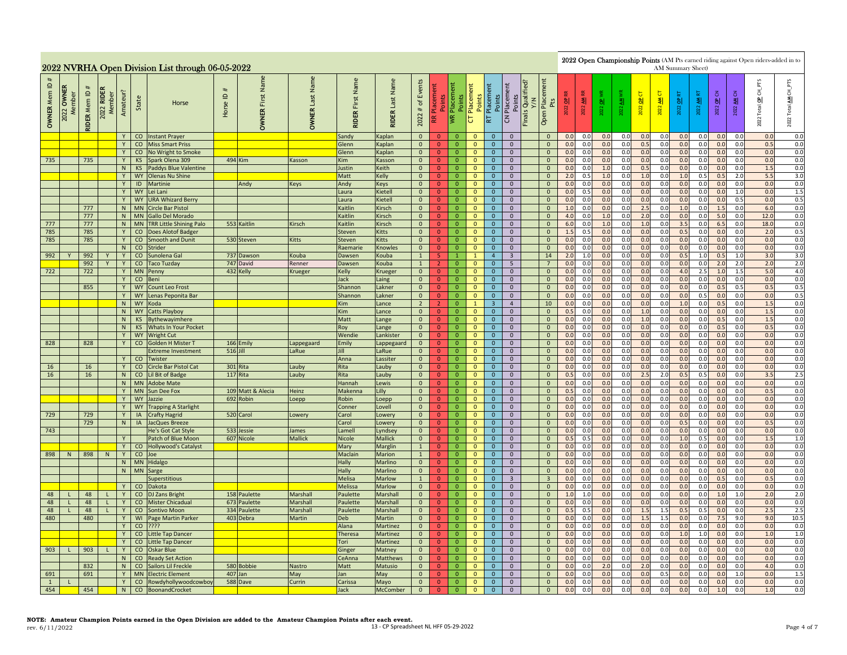|                                              |                           |                     |                      |          |                        | 2022 NVRHA Open Division List through 06-05-2022 |                                                    |                                |                              |                               |                           |                                                                                                                                                                                                                                                                                                                                                                                                                                                                                                                                                                                                                                                                                                                                                                                                                                                                                                                        |                                  |                                  |                               |                                |                                  |                                                                                           |                                                                                                                                                                                       |            |            |            |            |            | AM Summary Sheet) |            |            |                              |            | 2022 Open Championship Points (AM Pts earned riding against Open riders-added in to |                |
|----------------------------------------------|---------------------------|---------------------|----------------------|----------|------------------------|--------------------------------------------------|----------------------------------------------------|--------------------------------|------------------------------|-------------------------------|---------------------------|------------------------------------------------------------------------------------------------------------------------------------------------------------------------------------------------------------------------------------------------------------------------------------------------------------------------------------------------------------------------------------------------------------------------------------------------------------------------------------------------------------------------------------------------------------------------------------------------------------------------------------------------------------------------------------------------------------------------------------------------------------------------------------------------------------------------------------------------------------------------------------------------------------------------|----------------------------------|----------------------------------|-------------------------------|--------------------------------|----------------------------------|-------------------------------------------------------------------------------------------|---------------------------------------------------------------------------------------------------------------------------------------------------------------------------------------|------------|------------|------------|------------|------------|-------------------|------------|------------|------------------------------|------------|-------------------------------------------------------------------------------------|----------------|
| $\mathbf{\underline{o}}$<br><b>OWNER Mem</b> | <b>OWNER</b><br>2022 OWNE | <b>RIDER Mem ID</b> | 2022 RIDER<br>Member | Amateur? | State                  | Horse                                            | #<br>$\mathrel{\underline{\mathsf{e}}}$<br>Horse I | Name<br>First<br><b>OWNER</b>  | Name<br>Last<br><b>OWNER</b> | Name<br>First<br><b>RIDER</b> | Last Name<br><b>RIDER</b> | Events<br>FTS<br>Placement<br>Pts<br><b>Finals Qualified</b><br>Placement<br>Placement<br>Points<br>Placement<br>Total OP CH<br>Placeme<br>5<br>子<br>5<br>문<br>2022 OP CN<br>Points<br>Points<br>Points<br>Points<br>2022 AM F<br>ৰা<br>$\overline{a}$<br>$\overline{\mathbf{z}}$<br>2022 OP<br>₹<br>$\frac{a}{b}$<br>2022 OP<br>ᅨ<br>$\mathfrak{b}$<br>2022<br>2022<br>2022<br>2022<br>$\frac{22}{2}$<br>2022<br>$\#$<br>Open<br>2022<br><b>IVR</b><br>$\overline{a}$<br>$\overline{\mathsf{C}}$<br>Æ<br><b>Iz</b><br>2022<br>0.0<br>0.0<br>0.0<br>0.0<br>0.0<br>0.0<br>$\overline{0}$<br>$\mathbf{0}$<br>$\mathbf{0}$<br>$\overline{0}$<br>$\overline{0}$<br>$\mathbf{0}$<br>0.0<br>0.0<br>0.0<br>0.0<br>0.0<br>0<br>0.5<br>0.5<br>$\mathbf{0}$<br>0.0<br>0.0<br>0.0<br>0.0<br>0.0<br>0.0<br>0.0<br>0.0<br>0.0<br>$\mathbf{0}$<br>$\overline{0}$<br>$\overline{0}$<br>$\mathbf{0}$<br>$\overline{0}$<br>$\mathbf{0}$ |                                  |                                  |                               |                                |                                  |                                                                                           |                                                                                                                                                                                       |            |            |            |            |            |                   |            |            | CH_PTS<br>₹<br>Total<br>2022 |            |                                                                                     |                |
|                                              |                           |                     |                      | Y        |                        | CO Instant Prayer                                |                                                    |                                |                              | Sandy                         | Kaplan                    |                                                                                                                                                                                                                                                                                                                                                                                                                                                                                                                                                                                                                                                                                                                                                                                                                                                                                                                        |                                  |                                  |                               |                                |                                  |                                                                                           |                                                                                                                                                                                       |            |            |            |            |            |                   |            |            |                              |            |                                                                                     | 0.0            |
|                                              |                           |                     |                      | Y<br>Y   |                        | <b>CO</b> Miss Smart Priss                       |                                                    |                                |                              | Glenn                         | Kaplan                    |                                                                                                                                                                                                                                                                                                                                                                                                                                                                                                                                                                                                                                                                                                                                                                                                                                                                                                                        | $\overline{0}$                   |                                  | $\mathbf{0}$                  |                                |                                  |                                                                                           | $\mathbf{0}$                                                                                                                                                                          | 0.0        | 0.0        | 0.0        | 0.0        | 0.0        | 0.0               | 0.0        | 0.0        | 0.0                          |            | 0.0                                                                                 | 0.0            |
| 735                                          |                           | 735                 |                      | Y        | <b>KS</b>              | CO No Wright to Smoke<br>Spark Olena 309         |                                                    | 494 Kim                        | Kasson                       | Glenn<br>Kim                  | Kaplan<br>Kasson          | $\overline{0}$<br>$\mathbf{0}$                                                                                                                                                                                                                                                                                                                                                                                                                                                                                                                                                                                                                                                                                                                                                                                                                                                                                         | $\overline{0}$                   | $\overline{0}$<br>$\mathbf 0$    | $\mathbf 0$                   | $\mathbf{0}$<br>$\mathbf{0}$   | $\mathbf{0}$<br>$\mathbf 0$      |                                                                                           | $\mathbf 0$                                                                                                                                                                           | 0.0        | 0.0        | 0.0        | 0.0        | 0.0        | 0.0               | 0.0        | 0.0        | 0.0                          | 0.0<br>0.0 | 0.0                                                                                 | $0.0\,$<br>0.0 |
|                                              |                           |                     |                      | N        |                        | KS Paddys Blue Valentine                         |                                                    |                                |                              | Justin                        | Keith                     | $\overline{0}$                                                                                                                                                                                                                                                                                                                                                                                                                                                                                                                                                                                                                                                                                                                                                                                                                                                                                                         | $\mathbf{0}$                     | $\overline{0}$                   | $\mathbf{0}$                  | $\overline{0}$                 | $\mathbf 0$                      |                                                                                           | $\mathbf 0$                                                                                                                                                                           | 0.0        | 0.0        | 1.0        | 0.0        | 0.5        | 0.0               | 0.0        | 0.0        | 0.0                          | 0.0        | 1.5                                                                                 | 0.0            |
|                                              |                           |                     |                      | Y        |                        | WY Olenas Nu Shine                               |                                                    |                                |                              | Matt                          | Kelly                     | $\overline{0}$                                                                                                                                                                                                                                                                                                                                                                                                                                                                                                                                                                                                                                                                                                                                                                                                                                                                                                         | $\mathbf{0}$                     | $\overline{0}$                   | $\mathbf{0}$                  | $\overline{0}$                 | $\overline{0}$                   |                                                                                           | $\mathbf{0}$                                                                                                                                                                          | 2.0        | 0.5        | 1.0        | 0.0        | 1.0        | 0.0               | 1.0        | 0.5        | 0.5                          | 2.0        | 5.5                                                                                 | 3.0            |
|                                              |                           |                     |                      | Y        |                        | <b>ID</b> Martinie                               |                                                    | Andy                           | <b>Keys</b>                  | Andy                          | <b>Keys</b>               | $\mathbf{0}$                                                                                                                                                                                                                                                                                                                                                                                                                                                                                                                                                                                                                                                                                                                                                                                                                                                                                                           | $\mathbf{0}$                     | $\overline{0}$                   | $\mathbf{0}$                  | $\overline{0}$                 | $\overline{0}$                   |                                                                                           | $\mathbf{0}$                                                                                                                                                                          | 0.0        | 0.0        | 0.0        | 0.0        | 0.0        | 0.0               | 0.0        | 0.0        | 0.0                          | 0.0        | 0.0                                                                                 | 0.0            |
|                                              |                           |                     |                      | Y.<br>Y  | <b>WY</b>              | Lei Lani                                         |                                                    |                                |                              | aura.                         | Kietell                   | $\mathbf{0}$                                                                                                                                                                                                                                                                                                                                                                                                                                                                                                                                                                                                                                                                                                                                                                                                                                                                                                           | $\overline{0}$<br>$\overline{0}$ | $\overline{0}$                   | $\mathbf 0$                   | $\mathbf{0}$                   | $\mathbf 0$                      |                                                                                           | $\mathbf 0$                                                                                                                                                                           | 0.0        | 0.5        | 0.0        | 0.0        | 0.0        | 0.0               | 0.0        | 0.0        | 0.0                          | 1.0        | 0.0                                                                                 | $1.5\,$        |
|                                              |                           | 777                 |                      | N        |                        | WY URA Whizard Berry<br>MN Circle Bar Pistol     |                                                    |                                |                              | Laura<br>Kaitlin              | Kietell<br>Kirsch         | $\mathbf{0}$<br>$\overline{0}$                                                                                                                                                                                                                                                                                                                                                                                                                                                                                                                                                                                                                                                                                                                                                                                                                                                                                         | $\mathbf{0}$                     | $\overline{0}$<br>$\mathbf{0}$   | $\mathbf 0$<br>$\mathbf{0}$   | $\mathbf 0$<br>$\mathbf{0}$    | $\mathbf 0$<br>$\mathbf 0$       |                                                                                           | $\mathbf 0$<br>$\mathbf{0}$                                                                                                                                                           | 0.0<br>1.0 | 0.0<br>0.0 | 0.0<br>0.0 | 0.0<br>0.0 | 0.0<br>2.5 | 0.0<br>0.0        | 0.0<br>1.0 | 0.0<br>0.0 | 0.0<br>1.5                   | 0.5<br>0.0 | 0.0<br>6.0                                                                          | 0.5<br>0.0     |
|                                              |                           | 777                 |                      | N        |                        | MN Gallo Del Morado                              |                                                    |                                |                              | Kaitlin                       | Kirsch                    | $\mathbf{0}$                                                                                                                                                                                                                                                                                                                                                                                                                                                                                                                                                                                                                                                                                                                                                                                                                                                                                                           | $\mathbf{0}$                     | $\overline{0}$                   | $\mathbf{0}$                  | $\overline{0}$                 | $\overline{0}$                   |                                                                                           | $\mathbf{0}$                                                                                                                                                                          | 4.0        | 0.0        | 1.0        | 0.0        | 2.0        | 0.0               | 0.0        | 0.0        | 5.0                          | 0.0        | 12.0                                                                                | 0.0            |
| 777                                          |                           | 777                 |                      | N        | <b>MN</b>              | <b>TRR Little Shining Palo</b>                   |                                                    | 553 Kaitlin                    | <b>Kirsch</b>                | Kaitlin                       | Kirsch                    | $\overline{0}$                                                                                                                                                                                                                                                                                                                                                                                                                                                                                                                                                                                                                                                                                                                                                                                                                                                                                                         | $\overline{0}$                   | $\overline{0}$                   | $\mathbf{0}$                  | $\mathbf{0}$                   | $\overline{0}$                   |                                                                                           | $\mathbf{0}$                                                                                                                                                                          | 6.0        | 0.0        | 1.0        | 0.0        | 1.0        | 0.0               | 3.5        | 0.0        | 6.5                          | 0.0        | 18.0                                                                                | 0.0            |
| 785                                          |                           | 785                 |                      | Y        | CO                     | Does Alotof Badger                               |                                                    |                                |                              | Steven                        | <b>Kitts</b>              | $\overline{0}$                                                                                                                                                                                                                                                                                                                                                                                                                                                                                                                                                                                                                                                                                                                                                                                                                                                                                                         | $\mathbf{0}$                     | $\overline{0}$                   | $\mathbf{0}$                  | $\mathbf{0}$                   | $\overline{0}$                   |                                                                                           | $\mathbf{0}$                                                                                                                                                                          | 1.5        | 0.5        | 0.0        | 0.0        | 0.0        | 0.0               | 0.5        | 0.0        | 0.0                          | 0.0        | 2.0                                                                                 | 0.5            |
| 785                                          |                           | 785                 |                      | Y        | CO                     | <b>Smooth and Dunit</b>                          |                                                    | 530 Steven                     | <b>Kitts</b>                 | Steven                        | Kitts                     | $\overline{0}$                                                                                                                                                                                                                                                                                                                                                                                                                                                                                                                                                                                                                                                                                                                                                                                                                                                                                                         | $\overline{0}$                   | $\overline{0}$                   | $\mathbf{0}$                  | $\mathbf{0}$                   | $\overline{0}$                   |                                                                                           | $\overline{0}$                                                                                                                                                                        | 0.0        | 0.0        | 0.0        | 0.0        | 0.0        | 0.0               | 0.0        | 0.0        | 0.0                          | 0.0        | 0.0                                                                                 | 0.0            |
|                                              |                           |                     |                      | N        | CO                     | Strider                                          |                                                    |                                |                              | Raemarie                      | Knowles                   | $\overline{0}$                                                                                                                                                                                                                                                                                                                                                                                                                                                                                                                                                                                                                                                                                                                                                                                                                                                                                                         | $\mathbf{0}$                     | $\overline{0}$                   | $\mathbf{0}$                  | $\mathbf{0}$                   | $\overline{0}$                   |                                                                                           | $\mathbf{0}$                                                                                                                                                                          | 0.0        | 0.0        | 0.0        | 0.0        | 0.0        | 0.0               | 0.0        | 0.0        | 0.0                          | 0.0        | 0.0                                                                                 | 0.0            |
| 992                                          |                           | 992                 |                      | Y        | CO                     | Sunolena Gal                                     |                                                    | 737 Dawson                     | Kouba                        | Dawsen                        | Kouba                     | $\mathbf{1}$                                                                                                                                                                                                                                                                                                                                                                                                                                                                                                                                                                                                                                                                                                                                                                                                                                                                                                           | 5 <sup>1</sup>                   | $\overline{1}$                   | $\mathbf{1}$                  | $\overline{4}$                 | $\overline{3}$                   |                                                                                           | 14                                                                                                                                                                                    | 2.0        | 1.0        | 0.0        | 0.0        | 0.0        | 0.0               | 0.5        | 1.0        | 0.5                          | 1.0        | 3.0                                                                                 | 3.0            |
| 722                                          |                           | 992<br>722          |                      | Y<br>Y   | CO<br><b>MN</b>        | <b>Taco Tuzday</b><br>Penny                      |                                                    | 747 David<br>432 Kelly         | Renner<br>Krueger            | Dawsen<br>Kelly               | Kouba<br>Krueger          | $\mathbf{1}$<br>$\overline{0}$                                                                                                                                                                                                                                                                                                                                                                                                                                                                                                                                                                                                                                                                                                                                                                                                                                                                                         | 2 <sup>1</sup><br>$\overline{0}$ | $\overline{0}$<br>$\overline{0}$ | $\mathbf{0}$<br>$\mathbf{0}$  | $\mathbf{0}$<br>$\mathbf{0}$   | 5 <sup>5</sup><br>$\mathbf{0}$   |                                                                                           | $7\overline{ }$<br>$\mathbf{0}$                                                                                                                                                       | 0.0<br>0.0 | 0.0<br>0.0 | 0.0<br>0.0 | 0.0<br>0.0 | 0.0<br>0.0 | 0.0<br>0.0        | 0.0<br>4.0 | 0.0<br>2.5 | 2.0<br>1.0                   | 2.0<br>1.5 | 2.0<br>5.0                                                                          | 2.0<br>4.0     |
|                                              |                           |                     |                      | Y        |                        | CO Beni                                          |                                                    |                                |                              | Jack                          | Laing                     | $\overline{0}$                                                                                                                                                                                                                                                                                                                                                                                                                                                                                                                                                                                                                                                                                                                                                                                                                                                                                                         | $\overline{0}$                   | $\overline{0}$                   | $\mathbf{0}$                  | $\mathbf{0}$                   | $\mathbf{0}$                     |                                                                                           | $\mathbf{0}$                                                                                                                                                                          | 0.0        | 0.0        | 0.0        | 0.0        | 0.0        | 0.0               | 0.0        | 0.0        | 0.0                          | 0.0        | 0.0                                                                                 | 0.0            |
|                                              |                           | 855                 |                      |          |                        | WY Count Leo Frost                               |                                                    |                                |                              | Shannon                       | Lakner                    | $\overline{0}$                                                                                                                                                                                                                                                                                                                                                                                                                                                                                                                                                                                                                                                                                                                                                                                                                                                                                                         | $\overline{0}$                   | $\mathbf{0}$                     | $\mathbf{0}$                  | $\mathbf{0}$                   | $\mathbf{0}$                     |                                                                                           | $\mathbf 0$                                                                                                                                                                           | 0.0        | 0.0        | 0.0        | 0.0        | 0.0        | 0.0               | 0.0        | 0.0        | 0.5                          | 0.5        | 0.5                                                                                 | 0.5            |
|                                              |                           |                     |                      | Y        | <b>WY</b>              | Lenas Peponita Bar                               |                                                    |                                |                              | Shannon                       | Lakner                    | $\overline{0}$                                                                                                                                                                                                                                                                                                                                                                                                                                                                                                                                                                                                                                                                                                                                                                                                                                                                                                         | $\mathbf{0}$                     | $\overline{0}$                   | $\mathbf{0}$                  | $\overline{0}$                 | $\overline{0}$                   |                                                                                           | $\mathbf{0}$                                                                                                                                                                          | 0.0        | 0.0        | 0.0        | 0.0        | 0.0        | 0.0               | 0.0        | 0.5        | 0.0                          | 0.0        | 0.0                                                                                 | 0.5            |
|                                              |                           |                     |                      | N        | WY                     | Koda                                             |                                                    |                                |                              | Kim                           | Lance                     | $\overline{2}$                                                                                                                                                                                                                                                                                                                                                                                                                                                                                                                                                                                                                                                                                                                                                                                                                                                                                                         | 2 <sup>1</sup>                   | $\overline{0}$                   | -1                            | 3 <sup>2</sup>                 | $\overline{4}$                   |                                                                                           | 10                                                                                                                                                                                    | 0.0        | 0.0        | 0.0        | 0.0        | 0.0        | 0.0               | 1.0        | 0.0        | 0.5                          | 0.0        | 1.5                                                                                 | 0.0            |
|                                              |                           |                     |                      | N        |                        | WY Catts Playboy                                 |                                                    |                                |                              | <b>Kim</b>                    | Lance                     | $\overline{0}$                                                                                                                                                                                                                                                                                                                                                                                                                                                                                                                                                                                                                                                                                                                                                                                                                                                                                                         | $\overline{0}$                   | $\overline{0}$                   | $\mathbf{0}$                  | $\overline{0}$                 | $\mathbf{0}$                     |                                                                                           | $\mathbf{0}$                                                                                                                                                                          | 0.5        | 0.0        | 0.0        | 0.0        | 1.0        | 0.0               | 0.0        | 0.0        | 0.0                          | 0.0        | 1.5                                                                                 | 0.0            |
|                                              |                           |                     |                      | N        |                        | KS Bythewayimhere                                |                                                    |                                |                              | Matt                          | Lange                     | $\overline{0}$                                                                                                                                                                                                                                                                                                                                                                                                                                                                                                                                                                                                                                                                                                                                                                                                                                                                                                         | $\overline{0}$                   | $\mathbf 0$                      | $\mathbf 0$                   | $\mathbf{0}$                   | $\mathbf 0$                      |                                                                                           | $\mathbf 0$                                                                                                                                                                           | 0.0        | 0.0        | 0.0        | 0.0        | $1.0$      | 0.0               | 0.0        | 0.0        | 0.5                          | 0.0        | 1.5                                                                                 | 0.0            |
|                                              |                           |                     |                      | N<br>Y   | KS                     | Whats In Your Pocket<br>WY Wright Cut            |                                                    |                                |                              | Roy<br>Wendie                 | Lange<br>Lankister        | $\mathbf{0}$<br>$\overline{0}$                                                                                                                                                                                                                                                                                                                                                                                                                                                                                                                                                                                                                                                                                                                                                                                                                                                                                         | $\overline{0}$                   | $\overline{0}$<br>$\overline{0}$ | $\mathbf 0$<br>$\overline{0}$ | $\mathbf{0}$<br>$\overline{0}$ | $\mathbf{0}$<br>$\overline{0}$   |                                                                                           | $\mathbf{0}$<br>$\overline{0}$                                                                                                                                                        | 0.0<br>0.0 | 0.0<br>0.0 | 0.0<br>0.0 | 0.0<br>0.0 | 0.0<br>0.0 | 0.0<br>0.0        | 0.0<br>0.0 | 0.0<br>0.0 | 0.5<br>0.0                   | 0.0<br>0.0 | 0.5<br>0.0                                                                          | 0.0<br>0.0     |
| 828                                          |                           | 828                 |                      | Y        | CO                     | <b>Golden H Mister 1</b>                         |                                                    | 166 Emily                      | appegaard                    | Emily                         | Lappegaard                | $\overline{0}$                                                                                                                                                                                                                                                                                                                                                                                                                                                                                                                                                                                                                                                                                                                                                                                                                                                                                                         | $\mathbf{0}$<br>$\mathbf{0}$     | $\overline{0}$                   | $\mathbf{0}$                  | $\mathbf{0}$                   | $\overline{0}$                   |                                                                                           | $\mathbf{0}$                                                                                                                                                                          | 0.0        | 0.0        | 0.0        | 0.0        | 0.0        | 0.0               | 0.0        | 0.0        | 0.0                          | 0.0        | 0.0                                                                                 | 0.0            |
|                                              |                           |                     |                      |          |                        | <b>Extreme Investment</b>                        |                                                    | 516 Jill                       | aRue                         | īШ                            | LaRue                     | $\overline{0}$                                                                                                                                                                                                                                                                                                                                                                                                                                                                                                                                                                                                                                                                                                                                                                                                                                                                                                         | $\overline{0}$                   | $\overline{0}$                   | $\mathbf 0$                   | $\mathbf{0}$                   | $\mathbf 0$                      |                                                                                           | $\mathbf 0$                                                                                                                                                                           | 0.0        | 0.0        | 0.0        | 0.0        | 0.0        | 0.0               | 0.0        | 0.0        | 0.0                          | 0.0        | 0.0                                                                                 | 0.0            |
|                                              |                           |                     |                      |          | co                     | Twister                                          |                                                    |                                |                              | Anna                          | Lassiter                  | $\overline{0}$                                                                                                                                                                                                                                                                                                                                                                                                                                                                                                                                                                                                                                                                                                                                                                                                                                                                                                         | $\overline{0}$                   | $\mathbf 0$                      | $\mathbf 0$                   | $\mathbf 0$                    | $\mathbf 0$                      |                                                                                           | $\mathbf 0$                                                                                                                                                                           | 0.0        | 0.0        | 0.0        | 0.0        | 0.0        | 0.0               | 0.0        | 0.0        | 0.0                          | 0.0        | 0.0                                                                                 | 0.0            |
| 16                                           |                           | 16                  |                      | Y        |                        | CO Circle Bar Pistol Cat                         |                                                    | 301 Rita                       | auby                         | Rita                          | Lauby                     | $\overline{0}$                                                                                                                                                                                                                                                                                                                                                                                                                                                                                                                                                                                                                                                                                                                                                                                                                                                                                                         | $\mathbf{0}$                     | $\overline{0}$                   | $\mathbf{0}$                  | $\mathbf{0}$                   | $\mathbf 0$                      |                                                                                           | $\mathbf{0}$                                                                                                                                                                          | 0.0        | 0.0        | 0.0        | 0.0        | 0.0        | 0.0               | 0.0        | 0.0        | 0.0                          | 0.0        | 0.0                                                                                 | 0.0            |
| 16                                           |                           | 16                  |                      | N        |                        | CO Lil Bit of Badge                              |                                                    | 117 Rita                       | auby                         | Rita                          | Lauby                     | $\overline{0}$                                                                                                                                                                                                                                                                                                                                                                                                                                                                                                                                                                                                                                                                                                                                                                                                                                                                                                         | $\mathbf{0}$                     | $\overline{0}$                   | $\mathbf{0}$                  | $\Omega$                       | $\overline{0}$                   |                                                                                           | $\mathbf{0}$                                                                                                                                                                          | 0.5        | 0.0        | 0.0        | 0.0        | 2.5        | 2.0               | 0.5        | 0.5        | 0.0                          | 0.0        | 3.5                                                                                 | 2.5            |
|                                              |                           |                     |                      |          |                        | N   MN   Adobe Mate                              |                                                    |                                |                              | Hannah                        | Lewis                     | $\mathbf{0}$                                                                                                                                                                                                                                                                                                                                                                                                                                                                                                                                                                                                                                                                                                                                                                                                                                                                                                           | $\overline{0}$                   | $\mathbf{0}$                     | $\mathbf{0}$                  | $\mathbf{0}$                   | $\overline{0}$                   |                                                                                           | $\mathbf{0}$                                                                                                                                                                          | 0.0        | 0.0        | 0.0        | 0.0        | 0.0        | 0.0               | 0.0        | 0.0        | 0.0                          | 0.0        | 0.0                                                                                 | 0.0            |
|                                              |                           |                     |                      | Y<br>Y   | <b>MN</b><br><b>WY</b> | Sun Dee Fox<br>Jazzie                            |                                                    | 109 Matt & Alecia<br>692 Robin | Heinz<br>oepp                | Makenna<br>Robin              | Lilly                     | $\overline{0}$<br>$\overline{0}$                                                                                                                                                                                                                                                                                                                                                                                                                                                                                                                                                                                                                                                                                                                                                                                                                                                                                       | $\overline{0}$<br>$\overline{0}$ | $\overline{0}$<br>$\overline{0}$ | $\mathbf{0}$<br>$\mathbf{0}$  | $\mathbf{0}$<br>$\mathbf 0$    | $\mathbf{0}$<br>$\mathbf{0}$     |                                                                                           | $\mathbf{0}$<br>$\mathbf 0$                                                                                                                                                           | 0.5<br>0.0 | 0.0<br>0.0 | 0.0<br>0.0 | 0.0<br>0.0 | 0.0<br>0.0 | 0.0<br>0.0        | 0.0<br>0.0 | 0.0<br>0.0 | 0.0<br>0.0                   | 0.0<br>0.0 | 0.5<br>0.0                                                                          | 0.0<br>0.0     |
|                                              |                           |                     |                      |          | <b>WY</b>              | <b>Trapping A Starlight</b>                      |                                                    |                                |                              | Conner                        | Loepp<br>Lovell           | $\overline{0}$                                                                                                                                                                                                                                                                                                                                                                                                                                                                                                                                                                                                                                                                                                                                                                                                                                                                                                         | $\overline{0}$                   | $\overline{0}$                   | $\mathbf{0}$                  | $\mathbf{0}$                   | $\mathbf{0}$                     |                                                                                           | $\mathbf{0}$                                                                                                                                                                          | 0.0        | 0.0        | 0.0        | 0.0        | 0.0        | 0.0               | 0.0        | 0.0        | 0.0                          | 0.0        | 0.0                                                                                 | 0.0            |
| 729                                          |                           | 729                 |                      | Y        | IA                     | <b>Crafty Hagrid</b>                             |                                                    | 520 Carol                      | Lowery                       | Carol                         | Lowery                    | $\mathbf{0}$                                                                                                                                                                                                                                                                                                                                                                                                                                                                                                                                                                                                                                                                                                                                                                                                                                                                                                           | $\mathbf{0}$                     | $\overline{0}$                   | $\mathbf 0$                   | $\overline{0}$                 | $\overline{0}$                   |                                                                                           | $\mathbf{0}$                                                                                                                                                                          | 0.0        | 0.0        | 0.0        | 0.0        | 0.0        | 0.0               | 0.0        | 0.0        | 0.0                          | 0.0        | 0.0                                                                                 | 0.0            |
|                                              |                           | 729                 |                      | N        | IA                     | <b>JacQues Breeze</b>                            |                                                    |                                |                              | Carol                         | Lowery                    | $\overline{0}$                                                                                                                                                                                                                                                                                                                                                                                                                                                                                                                                                                                                                                                                                                                                                                                                                                                                                                         | $\mathbf{0}$                     | $\mathbf{0}$                     | $\mathbf{0}$                  | $\mathbf{0}$                   | $\overline{0}$                   |                                                                                           | $\mathbf{0}$                                                                                                                                                                          | 0.0        | 0.0        | 0.0        | 0.0        | 0.0        | 0.0               | 0.5        | 0.0        | 0.0                          | 0.0        | 0.5                                                                                 | 0.0            |
| 743                                          |                           |                     |                      |          |                        | He's Got Cat Style                               |                                                    | 533 Jessie                     | lames                        | Lamell                        | Lyndsey                   | $\overline{0}$                                                                                                                                                                                                                                                                                                                                                                                                                                                                                                                                                                                                                                                                                                                                                                                                                                                                                                         | $\overline{0}$                   | $\overline{0}$                   | $\mathbf{0}$                  | $\mathbf{0}$                   | $\overline{0}$                   |                                                                                           | $\overline{0}$                                                                                                                                                                        | 0.0        | 0.0        | 0.0        | 0.0        | 0.0        | 0.0               | 0.0        | 0.0        | 0. <sub>C</sub>              | 0.0        | 0.0                                                                                 | 0.0            |
|                                              |                           |                     |                      | Y        |                        | Patch of Blue Moon                               |                                                    | 607 Nicole                     | Mallick                      | Nicole                        | <b>Mallick</b>            | $\overline{0}$                                                                                                                                                                                                                                                                                                                                                                                                                                                                                                                                                                                                                                                                                                                                                                                                                                                                                                         | $\overline{0}$                   | $\overline{0}$                   | $\overline{\mathbf{0}}$       | $\mathbf{0}$                   | $\mathbf 0$                      |                                                                                           | $\mathbf{0}$                                                                                                                                                                          | 0.5        | 0.5        | 0.0        | 0.0        | 0.0        | 0.0               | 1.0        | 0.5        | 0.0                          | 0.0        | 1.5                                                                                 | 1.0            |
|                                              |                           |                     |                      | Y        | CO                     | <b>Hollywood's Catalyst</b>                      |                                                    |                                |                              | Mary<br>Maclair               | Marglin                   | $\mathbf{1}$                                                                                                                                                                                                                                                                                                                                                                                                                                                                                                                                                                                                                                                                                                                                                                                                                                                                                                           | $\overline{0}$                   | $\mathbf{0}$<br>$\overline{0}$   | $\mathbf{0}$<br>$\mathbf{0}$  | $\mathbf{0}$                   | $\mathbf 0$<br>$\overline{0}$    |                                                                                           | $\mathbf{0}$<br>$\mathbf{0}$                                                                                                                                                          | 0.0        | 0.0        | 0.0<br>0.0 | 0.0<br>0.0 | 0.0        | 0.0<br>0.0        | 0.0<br>0.0 | 0.0<br>0.0 | 0.0<br>0.0                   | 0.0<br>0.0 | 0.0<br>0.0                                                                          | 0.0            |
| 898                                          | N                         | 898                 | N                    | Y<br>N   | CO<br><b>MN</b>        | Joe<br>Hidalgo                                   |                                                    |                                |                              | Hally                         | Marion<br>Marlino         | $\mathbf{1}$<br>$\mathbf{0}$                                                                                                                                                                                                                                                                                                                                                                                                                                                                                                                                                                                                                                                                                                                                                                                                                                                                                           | $\mathbf{0}$<br>$\overline{0}$   | $\mathbf{0}$                     | $\mathbf{0}$                  | $\overline{0}$<br>$\mathbf{0}$ | $\overline{0}$                   |                                                                                           | $\mathbf{0}$                                                                                                                                                                          | 0.0<br>0.0 | 0.0<br>0.0 | 0.0        | 0.0        | 0.0<br>0.0 | 0.0               | 0.0        | 0.0        | 0.0                          | 0.0        | 0.0                                                                                 | 0.0<br>0.0     |
|                                              |                           |                     |                      | N        | <b>MN</b>              | Sarge                                            |                                                    |                                |                              | Hally                         | Marlino                   | $\overline{0}$                                                                                                                                                                                                                                                                                                                                                                                                                                                                                                                                                                                                                                                                                                                                                                                                                                                                                                         | $\overline{0}$                   | $\overline{0}$                   | $\mathbf{0}$                  | $\mathbf{0}$                   | $\mathbf{0}$                     |                                                                                           | $\mathbf{0}$                                                                                                                                                                          | 0.0        | 0.0        | 0.0        | 0.0        | 0.0        | 0.0               | 0.0        | 0.0        | 0.0                          | 0.0        | 0.0                                                                                 | 0.0            |
|                                              |                           |                     |                      |          |                        | <b>Superstitious</b>                             |                                                    |                                |                              | <b>Melisa</b>                 | Marlow                    | $\mathbf{1}$                                                                                                                                                                                                                                                                                                                                                                                                                                                                                                                                                                                                                                                                                                                                                                                                                                                                                                           | $\overline{0}$                   | $\overline{0}$                   | $\mathbf{0}$                  | $\overline{0}$                 | $\overline{3}$                   |                                                                                           | $\overline{\mathbf{3}}$                                                                                                                                                               | 0.0        | 0.0        | 0.0        | 0.0        | 0.0        | 0.0               | 0.0        | 0.0        | 0.5                          | 0.0        | 0.5                                                                                 | 0.0            |
|                                              |                           |                     |                      |          | $\rm CO$               | Dakota                                           |                                                    |                                |                              | Melissa                       | Marlow                    | $\overline{0}$                                                                                                                                                                                                                                                                                                                                                                                                                                                                                                                                                                                                                                                                                                                                                                                                                                                                                                         | $\overline{0}$                   | $\overline{0}$                   | $\mathbf{0}$                  | $\overline{0}$                 | $\overline{0}$                   |                                                                                           | $\mathbf{0}$                                                                                                                                                                          | 0.0        | 0.0        | 0.0        | 0.0        | 0.0        | 0.0               | 0.0        | 0.0        | 0.0                          | 0.0        | 0.0                                                                                 | 0.0            |
| 48                                           |                           | 48                  | п.                   | Y        | CO                     | <b>DJ Zans Bright</b>                            |                                                    | 158 Paulette                   | Marshall                     | Paulette                      | Marshall                  | $\overline{0}$                                                                                                                                                                                                                                                                                                                                                                                                                                                                                                                                                                                                                                                                                                                                                                                                                                                                                                         | $\mathbf{0}$                     | $\overline{0}$                   | $\mathbf{0}$                  | $\overline{0}$                 | $\overline{0}$                   |                                                                                           | $\mathbf 0$                                                                                                                                                                           | 1.0        | 1.0        | 0.0        | 0.0        | 0.0        | 0.0               | 0.0        | 0.0        | 1.0                          | 1.0        | 2.0                                                                                 | 2.0            |
| 48                                           |                           | 48                  | $\mathbf{L}$         | Y        | CO                     | Mister Chicadual                                 |                                                    | 673 Paulette                   | Marshall                     | Paulette                      | Marshall                  | $\overline{0}$                                                                                                                                                                                                                                                                                                                                                                                                                                                                                                                                                                                                                                                                                                                                                                                                                                                                                                         | $\mathbf{0}$                     | $\overline{0}$                   | $\mathbf{0}$                  | $\mathbf{0}$                   | $\overline{0}$                   |                                                                                           | $\mathbf{0}$                                                                                                                                                                          | 0.0        | 0.0        | 0.0        | 0.0        | 0.0        | 0.0               | 0.0        | 0.0        | 0.0                          | 0.0        | 0.0                                                                                 | 0.0            |
| 48                                           |                           | 48                  | $\mathsf{L}$         | Y<br>Y   | CO                     | Sontivo Moon                                     |                                                    | 334 Paulette                   | Marshall                     | Paulette                      | Marshall                  | $\overline{0}$                                                                                                                                                                                                                                                                                                                                                                                                                                                                                                                                                                                                                                                                                                                                                                                                                                                                                                         | $\overline{0}$                   | $\overline{0}$                   | $\mathbf{0}$                  | $\mathbf{0}$                   | $\mathbf 0$                      |                                                                                           | $\mathbf{0}$                                                                                                                                                                          | 0.5        | 0.5        | 0.0        | 0.0        | 1.5        | 1.5               | 0.5        | 0.5        | 0.0                          | 0.0        | 2.5                                                                                 | $2.5\,$        |
| 480                                          |                           | 480                 |                      | Y        | WI<br>CO               | Page Martin Parker<br>????                       |                                                    | 403 Debra                      | Martin                       | Deb<br>Alana                  | Martin<br>Martinez        | $\mathbf{0}$<br>$\overline{0}$                                                                                                                                                                                                                                                                                                                                                                                                                                                                                                                                                                                                                                                                                                                                                                                                                                                                                         | $\overline{0}$<br>$\overline{0}$ | $\mathbf 0$<br>$\mathbf{0}$      | $\mathbf 0$<br>$\mathbf{0}$   | $\mathbf 0$<br>$\mathbf 0$     | $\mathbf 0$<br>$\mathbf 0$       |                                                                                           | $\mathbf 0$                                                                                                                                                                           | 0.0        | 0.0        | 0.0        | 0.0        | 1.5        | 1.5               | 0.0        | 0.0        | 7.5                          | 9.0        | 9.0                                                                                 | 10.5<br>0.0    |
|                                              |                           |                     |                      | Y        |                        | CO Little Tap Dancer                             |                                                    |                                |                              | <b>Theresa</b>                | Martinez                  | $\Omega$                                                                                                                                                                                                                                                                                                                                                                                                                                                                                                                                                                                                                                                                                                                                                                                                                                                                                                               | $\mathbf{0}$                     | $\overline{0}$                   | $\mathbf{0}$                  | $\overline{0}$                 | $\mathbf{0}$                     |                                                                                           | 0.0<br>0.0<br>0.0<br>$\mathbf 0$<br>0.0<br>0.0<br>0.0<br>0.0<br>0.0<br>0.0<br>0.0<br>0.0<br>$\mathbf{0}$<br>0.0<br>0.0<br>0.0<br>0.0<br>0.0<br>0.0<br>1.0<br>1.0<br>0.0<br>0.0<br>1.0 |            |            |            |            |            |                   |            |            |                              |            |                                                                                     |                |
|                                              |                           |                     |                      | Y        | CO                     | <b>Little Tap Dancer</b>                         |                                                    |                                |                              | Tori                          | Martinez                  | $\mathbf{0}$                                                                                                                                                                                                                                                                                                                                                                                                                                                                                                                                                                                                                                                                                                                                                                                                                                                                                                           | $\mathbf{0}$                     | $\overline{0}$                   | $\mathbf{0}$                  | $\mathbf{0}$                   | $\mathbf{0}$                     | 0.0<br>0.0<br>0.0<br>0.0<br>$\mathbf{0}$<br>0.0<br>0.0<br>0.0<br>0.0<br>0.0<br>0.0<br>0.0 |                                                                                                                                                                                       |            |            |            |            |            |                   |            |            |                              |            | 1.0<br>0.0                                                                          |                |
| 903                                          |                           | 903                 | $\mathsf{L}$         | Y        | CO                     | <b>Oskar Blue</b>                                |                                                    |                                |                              | Ginger                        | Matney                    | $\overline{0}$                                                                                                                                                                                                                                                                                                                                                                                                                                                                                                                                                                                                                                                                                                                                                                                                                                                                                                         | $\overline{0}$                   | $\overline{0}$                   | $\mathbf{0}$                  | $\overline{0}$                 | $\overline{0}$                   |                                                                                           | $\mathbf{0}$                                                                                                                                                                          | 0.0        | 0.0        | 0.0        | 0.0        | 0.0        | 0.0               | 0.0        | 0.0        | 0.0                          | 0.0        | 0.0                                                                                 | 0.0            |
|                                              |                           |                     |                      | N        |                        | CO Ready Set Action                              |                                                    |                                |                              | CeAnna                        | <b>Matthews</b>           | $\overline{0}$                                                                                                                                                                                                                                                                                                                                                                                                                                                                                                                                                                                                                                                                                                                                                                                                                                                                                                         | $\overline{0}$                   | $\overline{0}$                   | $\mathbf{0}$                  | $\mathbf 0$                    | $\mathbf 0$                      |                                                                                           | $\mathbf 0$                                                                                                                                                                           | 0.0        | 0.0        | 0.0        | 0.0        | 0.0        | 0.0               | 0.0        | 0.0        | 0.0                          | 0.0        | 0.0                                                                                 | 0.0            |
|                                              |                           | 832                 |                      | N        | CO                     | <b>Sailors Lil Freckle</b>                       |                                                    | 580 Bobbie                     | Nastro                       | Matt                          | Matusio                   | $\overline{0}$                                                                                                                                                                                                                                                                                                                                                                                                                                                                                                                                                                                                                                                                                                                                                                                                                                                                                                         | $\overline{0}$                   | $\overline{0}$                   | $\mathbf{0}$                  | $\overline{0}$                 | $\overline{0}$                   |                                                                                           | $\mathbf{0}$                                                                                                                                                                          | 0.0        | 0.0        | 2.0        | 0.0        | 2.0        | 0.0               | 0.0        | 0.0        | 0.0                          | 0.0        | 4.0                                                                                 | 0.0            |
| 691                                          |                           | 691                 |                      |          |                        | <b>MN</b> Electric Element                       |                                                    | $407$ Jan                      | May                          | lan                           | May                       | $\overline{0}$                                                                                                                                                                                                                                                                                                                                                                                                                                                                                                                                                                                                                                                                                                                                                                                                                                                                                                         | $\mathbf{0}$                     | $\mathbf{0}$                     | $\mathbf{0}$                  | $\overline{0}$                 | $\overline{0}$                   |                                                                                           | $\mathbf{0}$                                                                                                                                                                          | 0.0        | 0.0        | 0.0        | 0.0        | 0.0        | 0.5               | 0.0        | 0.0<br>0.0 | 0.0                          | 1.0        | 0.0                                                                                 | 1.5            |
| $\mathbf{1}$<br>454                          |                           | 454                 |                      | Y<br>N   |                        | CO Rowdyhollywoodcowboy<br>CO BoonandCrocket     |                                                    | 588 Dave                       | Currin                       | Carissa<br>Jack               | Mayo<br><b>McComber</b>   | $\mathbf{0}$<br>$\overline{0}$                                                                                                                                                                                                                                                                                                                                                                                                                                                                                                                                                                                                                                                                                                                                                                                                                                                                                         | $\Omega$<br>$\mathbf{0}$         | $\overline{0}$<br>$\overline{0}$ | $\Omega$<br>$\mathbf{0}$      | $\mathbf{0}$<br>$\mathbf{0}$   | $\overline{0}$<br>$\overline{0}$ |                                                                                           | $\mathbf{0}$<br>$\mathbf{0}$                                                                                                                                                          | 0.0<br>0.0 | 0.0<br>0.0 | 0.0<br>0.0 | 0.0<br>0.0 | 0.0<br>0.0 | 0.0<br>0.0        | 0.0<br>0.0 | 0.0        | 0.0<br>1.0                   | 0.0<br>0.0 | 0.0<br>1.0                                                                          | 0.0<br>0.0     |
|                                              |                           |                     |                      |          |                        |                                                  |                                                    |                                |                              |                               |                           |                                                                                                                                                                                                                                                                                                                                                                                                                                                                                                                                                                                                                                                                                                                                                                                                                                                                                                                        |                                  |                                  |                               |                                |                                  |                                                                                           |                                                                                                                                                                                       |            |            |            |            |            |                   |            |            |                              |            |                                                                                     |                |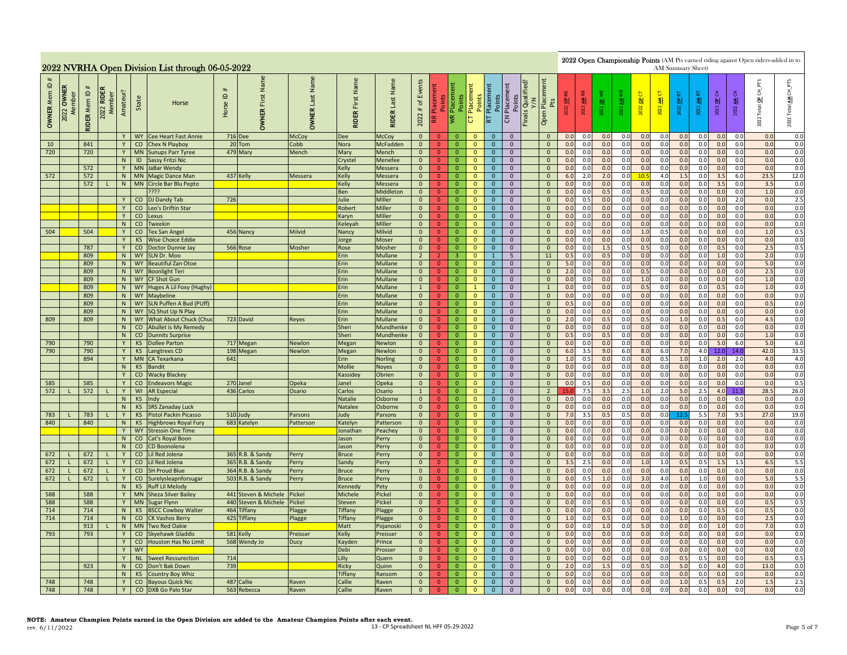|              |                           |                     |                                |          |                 | 2022 NVRHA Open Division List through 06-05-2022    |          |                                     |                                          |                               |                           |                                          |                                  |                                   |                                                |                                                                                                                                                                                                                                                                                                                                                                                                                                                                                                                                                                                                                                |                                  |  |                                |            |            |            |            |            |            |            | AM Summary Sheet) |                        |            | 2022 Open Championship Points (AM Pts earned riding against Open riders-added in to |                |
|--------------|---------------------------|---------------------|--------------------------------|----------|-----------------|-----------------------------------------------------|----------|-------------------------------------|------------------------------------------|-------------------------------|---------------------------|------------------------------------------|----------------------------------|-----------------------------------|------------------------------------------------|--------------------------------------------------------------------------------------------------------------------------------------------------------------------------------------------------------------------------------------------------------------------------------------------------------------------------------------------------------------------------------------------------------------------------------------------------------------------------------------------------------------------------------------------------------------------------------------------------------------------------------|----------------------------------|--|--------------------------------|------------|------------|------------|------------|------------|------------|------------|-------------------|------------------------|------------|-------------------------------------------------------------------------------------|----------------|
| OWNER Mem ID | <b>OWNER</b><br>2022 OWNE | <b>RIDER Mem ID</b> | <b>RIDER</b><br>Member<br>2022 | Amateur? | State           | Horse                                               | Horse ID | Name<br>First<br><b>OWNER</b>       | Last Name<br><b>OWNER</b>                | Name<br>First<br><b>RIDER</b> | Last Name<br><b>RIDER</b> | Events<br>$\mathfrak{b}$<br>$\#$<br>2022 | Points<br>Æ                      | Placement<br>Points<br><b>IVR</b> | Placement<br>Points<br>$\overline{\mathtt{C}}$ | Total OP CH_PTS<br>Finals Qualified?<br>Y/N<br>Placement<br>Points<br>Placement<br>ь<br>AM CN<br>Б<br>$\frac{\text{AM RT}}{\text{M}}$<br>$rac{C}{C}$<br>Placer<br>Pts<br>Points<br>2022 OP<br>$\overline{a}$<br>$\blacktriangleleft$<br>豸<br>$\frac{1}{2}$<br>2022 OP<br>াৱা<br>2022<br>2022<br>2022<br>2022<br>2022<br>2022<br>22<br>Open<br>$\mathbf S$<br>보<br>2022<br>0.0<br>0.0<br>0.0<br>0.0<br>0.0<br>0.0<br>0.0<br>0.0<br>0.0<br>0.0<br>0.0<br>$\overline{0}$<br>$\mathbf{0}$<br>$\Omega$<br>0.0<br>0.0<br>0.0<br>$\mathbf{0}$<br>$\mathbf{0}$<br>$\mathbf{0}$<br>0.0<br>0.0<br>0.0<br>0.0<br>0.0<br>0.0<br>0.0<br>0.0 |                                  |  |                                |            |            |            |            |            |            |            |                   |                        |            | AM CH_PTS<br>Total<br>2022                                                          |                |
|              |                           |                     |                                | Y        |                 | WY Cee Heart Fast Annie                             |          | 716 Dee                             | McCoy                                    | Dee                           | McCoy                     | $\Omega$                                 | $\mathbf{0}$                     | $\Omega$                          | $\mathbf{0}$                                   |                                                                                                                                                                                                                                                                                                                                                                                                                                                                                                                                                                                                                                |                                  |  |                                |            |            |            |            |            |            |            |                   |                        |            |                                                                                     | 0.0            |
| 10           |                           | 841                 |                                | Y        |                 | CO Chex N Playboy                                   |          | 20 Tom                              | Cobb                                     | Nora                          | <b>McFadden</b>           | $\overline{0}$                           | $\Omega$                         | $\mathbf{0}$                      | $\Omega$                                       |                                                                                                                                                                                                                                                                                                                                                                                                                                                                                                                                                                                                                                |                                  |  |                                |            |            |            |            |            |            |            |                   |                        |            |                                                                                     | 0.0            |
| 720          |                           | 720                 |                                | Y<br>N   | <b>MN</b><br>ID | <b>Sunups Parr Tyree</b><br><b>Sassy Fritzi Nic</b> |          | 479 Mary                            | Mench                                    | Mary<br>Crystel               | Mench<br>Menefee          | $\overline{0}$<br>$\overline{0}$         | $\overline{0}$<br>$\overline{0}$ | $\overline{0}$<br>$\overline{0}$  | $\mathbf{0}$<br>$\mathbf{0}$                   | $\mathbf{0}$<br>$\overline{0}$                                                                                                                                                                                                                                                                                                                                                                                                                                                                                                                                                                                                 | $\mathbf 0$<br>$\mathbf{0}$      |  | $\mathbf{0}$<br>$\mathbf{0}$   | 0.0<br>0.0 | 0.0<br>0.0 | 0.0<br>0.0 | 0.0<br>0.0 | 0.0<br>0.0 | 0.0<br>0.0 | 0.0<br>0.0 | 0.0<br>0.0        | 0.0<br>0.0             | 0.0<br>0.0 | 0.0<br>0.0                                                                          | $0.0\,$<br>0.0 |
|              |                           | 572                 |                                | Y        |                 | MN JaBar Wendy                                      |          |                                     |                                          | Kelly                         | Messera                   | $\mathbf{0}$                             | $\overline{0}$                   | $\overline{0}$                    | $\mathbf{0}$                                   | $\overline{0}$                                                                                                                                                                                                                                                                                                                                                                                                                                                                                                                                                                                                                 | $\mathbf{0}$                     |  | $\mathbf{0}$                   | 0.0        | 0.0        | 0.0        | 0.0        | 0.0        | 0.0        | 0.0        | 0.0               | 0.0                    | 0.0        | 0.0                                                                                 | 0.0            |
| 572          |                           | 572                 |                                | N        |                 | MN Magic Dance Man                                  |          | 437 Kelly                           | Messera                                  | Kelly                         | Messera                   | $\mathbf{0}$                             | $\mathbf{0}$                     | $\overline{0}$                    | $\mathbf{0}$                                   | $\overline{0}$                                                                                                                                                                                                                                                                                                                                                                                                                                                                                                                                                                                                                 | $\overline{0}$                   |  | $\mathbf{0}$                   | 6.0        | 2.0        | 2.0        | 0.0        | 10.5       | 4.0        | 1.5        | 0.0               | 3.5                    | 6.0        | 23.5                                                                                | 12.0           |
|              |                           | 572                 |                                |          |                 | N   MN   Circle Bar Blu Pepto                       |          |                                     |                                          | Kelly                         | Messera                   | $\overline{0}$                           | $\mathbf{0}$                     | $\overline{0}$                    | $\mathbf{0}$                                   | $\overline{0}$                                                                                                                                                                                                                                                                                                                                                                                                                                                                                                                                                                                                                 | $\overline{0}$                   |  | $\mathbf{0}$                   | 0.0        | 0.0        | 0.0        | 0.0        | 0.0        | 0.0        | 0.0        | 0.0               | 3.5                    | 0.0        | 3.5                                                                                 | 0.0            |
|              |                           |                     |                                |          |                 | ????                                                |          |                                     |                                          | Ben                           | Middleton                 | $\overline{0}$                           | $\overline{0}$                   | $\overline{0}$                    | $\mathbf{0}$                                   | $\mathbf{0}$                                                                                                                                                                                                                                                                                                                                                                                                                                                                                                                                                                                                                   | $\mathbf{0}$                     |  | $\mathbf{0}$                   | 0.0        | 0.0        | 0.5        | 0.0        | 0.5        | 0.0        | 0.0        | 0.0               | 0.0                    | 0.0        | 1.0                                                                                 | 0.0            |
|              |                           |                     |                                |          |                 | CO DJ Dandy Tab                                     | 726      |                                     |                                          | Julie                         | Miller                    | $\mathbf{0}$                             | $\overline{0}$                   | $\mathbf 0$                       | $\mathbf 0$                                    | $\mathbf{0}$                                                                                                                                                                                                                                                                                                                                                                                                                                                                                                                                                                                                                   | $\mathbf 0$                      |  | $\mathbf 0$                    | 0.0        | 0.5        | 0.0        | 0.0        | 0.0        | 0.0        | 0.0        | 0.0               | 0.0                    | 2.0        | 0.0                                                                                 | 2.5            |
|              |                           |                     |                                | Y        |                 | CO Leo's Driftin Star                               |          |                                     |                                          | Robert                        | Miller                    | $\overline{0}$                           | $\mathbf{0}$                     | $\overline{0}$                    | $\mathbf{0}$                                   | $\mathbf{0}$                                                                                                                                                                                                                                                                                                                                                                                                                                                                                                                                                                                                                   | $\overline{0}$                   |  | $\mathbf{0}$                   | 0.0        | 0.0        | 0.0        | 0.0        | 0.0        | 0.0        | 0.0        | 0.0               | 0.0                    | 0.0        | 0.0                                                                                 | 0.0            |
|              |                           |                     |                                | Y<br>N   | CO              | CO Lexus<br><b>Tweekin</b>                          |          |                                     |                                          | Karyn<br>Keleyah              | Miller<br>Miller          | $\overline{0}$<br>$\mathbf{0}$           | $\mathbf{0}$<br>$\Omega$         | $\overline{0}$<br>$\overline{0}$  | $\mathbf{0}$<br>$\mathbf{0}$                   | $\overline{0}$<br>$\mathbf{0}$                                                                                                                                                                                                                                                                                                                                                                                                                                                                                                                                                                                                 | $\overline{0}$<br>$\overline{0}$ |  | $\mathbf{0}$<br>$\mathbf{0}$   | 0.0<br>0.0 | 0.0<br>0.0 | 0.0<br>0.0 | 0.0<br>0.0 | 0.0<br>0.0 | 0.0<br>0.0 | 0.0<br>0.0 | 0.0<br>0.0        | 0.0<br>0.0             | 0.0<br>0.0 | 0.0<br>0.0                                                                          | 0.0<br>0.0     |
| 504          |                           | 504                 |                                | Y        | CO              | <b>Tex San Angel</b>                                |          | 456 Nancy                           | Milvid                                   | Nancy                         | <b>Milvid</b>             | $\mathbf{0}$                             | $\overline{0}$                   | $\overline{0}$                    | $\mathbf{0}$                                   | $\mathbf{0}$                                                                                                                                                                                                                                                                                                                                                                                                                                                                                                                                                                                                                   | $\overline{0}$                   |  | $\overline{0}$                 | 0.0        | 0.0        | 0.0        | 0.0        | 1.0        | 0.5        | 0.0        | 0.0               | 0.0                    | 0.0        | 1.0                                                                                 | 0.5            |
|              |                           |                     |                                | Y        | <b>KS</b>       | <b>Wise Choice Eddie</b>                            |          |                                     |                                          | Jorge                         | Moser                     | $\overline{0}$                           | $\overline{0}$                   | $\mathbf{0}$                      | $\mathbf{0}$                                   | $\mathbf 0$                                                                                                                                                                                                                                                                                                                                                                                                                                                                                                                                                                                                                    | $\mathbf 0$                      |  | $\mathbf 0$                    | 0.0        | 0.0        | 0.0        | 0.0        | 0.0        | 0.0        | 0.0        | 0.0               | 0.0                    | 0.0        | 0.0                                                                                 | 0.0            |
|              |                           | 787                 |                                |          | CO              | Doctor Dunnie Jay                                   |          | 566 Rose                            | Mosher                                   | Rose                          | Mosher                    | $\overline{0}$                           | $\overline{0}$                   | $\overline{0}$                    | $\mathbf{0}$                                   | $\mathbf{0}$                                                                                                                                                                                                                                                                                                                                                                                                                                                                                                                                                                                                                   | $\overline{0}$                   |  | $\mathbf{0}$                   | 0.0        | 0.0        | 1.5        | 0.5        | 0.5        | 0.0        | 0.0        | 0.0               | 0.5                    | 0.0        | 2.5                                                                                 | 0.5            |
|              |                           | 809                 |                                | N        |                 | WY SLN Dr. Moo                                      |          |                                     |                                          | Erin                          | Mullane                   | $2^{\circ}$                              | 2 <sup>1</sup>                   | $\overline{3}$                    | $\mathbf{0}$                                   | $\mathbf{1}$                                                                                                                                                                                                                                                                                                                                                                                                                                                                                                                                                                                                                   | 5 <sup>5</sup>                   |  | 11                             | 0.5        | 0.0        | 0.5        | 0.0        | 0.0        | 0.0        | 0.0        | 0.0               | 1.0                    | 0.0        | 2.0                                                                                 | 0.0            |
|              |                           | 809                 |                                | N        | <b>WY</b>       | <b>Beautiful Zan Otoe</b>                           |          |                                     |                                          | Erin                          | Mullane                   | $\overline{0}$                           | $\overline{0}$                   | $\mathbf{0}$                      | $\mathbf{0}$                                   | $\mathbf{0}$                                                                                                                                                                                                                                                                                                                                                                                                                                                                                                                                                                                                                   | $\overline{0}$                   |  | $\mathbf{0}$                   | 5.0        | 0.0        | 0.0        | 0.0        | 0.0        | 0.0        | 0.0        | 0.0               | 0.0                    | 0.0        | 5.0                                                                                 | 0.0            |
|              |                           | 809                 |                                | N        |                 | WY Boonlight Teri                                   |          |                                     |                                          | Erin                          | Mullane                   | $\overline{0}$                           | $\overline{0}$                   | $\overline{0}$                    | $\mathbf 0$                                    | $\mathbf{0}$                                                                                                                                                                                                                                                                                                                                                                                                                                                                                                                                                                                                                   | $\mathbf 0$                      |  | $\mathbf{0}$                   | 2.0        | 0.0        | 0.0        | 0.0        | 0.5        | 0.0        | 0.0        | 0.0               | 0.0                    | 0.0        | 2.5                                                                                 | 0.0            |
|              |                           | 809                 |                                | N        |                 | WY CF Shot Gun                                      |          |                                     |                                          | Erin                          | Mullane                   | $\overline{0}$                           | $\overline{0}$                   | $\overline{0}$                    | $\mathbf{0}$                                   | $\mathbf{0}$                                                                                                                                                                                                                                                                                                                                                                                                                                                                                                                                                                                                                   | $\mathbf{0}$                     |  | $\mathbf{0}$                   | 0.0        | 0.0        | 0.0        | 0.0        | 1.0        | 0.0        | 0.0        | 0.0               | 0.0                    | 0.0        | 1.0                                                                                 | 0.0            |
|              |                           | 809<br>809          |                                | N<br>N   |                 | WY Huges A Lil Foxy (Hughy)<br>WY Maybeline         |          |                                     |                                          | Erin<br>Erin                  | Mullane<br>Mullane        | $\mathbf{1}$<br>$\overline{0}$           | $\mathbf{0}$<br>$\mathbf{0}$     | $\mathbf{0}$<br>$\overline{0}$    | $\mathbf{1}$<br>$\mathbf{0}$                   | $\mathbf{0}$<br>$\overline{0}$                                                                                                                                                                                                                                                                                                                                                                                                                                                                                                                                                                                                 | $\mathbf{0}$<br>$\overline{0}$   |  | $\mathbf{1}$<br>$\mathbf{0}$   | 0.0<br>0.0 | 0.0<br>0.0 | 0.0<br>0.0 | 0.0<br>0.0 | 0.5<br>0.0 | 0.0<br>0.0 | 0.0<br>0.0 | 0.0<br>0.0        | 0.5<br>0.0             | 0.0<br>0.0 | 1.0<br>0.0                                                                          | 0.0<br>0.0     |
|              |                           | 809                 |                                | N        | <b>WY</b>       | SLN Puffen A Bud (PUff)                             |          |                                     |                                          | Erin                          | Mullane                   | $\mathbf{0}$                             | $\overline{0}$                   | $\mathbf{0}$                      | $\mathbf{0}$                                   | $\mathbf{0}$                                                                                                                                                                                                                                                                                                                                                                                                                                                                                                                                                                                                                   | $\overline{0}$                   |  | $\mathbf{0}$                   | 0.5        | 0.0        | 0.0        | 0.0        | 0.0        | 0.0        | 0.0        | 0.0               | 0.0                    | 0.0        | 0.5                                                                                 | 0.0            |
|              |                           | 809                 |                                | N        | <b>WY</b>       | SQ Shut Up N Play                                   |          |                                     |                                          | Erin                          | <b>Mullane</b>            | $\overline{0}$                           | $\overline{0}$                   | $\overline{0}$                    | $\mathbf{0}$                                   | $\mathbf{0}$                                                                                                                                                                                                                                                                                                                                                                                                                                                                                                                                                                                                                   | $\overline{0}$                   |  | $\mathbf{0}$                   | 0.0        | 0.0        | 0.0        | 0.0        | 0.0        | 0.0        | 0.0        | 0.0               | 0.0                    | 0.0        | 0.0                                                                                 | 0.0            |
| 809          |                           | 809                 |                                | N        | <b>WY</b>       | What About Chuck (Chuo                              |          | 723 David                           | Reyes                                    | Erin                          | Mullane                   | $\overline{0}$                           | $\overline{0}$                   | $\overline{0}$                    | $\mathbf 0$                                    | $\mathbf 0$                                                                                                                                                                                                                                                                                                                                                                                                                                                                                                                                                                                                                    | $\mathbf 0$                      |  | $\mathbf 0$                    | 2.0        | 0.0        | 0.5        | 0.0        | 0.5        | 0.0        | 1.0        | 0.0               | 0.5                    | 0.0        | 4.5                                                                                 | 0.0            |
|              |                           |                     |                                | N        |                 | CO Abullet is My Remedy                             |          |                                     |                                          | Sheri                         | Mundhenke                 | $\overline{0}$                           | $\mathbf{0}$                     | $\overline{0}$                    | $\mathbf{0}$                                   | $\mathbf{0}$                                                                                                                                                                                                                                                                                                                                                                                                                                                                                                                                                                                                                   | $\mathbf{0}$                     |  | $\mathbf{0}$                   | 0.0        | 0.0        | 0.0        | 0.0        | 0.0        | 0.0        | 0.0        | 0.0               | 0.0                    | 0.0        | 0.0                                                                                 | 0.0            |
|              |                           |                     |                                | N        |                 | <b>CO</b> Dunnits Surprise                          |          |                                     |                                          | Sheri                         | Mundhenke                 | $\overline{0}$                           | $\mathbf{0}$                     | $\overline{0}$                    | $\overline{\mathbf{0}}$                        | $\overline{0}$                                                                                                                                                                                                                                                                                                                                                                                                                                                                                                                                                                                                                 | $\overline{0}$                   |  | $\overline{0}$                 | 0.5        | 0.0        | 0.5        | 0.0        | 0.0        | 0.0        | 0.0        | 0.0               | 0.0                    | 0.0        | 1.0                                                                                 | 0.0            |
| 790          |                           | 790                 |                                | Y        | <b>KS</b>       | <b>Dollee Parton</b>                                |          | 717 Megan                           | <b>Newlon</b>                            | Megan                         | Newlon                    | $\overline{0}$                           | $\overline{0}$                   | $\overline{0}$                    | $\mathbf{0}$                                   | $\overline{0}$                                                                                                                                                                                                                                                                                                                                                                                                                                                                                                                                                                                                                 | $\overline{0}$                   |  | $\mathbf{0}$                   | 0.0        | 0.0        | 0.0        | 0.0        | 0.0        | 0.0        | 0.0        | 0.0               | 5.0                    | 6.0        | 5.0                                                                                 | 6.0            |
| 790          |                           | 790                 |                                | Y.       | <b>KS</b>       | Langtrees CD                                        |          | 198 Megan                           | Newlon                                   | Megan                         | Newlon                    | $\overline{0}$                           | $\overline{0}$                   | $\overline{0}$                    | $\mathbf{0}$                                   | $\mathbf{0}$                                                                                                                                                                                                                                                                                                                                                                                                                                                                                                                                                                                                                   | $\mathbf{0}$                     |  | $\mathbf{0}$                   | 6.0        | 3.5        | 9.0        | $6.0$      | 8.0        | 6.0        | 7.0        | 4.0               | 12.0                   | 14.0       | 42.0                                                                                | 33.5           |
|              |                           | 894                 |                                | Y        | MN              | CA Texarkana                                        | 641      |                                     |                                          | Erin                          | <b>Norling</b>            | $\mathbf 0$                              | $\overline{0}$                   | $\mathbf{0}$                      | $\mathbf{0}$                                   | $\mathbf 0$                                                                                                                                                                                                                                                                                                                                                                                                                                                                                                                                                                                                                    | $\mathbf 0$                      |  | $\mathbf 0$                    | 1.0        | 0.5        | 0.0        | 0.0        | 0.0<br>0.0 | 0.5        | 1.0        | 1.0               | 2.0                    | 2.0        | 4.0<br>0.0                                                                          | 4.0<br>0.0     |
|              |                           |                     |                                | N<br>Y   |                 | KS Bandit<br>CO Wacky Blackey                       |          |                                     |                                          | <b>Mollie</b><br>Kassidey     | <b>Noyes</b><br>Obrien    | $\overline{0}$<br>$\overline{0}$         | $\mathbf{0}$<br>$\mathbf{0}$     | $\mathbf{0}$<br>$\overline{0}$    | $\mathbf{0}$<br>$\mathbf{0}$                   | $\mathbf{0}$<br>$\overline{0}$                                                                                                                                                                                                                                                                                                                                                                                                                                                                                                                                                                                                 | $\overline{0}$<br>$\mathbf{0}$   |  | $\mathbf{0}$<br>$\mathbf{0}$   | 0.0<br>0.0 | 0.0<br>0.0 | 0.0<br>0.0 | 0.0<br>0.0 | 0.0        | 0.0<br>0.0 | 0.0<br>0.0 | 0.0<br>0.0        | 0.0<br>0.0             | 0.0<br>0.0 | 0.0                                                                                 | 0.0            |
| 585          |                           | 585                 |                                | Y        |                 | CO Endeavors Magic                                  |          | 270 Janel                           | Opeka                                    | Janel                         | Opeka                     | $\Omega$                                 | $\Omega$                         | $\overline{0}$                    | $\Omega$                                       | $\Omega$                                                                                                                                                                                                                                                                                                                                                                                                                                                                                                                                                                                                                       | $\overline{0}$                   |  | $\mathbf{0}$                   | 0.0        | 0.5        | 0.0        | 0.0        | 0.0        | 0.0        | 0.0        | 0.0               | 0.0                    | 0.0        | 0.0                                                                                 | 0.5            |
| 572          |                           | 572                 |                                | Y        |                 | WI AR Especial                                      |          | 436 Carlos                          | Osario                                   | Carlos                        | Osario                    | $\mathbf{1}$                             | $\overline{0}$                   | $\overline{0}$                    | $\mathbf{0}$                                   | $2^{\circ}$                                                                                                                                                                                                                                                                                                                                                                                                                                                                                                                                                                                                                    | $\overline{0}$                   |  | $\overline{2}$                 | 15.        | 7.5        | 3.5        | 2.5        | 1.0        | 2.0        | 5.0        | 2.5               | 4.0                    | 11.5       | 28.5                                                                                | 26.0           |
|              |                           |                     |                                | N        | KS              | Indy                                                |          |                                     |                                          | Natalie                       | Osborne                   | $\overline{0}$                           | $\overline{0}$                   | $\mathbf{0}$                      | $\mathbf{0}$                                   | $\overline{0}$                                                                                                                                                                                                                                                                                                                                                                                                                                                                                                                                                                                                                 | $\mathbf 0$                      |  | $\mathbf{0}$                   | 0.0        | 0.0        | 0.0        | 0.0        | 0.0        | 0.0        | 0.0        | 0.0               | 0.0                    | 0.0        | 0.0                                                                                 | 0.0            |
|              |                           |                     |                                | N        | KS              | <b>SRS Zanaday Luck</b>                             |          |                                     |                                          | Natalee                       | Osborne                   | $\mathbf{0}$                             | $\overline{0}$                   | $\overline{0}$                    | $\mathbf{0}$                                   | $\overline{0}$                                                                                                                                                                                                                                                                                                                                                                                                                                                                                                                                                                                                                 | $\mathbf{0}$                     |  | $\mathbf{0}$                   | 0.0        | 0.0        | 0.0        | 0.0        | 0.0        | 0.0        | 0.0        | 0.0               | 0.0                    | 0.0        | 0.0                                                                                 | 0.0            |
| 783          |                           | 783                 |                                | Y        | KS              | <b>Pistol Packin Picasso</b>                        |          | 510 Judy                            | Parsons                                  | ludy                          | Parsons                   | $\overline{0}$                           | $\mathbf{0}$                     | $\overline{0}$                    | $\mathbf{0}$                                   | $\mathbf{0}$                                                                                                                                                                                                                                                                                                                                                                                                                                                                                                                                                                                                                   | $\overline{0}$                   |  | $\mathbf 0$                    | 7.0        | 3.5        | 0.5        | 0.5        | 0.0        | 0.0        | 12         | 5.5               | 7.0                    | 9.5        | 27.0                                                                                | 19.0           |
| 840          |                           | 840                 |                                | N        | <b>KS</b>       | <b>Highbrows Royal Fury</b>                         |          | 683 Katelyn                         | Patterson                                | Katelyn                       | Pattersor                 | $\mathbf{0}$                             | $\mathbf{0}$                     | $\overline{0}$                    | $\mathbf{0}$                                   | $\overline{0}$                                                                                                                                                                                                                                                                                                                                                                                                                                                                                                                                                                                                                 | $\overline{0}$                   |  | $\overline{0}$                 | 0.0        | 0.0        | 0.0        | 0.0        | 0.0        | 0.0        | 0.0        | 0.0               | 0.0                    | 0.0        | 0.0                                                                                 | 0.0            |
|              |                           |                     |                                | Y<br>N   |                 | <b>WY</b> Stressin One Time<br>CO Cat's Royal Boon  |          |                                     |                                          | Ionathai<br>lason             | Peachey<br>Perry          | $\overline{0}$<br>$\overline{0}$         | $\Omega$<br>$\Omega$             | $\overline{0}$<br>$\mathbf{0}$    | $\mathbf{0}$<br>$\mathbf{0}$                   | $\mathbf{0}$<br>$\mathbf 0$                                                                                                                                                                                                                                                                                                                                                                                                                                                                                                                                                                                                    | $\overline{0}$<br>$\mathbf 0$    |  | $\mathbf{0}$<br>$\mathbf 0$    | 0.0<br>0.0 | 0.0<br>0.0 | 0.0<br>0.0 | 0.0<br>0.0 | 0.0<br>0.0 | 0.0<br>0.0 | 0.0<br>0.0 | 0.0<br>0.0        | 0. <sub>C</sub><br>0.0 | 0.0<br>0.0 | 0.0<br>0.0                                                                          | 0.0<br>$0.0\,$ |
|              |                           |                     |                                | N        |                 | CO CD Boonolena                                     |          |                                     |                                          | Jason                         | Perry                     | $\overline{0}$                           | $\overline{0}$                   | $\overline{0}$                    | $\mathbf{0}$                                   | $\mathbf{0}$                                                                                                                                                                                                                                                                                                                                                                                                                                                                                                                                                                                                                   | $\overline{0}$                   |  | $\overline{0}$                 | 0.0        | 0.0        | 0.0        | 0.0        | 0.0        | 0.0        | 0.0        | 0.0               | 0.0                    | 0.0        | 0.0                                                                                 | 0.0            |
| 672          |                           | 672                 | п.                             | Y        | CO              | Lil Red Jolena                                      |          | 365 R.B. & Sandy                    | Perry                                    | <b>Bruce</b>                  | Perry                     | $\overline{0}$                           | $\mathbf{0}$                     | $\overline{0}$                    | $\mathbf{0}$                                   | $\mathbf{0}$                                                                                                                                                                                                                                                                                                                                                                                                                                                                                                                                                                                                                   | $\mathbf{0}$                     |  | $\mathbf{0}$                   | 0.0        | 0.0        | 0.0        | 0.0        | 0.0        | 0.0        | 0.0        | 0.0               | 0.0                    | 0.0        | 0.0                                                                                 | 0.0            |
| 672          |                           | 672                 | $\mathbf{L}$                   | Y        | CO              | Lil Red Jolena                                      |          | 365 R.B. & Sandy                    | Perry                                    | Sandy                         | Perry                     | $\mathbf{0}$                             | $\mathbf{0}$                     | $\overline{0}$                    | $\mathbf{0}$                                   | $\overline{0}$                                                                                                                                                                                                                                                                                                                                                                                                                                                                                                                                                                                                                 | $\mathbf{0}$                     |  | $\overline{0}$                 | 3.5        | 2.5        | 0.0        | 0.0        | 1.0        | 1.0        | 0.5        | 0.5               | 1.5                    | 1.5        | 6.5                                                                                 | 5.5            |
| 672          |                           | 672                 | $\mathsf{L}$                   | Y        | CO              | <b>SH Proud Blue</b>                                |          | 364 R.B. & Sandy                    | Perry                                    | <b>Bruce</b>                  | Perry                     | $\overline{0}$                           | $\overline{0}$                   | $\overline{0}$                    | $\mathbf{0}$                                   | $\overline{0}$                                                                                                                                                                                                                                                                                                                                                                                                                                                                                                                                                                                                                 | $\overline{0}$                   |  | $\mathbf{0}$                   | 0.0        | 0.0        | 0.0        | 0.0        | 0.0        | 0.0        | 0.0        | 0.0               | 0.0                    | 0.0        | 0.0                                                                                 | 0.0            |
| 672          |                           | 672                 | $\mathbf{L}$                   | Y        |                 | CO Surelysleapnforsugar                             |          | 503 R.B. & Sandy                    | Perry                                    | <b>Bruce</b>                  | Perry                     | $\overline{0}$                           | $\overline{0}$                   | $\overline{0}$                    | $\overline{0}$                                 | $\overline{0}$                                                                                                                                                                                                                                                                                                                                                                                                                                                                                                                                                                                                                 | $\overline{0}$                   |  | $\overline{0}$                 | 0.0        | 0.5        | 1.0        | 0.0        | 3.0        | 4.0        | 1.0        | 1.0               | 0.0                    | 0.0        | 5.0                                                                                 | 5.5            |
|              |                           |                     |                                | N        |                 | KS Ruff Lil Melody                                  |          |                                     |                                          | Kennedy                       | Pety                      | $\overline{0}$                           | $\overline{0}$                   | $\overline{0}$                    | $\mathbf{0}$                                   | $\overline{0}$                                                                                                                                                                                                                                                                                                                                                                                                                                                                                                                                                                                                                 | $\overline{0}$                   |  | $\mathbf{0}$                   | 0.0        | 0.0        | 0.0        | 0.0        | 0.0        | 0.0        | 0.0        | 0.0               | 0.0                    | 0.0        | 0.0                                                                                 | 0.0            |
| 588          |                           | 588                 |                                |          | <b>MN</b>       | <b>Sheza Silver Bailey</b>                          |          | 441 Steven & Michele                | ickel                                    | Michele                       | Pickel                    | $\overline{0}$                           | $\overline{0}$                   | $\overline{0}$                    | $\mathbf{0}$                                   | $\mathbf{0}$                                                                                                                                                                                                                                                                                                                                                                                                                                                                                                                                                                                                                   | $\mathbf{0}$                     |  | $\mathbf{0}$                   | 0.0        | 0.0        | 0.0        | 0.0        | 0.0        | 0.0        | 0.0        | 0.0               | 0.0                    | 0.0        | 0.0                                                                                 | 0.0            |
| 588<br>714   |                           | 588<br>714          |                                | Y        | <b>KS</b>       | MN Sugar Flynn                                      |          | 440 Steven & Michele<br>464 Tiffany | <sup>2</sup> ickel                       | Steven                        | Pickel                    | $\overline{0}$<br>$\overline{0}$         | $\mathbf{0}$<br>$\Omega$         | $\mathbf 0$<br>$\overline{0}$     | $\mathbf 0$<br>$\mathbf{0}$                    | $\mathbf{0}$<br>$\mathbf{0}$                                                                                                                                                                                                                                                                                                                                                                                                                                                                                                                                                                                                   | $\overline{0}$<br>$\overline{0}$ |  | $\mathbf{0}$<br>$\mathbf{0}$   | 0.0<br>0.0 | 0.0<br>0.0 | 0.5<br>0.0 | 0.5<br>0.0 | 0.0<br>0.0 | 0.0<br>0.0 | 0.0<br>0.0 | 0.0<br>0.0        | 0.0<br>0.5             | 0.0<br>0.0 | 0.5<br>0.5                                                                          | 0.5<br>0.0     |
| 714          |                           | 714                 |                                | N<br>N   |                 | <b>BSCC Cowboy Walter</b><br>CO CK Vashos Berry     |          | 425 Tiffany                         | <sup>2</sup> lagge<br><sup>2</sup> lagge | Tiffany<br><b>Tiffany</b>     | Plagge<br>Plagge          | $\overline{0}$                           | $\overline{0}$                   | $\mathbf{0}$                      | $\mathbf{0}$                                   | $\mathbf{0}$                                                                                                                                                                                                                                                                                                                                                                                                                                                                                                                                                                                                                   | $\mathbf 0$                      |  | $\mathbf 0$                    | 1.0        | 0.0        | 0.5        | 0.0        | 0.0        | 0.0        | 1.0        | 0.0               | 0.0                    | 0.0        | 2.5                                                                                 | 0.0            |
|              |                           | 913                 |                                | N        |                 | MN Two Red Oakie                                    |          |                                     |                                          | Matt                          | Pojanoski                 | $\overline{0}$                           | $\overline{0}$                   | $\mathbf{0}$                      | $\mathbf{0}$                                   | $\mathbf{0}$                                                                                                                                                                                                                                                                                                                                                                                                                                                                                                                                                                                                                   | $\mathbf 0$                      |  | $\mathbf{0}$                   | 0.0        | 0.0        | 1.0        | 0.0        | 5.0        | 0.0        | 0.0        | 0.0               | 1.0                    | 0.0        | 7.0                                                                                 | 0.0            |
| 793          |                           | 793                 |                                | Y        |                 | CO Skyehawk Gladdis                                 |          | 581 Kelly                           | Preisser                                 | Kelly                         | Preisser                  | $\overline{0}$                           | $\mathbf{0}$                     | $\overline{0}$                    | $\mathbf{0}$                                   | $\mathbf{0}$                                                                                                                                                                                                                                                                                                                                                                                                                                                                                                                                                                                                                   | $\mathbf{0}$                     |  | $\mathbf{0}$                   | 0.0        | 0.0        | 0.0        | 0.0        | 0.0        | 0.0        | 0.0        | 0.0               | 0.0                    | 0.0        | 0.0                                                                                 | 0.0            |
|              |                           |                     |                                | Y        | CO              | Houston Has No Limit                                |          | 568 Wendy Jo                        | Ducy                                     | Kayden                        | Prince                    | $\overline{0}$                           | $\mathbf{0}$                     | $\mathbf{0}$                      | $\mathbf{0}$                                   | $\mathbf{0}$                                                                                                                                                                                                                                                                                                                                                                                                                                                                                                                                                                                                                   | $\overline{0}$                   |  | $\mathbf{0}$                   | 0.0        | 0.0        | 0.0        | 0.0        | 0.0        | 0.0        | 0.0        | 0.0               | 0.0                    | 0.0        | 0.0                                                                                 | 0.0            |
|              |                           |                     |                                | Y        | <b>WY</b>       |                                                     |          |                                     |                                          | Debi                          | Prosser                   | $\overline{0}$                           | $\Omega$                         | $\mathbf{0}$                      | $\mathbf{0}$                                   | $\overline{0}$                                                                                                                                                                                                                                                                                                                                                                                                                                                                                                                                                                                                                 | $\overline{0}$                   |  | $\mathbf{0}$                   | 0.0        | 0.0        | 0.0        | 0.0        | 0.0        | 0.0        | 0.0        | 0.0               | 0.0                    | 0.0        | 0.0                                                                                 | 0.0            |
|              |                           |                     |                                | Y.       | NL              | <b>Sweet Ressurection</b>                           | 714      |                                     |                                          | Lilly                         | Quern                     | $\overline{0}$                           | $\Omega$                         | $\mathbf{0}$                      | $\mathbf{0}$                                   | $\mathbf{0}$                                                                                                                                                                                                                                                                                                                                                                                                                                                                                                                                                                                                                   | $\overline{0}$                   |  | $\mathbf{0}$                   | 0.0        | 0.0        | 0.0        | 0.0        | 0.0        | 0.0        | 0.5        | 0.5               | 0.0                    | 0.0        | 0.5                                                                                 | 0.5            |
|              |                           | 923                 |                                | N        |                 | CO Don't Bak Down                                   | 739      |                                     |                                          | <b>Ricky</b>                  | Quinn                     | $\overline{0}$                           | $\overline{0}$                   | $\overline{0}$                    | $\mathbf{0}$                                   | $\mathbf{0}$                                                                                                                                                                                                                                                                                                                                                                                                                                                                                                                                                                                                                   | $\overline{0}$                   |  | $\mathbf{0}$                   | 2.0        | 0.0        | 1.5        | 0.0        | 0.5        | 0.0        | 5.0        | 0.0               | 4.0                    | 0.0        | 13.0                                                                                | 0.0            |
| 748          |                           | 748                 |                                | N<br>Y   |                 | <b>KS</b> Country Boy Whiz<br>CO Bayous Quick Nic   |          | 487 Callie                          | Raven                                    | Tiffany<br>Callie             | Ransom<br>Raven           | $\mathbf{0}$<br>$\overline{0}$           | $\mathbf{0}$<br>$\mathbf{0}$     | $\overline{0}$<br>$\overline{0}$  | $\mathbf{0}$<br>$\mathbf{0}$                   | $\mathbf{0}$<br>$\overline{0}$                                                                                                                                                                                                                                                                                                                                                                                                                                                                                                                                                                                                 | $\overline{0}$<br>$\mathbf{0}$   |  | $\mathbf{0}$<br>$\overline{0}$ | 0.0<br>0.0 | 0.0<br>0.0 | 0.0<br>0.0 | 0.0<br>0.0 | 0.0<br>0.0 | 0.0<br>0.0 | 0.0<br>1.0 | 0.0<br>0.5        | 0.0<br>0.5             | 0.0<br>2.0 | 0.0<br>1.5                                                                          | 0.0<br>2.5     |
| 748          |                           | 748                 |                                | Y        |                 | CO DXB Go Palo Star                                 |          | 563 Rebecca                         | Raven                                    | Callie                        | Raven                     | $\overline{0}$                           | $\Omega$                         |                                   | $\Omega$                                       | $\mathbf{0}$                                                                                                                                                                                                                                                                                                                                                                                                                                                                                                                                                                                                                   | $\mathbf{0}$                     |  | $\overline{0}$                 | 0.0        | 0.0        | 0.0        | 0.0        | 0.0        | 0.0        | 0.0        | 0.0               | 0.0                    | 0.0        | 0.0                                                                                 | 0.0            |
|              |                           |                     |                                |          |                 |                                                     |          |                                     |                                          |                               |                           |                                          |                                  |                                   |                                                |                                                                                                                                                                                                                                                                                                                                                                                                                                                                                                                                                                                                                                |                                  |  |                                |            |            |            |            |            |            |            |                   |                        |            |                                                                                     |                |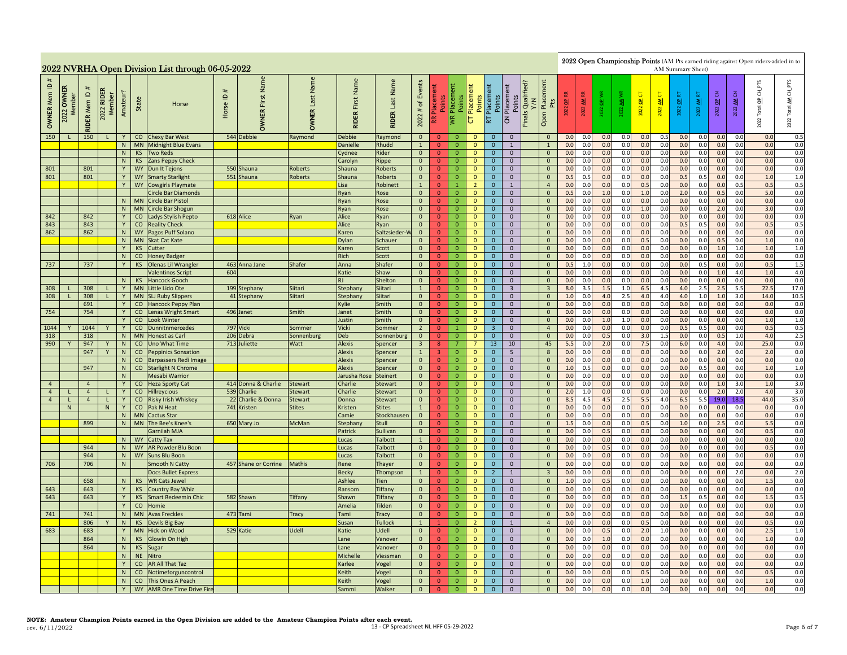|                                              |                           |                     |                                      |          |                        | 2022 NVRHA Open Division List through 06-05-2022  |               |                               |                              |                               |                           |                                          |                                  |                                   |                              |                                                                                                                                                                                                                                                                                                                                                                                                                                                                                   |                                           |  |                                           |            |            |            |            |            |            |            | AM Summary Sheet) |                 |            | 2022 Open Championship Points (AM Pts earned riding against Open riders-added in to |                |
|----------------------------------------------|---------------------------|---------------------|--------------------------------------|----------|------------------------|---------------------------------------------------|---------------|-------------------------------|------------------------------|-------------------------------|---------------------------|------------------------------------------|----------------------------------|-----------------------------------|------------------------------|-----------------------------------------------------------------------------------------------------------------------------------------------------------------------------------------------------------------------------------------------------------------------------------------------------------------------------------------------------------------------------------------------------------------------------------------------------------------------------------|-------------------------------------------|--|-------------------------------------------|------------|------------|------------|------------|------------|------------|------------|-------------------|-----------------|------------|-------------------------------------------------------------------------------------|----------------|
| $\mathbf{\underline{o}}$<br><b>OWNER Mem</b> | <b>OWNER</b><br>2022 OWNE | <b>RIDER Mem ID</b> | <b>RIDER</b><br>2022 RIDEI<br>Member | Amateur? | State                  | Horse                                             | #<br>Horse ID | Name<br>First<br><b>OWNER</b> | Name<br>Last<br><b>OWNER</b> | Name<br>First<br><b>RIDER</b> | Last Name<br><b>RIDER</b> | Events<br>$\mathfrak{b}$<br>$\#$<br>2022 | Points<br>Æ                      | Placement<br>Points<br><b>IVR</b> | Placement<br>Points<br>p     | ΡTS<br>Placement<br>Pts<br><b>Finals Qualified</b><br>Points<br>Placement<br>$\overline{0}$ CH<br>Placeme<br>2022 OP CT<br>$rac{OP}{2}$<br>5<br>툳<br>공<br>Points<br>2022 AM F<br>$\overline{5}$<br>ৰী<br>才<br>₹<br>$\frac{a}{b}$<br>2022 OP<br>াৱা<br><b>Total</b><br>2022<br>2022<br>2022<br>2022<br>2022<br>2022<br>Open<br>$\mathbf S$<br>너<br>2022<br>0.0<br>$\overline{0}$<br>0.0<br>0.0<br>0.0<br>0.0<br>0.0<br>0.5<br>0.0<br>0.0<br>0.0<br>0.0<br>$\mathbf{0}$<br>$\Omega$ |                                           |  |                                           |            |            |            |            |            |            |            |                   |                 |            | $\underline{\mathsf{AM}}$ CH_PTS<br>2022 Total                                      |                |
| 150                                          | $\mathbf{L}$              | 150                 | $\mathsf{L}$                         | Y        |                        | CO Chexy Bar West                                 |               | 544 Debbie                    | Raymond                      | <b>Debbie</b>                 | Raymond                   | $\overline{0}$                           | $\Omega$                         | $\Omega$                          | $\mathbf{0}$                 |                                                                                                                                                                                                                                                                                                                                                                                                                                                                                   |                                           |  |                                           |            |            |            |            |            |            |            |                   |                 |            |                                                                                     | 0.5            |
|                                              |                           |                     |                                      | N        |                        | MN Midnight Blue Evans                            |               |                               |                              | Danielle                      | Rhudd                     | $\mathbf{1}$                             | $\Omega$                         | $\mathbf{0}$                      | $\mathbf{0}$                 | $\mathbf{0}$                                                                                                                                                                                                                                                                                                                                                                                                                                                                      | $\mathbf{1}$                              |  | $\overline{1}$                            | 0.0        | 0.0        | 0.0        | 0.0        | 0.0        | 0.0        | 0.0        | 0.0               | 0.0             | 0.0        | 0.0                                                                                 | 0.0            |
|                                              |                           |                     |                                      | N<br>N   | KS<br>KS               | <b>Two Reds</b><br>Zans Peppy Check               |               |                               |                              | Cydnee<br>Carolyn             | Rider<br>Rippe            | $\overline{0}$<br>$\mathbf{0}$           | $\overline{0}$<br>$\overline{0}$ | $\overline{0}$<br>$\overline{0}$  | $\mathbf{0}$<br>$\mathbf{0}$ | $\mathbf{0}$<br>$\overline{0}$                                                                                                                                                                                                                                                                                                                                                                                                                                                    | $\mathbf 0$<br>$\mathbf{0}$               |  | $\overline{0}$<br>$\mathbf{0}$            | 0.0<br>0.0 | 0.0<br>0.0 | 0.0<br>0.0 | 0.0<br>0.0 | 0.0<br>0.0 | 0.0<br>0.0 | 0.0<br>0.0 | 0.0<br>0.0        | 0.0<br>0.0      | 0.0<br>0.0 | 0.0<br>0.0                                                                          | $0.0\,$<br>0.0 |
| 801                                          |                           | 801                 |                                      | Y        |                        | WY Dun It Tejons                                  |               | 550 Shauna                    | Roberts                      | Shauna                        | <b>Roberts</b>            | $\overline{0}$                           | $\overline{0}$                   | $\overline{0}$                    | $\mathbf{0}$                 | $\overline{0}$                                                                                                                                                                                                                                                                                                                                                                                                                                                                    | $\overline{0}$                            |  | $\mathbf{0}$                              | 0.0        | 0.0        | 0.0        | 0.0        | 0.0        | 0.0        | 0.0        | 0.0               | 0.0             | 0.0        | 0.0                                                                                 | 0.0            |
| 801                                          |                           | 801                 |                                      | Y        |                        | WY Smarty Starlight                               |               | 551 Shauna                    | Roberts                      | Shauna                        | <b>Roberts</b>            | $\mathbf{0}$                             | $\mathbf{0}$                     | $\overline{0}$                    | $\mathbf{0}$                 | $\overline{0}$                                                                                                                                                                                                                                                                                                                                                                                                                                                                    | $\overline{0}$                            |  | $\overline{0}$                            | 0.5        | 0.5        | 0.0        | 0.0        | 0.0        | 0.0        | 0.5        | 0.5               | 0.0             | 0.0        | 1.0                                                                                 | 1.0            |
|                                              |                           |                     |                                      | Y        |                        | WY Cowgirls Playmate                              |               |                               |                              | Lisa                          | Robinett                  | $\mathbf{1}$                             | $\Omega$                         | $\mathbf{1}$                      | $\overline{2}$               | $\overline{0}$                                                                                                                                                                                                                                                                                                                                                                                                                                                                    | $\mathbf{1}$                              |  | $\overline{4}$                            | 0.0        | 0.0        | 0.0        | 0.0        | 0.5        | 0.0        | 0.0        | 0.0               | 0.0             | 0.5        | 0.5                                                                                 | 0.5            |
|                                              |                           |                     |                                      |          |                        | Circle Bar Diamonds                               |               |                               |                              | Ryan                          | Rose                      | $\overline{0}$                           | $\Omega$                         | $\overline{0}$                    | $\mathbf{0}$                 | $\mathbf 0$                                                                                                                                                                                                                                                                                                                                                                                                                                                                       | $\mathbf 0$                               |  | $\mathbf 0$                               | 0.5        | 0.0        | 1.0        | 0.0        | $1.0$      | 0.0        | 2.0        | 0.0               | 0.5             | 0.0        | 5.0                                                                                 | $0.0\,$        |
|                                              |                           |                     |                                      |          | N MN                   | <b>Circle Bar Pistol</b>                          |               |                               |                              | Ryan                          | Rose                      | $\overline{0}$                           | $\overline{0}$                   | $\overline{0}$                    | $\mathbf{0}$                 | $\mathbf{0}$                                                                                                                                                                                                                                                                                                                                                                                                                                                                      | $\overline{0}$                            |  | $\mathbf{0}$                              | 0.0        | 0.0        | 0.0        | 0.0        | 0.0        | 0.0        | 0.0        | 0.0               | 0.0             | 0.0        | 0.0                                                                                 | 0.0            |
|                                              |                           |                     |                                      | N        | <b>MN</b>              | <b>Circle Bar Shogun</b>                          |               |                               |                              | Ryan                          | Rose                      | $\overline{0}$                           | $\mathbf{0}$                     | $\overline{0}$                    | $\mathbf{0}$                 | $\mathbf{0}$                                                                                                                                                                                                                                                                                                                                                                                                                                                                      | $\mathbf{0}$                              |  | $\mathbf{0}$                              | 0.0        | 0.0        | 0.0        | 0.0        | 1.0        | 0.0        | 0.0        | 0.0               | 2.0             | 0.0        | 3.0                                                                                 | 0.0            |
| 842<br>843                                   |                           | 842<br>843          |                                      | Y<br>Y   | CO                     | Ladys Stylish Pepto<br>CO Reality Check           |               | 618 Alice                     | Ryan                         | Alice<br>Alice                | Ryan                      | $\overline{0}$<br>$\overline{0}$         | $\overline{0}$<br>$\overline{0}$ | $\overline{0}$<br>$\overline{0}$  | $\mathbf{0}$<br>$\mathbf{0}$ | $\overline{0}$<br>$\overline{0}$                                                                                                                                                                                                                                                                                                                                                                                                                                                  | $\overline{0}$<br>$\overline{0}$          |  | $\overline{0}$<br>$\mathbf{0}$            | 0.0<br>0.0 | 0.0<br>0.0 | 0.0<br>0.0 | 0.0<br>0.0 | 0.0<br>0.0 | 0.0<br>0.0 | 0.0<br>0.5 | 0.0<br>0.5        | 0.0<br>0.0      | 0.0<br>0.0 | 0.0<br>0.5                                                                          | 0.0<br>0.5     |
| 862                                          |                           | 862                 |                                      |          |                        | N   WY   Pagos Puff Solano                        |               |                               |                              | Karen                         | Ryan<br>Saltzsieder-V     | $\overline{0}$                           | $\overline{0}$                   | $\overline{0}$                    | $\overline{0}$               | $\overline{0}$                                                                                                                                                                                                                                                                                                                                                                                                                                                                    | $\overline{0}$                            |  | $\overline{0}$                            | 0.0        | 0.0        | 0.0        | 0.0        | 0.0        | 0.0        | 0.0        | 0.0               | 0.0             | 0.0        | 0.0                                                                                 | 0.0            |
|                                              |                           |                     |                                      |          |                        | N   MN   Skat Cat Kate                            |               |                               |                              | Dylan                         | Schauer                   | $\overline{0}$                           | $\overline{0}$                   | $\overline{0}$                    | $\mathbf{0}$                 | $\overline{0}$                                                                                                                                                                                                                                                                                                                                                                                                                                                                    | $\overline{0}$                            |  | $\mathbf{0}$                              | 0.0        | 0.0        | 0.0        | 0.0        | 0.5        | 0.0        | 0.0        | 0.0               | 0.5             | 0.0        | 1.0                                                                                 | 0.0            |
|                                              |                           |                     |                                      | Y        | KS                     | Cutter                                            |               |                               |                              | Karen                         | Scott                     | $\overline{0}$                           | $\mathbf{0}$                     | $\overline{0}$                    | $\mathbf{0}$                 | $\mathbf{0}$                                                                                                                                                                                                                                                                                                                                                                                                                                                                      | $\overline{0}$                            |  | $\mathbf{0}$                              | 0.0        | 0.0        | 0.0        | 0.0        | 0.0        | 0.0        | 0.0        | 0.0               | 1.0             | 1.0        | 1.0                                                                                 | 1.0            |
|                                              |                           |                     |                                      | N        | CO                     | <b>Honey Badger</b>                               |               |                               |                              | Rich                          | Scott                     | $\overline{0}$                           | $\mathbf{0}$                     | $\overline{0}$                    | $\mathbf{0}$                 | $\overline{0}$                                                                                                                                                                                                                                                                                                                                                                                                                                                                    | $\overline{0}$                            |  | $\mathbf{0}$                              | 0.0        | 0.0        | 0.0        | 0.0        | 0.0        | 0.0        | 0.0        | 0.0               | 0.0             | 0.0        | 0.0                                                                                 | 0.0            |
| 737                                          |                           | 737                 |                                      |          | <b>KS</b>              | <b>Olenas Lil Wrangler</b>                        |               | 463 Anna Jane                 | Shafer                       | Anna                          | Shafer                    | $\overline{0}$                           | $\overline{0}$                   | $\overline{0}$                    | $\mathbf{0}$                 | $\mathbf{0}$                                                                                                                                                                                                                                                                                                                                                                                                                                                                      | $\mathbf 0$                               |  | $\mathbf{0}$                              | 0.5        | 1.0        | 0.0        | 0.0        | 0.0        | 0.0        | 0.0        | 0.5               | 0.0             | 0.0        | 0.5                                                                                 | $1.5\,$        |
|                                              |                           |                     |                                      |          |                        | <b>Valentinos Script</b>                          | 604           |                               |                              | Katie                         | Shaw                      | $\overline{0}$                           | $\overline{0}$                   | $\overline{0}$                    | $\overline{0}$               | $\mathbf{0}$                                                                                                                                                                                                                                                                                                                                                                                                                                                                      | $\overline{0}$                            |  | $\overline{0}$                            | 0.0        | 0.0        | 0.0        | 0.0        | 0.0        | 0.0        | 0.0        | 0.0               | 1.0             | 4.0        | 1.0                                                                                 | 4.0            |
|                                              |                           |                     |                                      | N        | KS                     | <b>Hancock Gooch</b>                              |               |                               |                              |                               | Shelton                   | $\overline{0}$                           | $\overline{0}$                   | $\overline{0}$                    | $\mathbf{0}$                 | $\mathbf{0}$                                                                                                                                                                                                                                                                                                                                                                                                                                                                      | $\mathbf{0}$                              |  | $\mathbf{0}$                              | 0.0        | 0.0        | 0.0        | 0.0        | 0.0        | 0.0        | 0.0        | 0.0               | 0.0             | 0.0        | 0.0                                                                                 | 0.0            |
| 308                                          |                           | 308<br>308          |                                      | Y<br>Y   | <b>MN</b><br><b>MN</b> | Little Lido Ote                                   |               | 199 Stephany                  | Siitari<br>Siitari           | Stephany                      | Siitari<br>Siitari        | $\mathbf{1}$<br>$\mathbf{0}$             | $\mathbf{0}$<br>$\overline{0}$   | $\overline{0}$<br>$\overline{0}$  | $\mathbf 0$<br>$\mathbf{0}$  | $\mathbf{0}$<br>$\overline{0}$                                                                                                                                                                                                                                                                                                                                                                                                                                                    | $\overline{\mathbf{3}}$<br>$\overline{0}$ |  | $\overline{\mathbf{3}}$<br>$\overline{0}$ | 8.0<br>1.0 | 3.5<br>0.0 | 1.5<br>4.0 | 1.0<br>2.5 | 6.5<br>4.0 | 4.5<br>4.0 | 4.0<br>4.0 | 2.5<br>1.0        | 2.5<br>1.0      | 5.5<br>3.0 | 22.5<br>14.0                                                                        | 17.0<br>10.5   |
| 308                                          |                           | 691                 |                                      | Y        | CO                     | <b>SLJ Ruby Slippers</b><br>Hancock Peppy Plan    |               | 41 Stephany                   |                              | Stephany<br>Kylie             | Smith                     | $\overline{0}$                           | $\overline{0}$                   | $\overline{0}$                    | $\mathbf{0}$                 | $\mathbf{0}$                                                                                                                                                                                                                                                                                                                                                                                                                                                                      | $\overline{0}$                            |  | $\mathbf{0}$                              | 0.0        | 0.0        | 0.0        | 0.0        | 0.0        | 0.0        | 0.0        | 0.0               | 0.0             | 0.0        | 0.0                                                                                 | 0.0            |
| 754                                          |                           | 754                 |                                      | Y.       | CO                     | Lenas Wright Smart                                |               | 496 Janet                     | Smith                        | Janet                         | Smith                     | $\overline{0}$                           | $\overline{0}$                   | $\mathbf 0$                       | $\mathbf 0$                  | $\mathbf 0$                                                                                                                                                                                                                                                                                                                                                                                                                                                                       | $\mathbf 0$                               |  | $\mathbf 0$                               | 0.0        | 0.0        | 0.0        | 0.0        | 0.0        | 0.0        | 0.0        | 0.0               | 0.0             | 0.0        | 0.0                                                                                 | 0.0            |
|                                              |                           |                     |                                      |          | CO                     | <b>Look Winter</b>                                |               |                               |                              | lustin                        | Smith                     | $\overline{0}$                           | $\overline{0}$                   | $\overline{0}$                    | $\mathbf{0}$                 | $\mathbf{0}$                                                                                                                                                                                                                                                                                                                                                                                                                                                                      | $\mathbf 0$                               |  | $\mathbf 0$                               | 0.0        | 0.0        | 1.0        | 1.0        | 0.0        | 0.0        | 0.0        | 0.0               | 0.0             | 0.0        | 1.0                                                                                 | 1.0            |
| 1044                                         |                           | 1044                |                                      | Y        | $\overline{c}$         | Dunnitnmercedes                                   |               | 797 Vicki                     | Sommer                       | Vicki                         | Sommer                    | $\overline{2}$                           | $\mathbf{0}$                     | $\overline{1}$                    | $\overline{0}$               | $\overline{3}$                                                                                                                                                                                                                                                                                                                                                                                                                                                                    | $\overline{0}$                            |  | $\overline{4}$                            | 0.0        | 0.0        | 0.0        | 0.0        | 0.0        | 0.0        | 0.5        | 0.5               | 0.0             | 0.0        | 0.5                                                                                 | 0.5            |
| 318                                          |                           | 318                 |                                      | N        | <b>MN</b>              | <b>Honest as Carl</b>                             |               | 206 Debra                     | Sonnenburg                   | Deb                           | Sonnenburg                | $\mathbf{0}$                             | $\overline{0}$                   | $\overline{0}$                    | $\mathbf{0}$                 | $\mathbf{0}$                                                                                                                                                                                                                                                                                                                                                                                                                                                                      | $\overline{0}$                            |  | $\mathbf{0}$                              | 0.0        | 0.0        | 0.5        | 0.0        | 3.0        | 1.5        | 0.0        | 0.0               | 0.5             | 1.0        | 4.0                                                                                 | 2.5            |
| 990                                          |                           | 947                 |                                      | N        | CO                     | <b>Uno What Time</b>                              |               | 713 Juliette                  | Watt                         | <b>Alexis</b>                 | Spencer                   | 3 <sup>2</sup>                           | 8                                | $\overline{7}$                    | $\overline{7}$               | 13                                                                                                                                                                                                                                                                                                                                                                                                                                                                                | 10                                        |  | 45                                        | 5.5        | 0.0        | 2.0        | 0.0        | 7.5        | 0.0        | 6.0        | 0.0               | 4.0             | 0.0        | 25.0                                                                                | 0.0            |
|                                              |                           | 947                 | $\mathbf{v}$                         | N<br>N   |                        | CO Peppinics Sonsation                            |               |                               |                              | Alexis<br><b>Alexis</b>       | Spencer                   | $\mathbf{1}$<br>$\mathbf{0}$             | $\overline{3}$<br>$\overline{0}$ | $\mathbf 0$<br>$\mathbf 0$        | $\mathbf 0$<br>$\mathbf 0$   | $\mathbf{0}$<br>$\mathbf{0}$                                                                                                                                                                                                                                                                                                                                                                                                                                                      | $5\overline{5}$<br>$\mathbf{0}$           |  | $\,$ 8<br>$\mathbf{0}$                    | 0.0<br>0.0 | 0.0<br>0.0 | 0.0<br>0.0 | 0.0<br>0.0 | 0.0<br>0.0 | 0.0<br>0.0 | 0.0<br>0.0 | 0.0<br>0.0        | 2.0<br>0.0      | 0.0<br>0.0 | 2.0<br>0.0                                                                          | 0.0<br>0.0     |
|                                              |                           | 947                 |                                      | N        |                        | CO Barpassers Redi Image<br>CO Starlight N Chrome |               |                               |                              | <b>Alexis</b>                 | Spencer<br>Spencer        | $\Omega$                                 | $\mathbf{0}$                     | $\overline{0}$                    | $\mathbf{0}$                 | $\mathbf{0}$                                                                                                                                                                                                                                                                                                                                                                                                                                                                      | $\overline{0}$                            |  | $\mathbf{0}$                              | 1.0        | 0.5        | 0.0        | 0.0        | 0.0        | 0.0        | 0.0        | 0.5               | 0.0             | 0.0        | 1.0                                                                                 | 1.0            |
|                                              |                           |                     |                                      | N        |                        | <b>Mesabi Warrior</b>                             |               |                               |                              | Jarusha Rose                  | <b>Steinert</b>           | $\mathbf{0}$                             | $\mathbf{0}$                     | $\mathbf{0}$                      | $\mathbf{0}$                 | $\mathbf{0}$                                                                                                                                                                                                                                                                                                                                                                                                                                                                      | $\mathbf{0}$                              |  | $\mathbf{0}$                              | 0.0        | 0.0        | 0.0        | 0.0        | 0.0        | 0.0        | 0.0        | 0.0               | 0.0             | 0.0        | 0.0                                                                                 | 0.0            |
| $\overline{4}$                               |                           | $\overline{4}$      |                                      |          |                        | CO Heza Sporty Cat                                |               | 414 Donna & Charlie           | Stewart                      | Charlie                       | <b>Stewart</b>            | $\overline{0}$                           | $\overline{0}$                   | $\overline{0}$                    | $\mathbf{0}$                 | $\mathbf{0}$                                                                                                                                                                                                                                                                                                                                                                                                                                                                      | $\mathbf{0}$                              |  | $\mathbf{0}$                              | 0.0        | 0.0        | 0.0        | 0.0        | 0.0        | 0.0        | 0.0        | 0.0               | 1.0             | 3.0        | 1.0                                                                                 | 3.0            |
| $\overline{4}$                               |                           | $\overline{4}$      |                                      | Y        |                        | CO Hillreycious                                   | 539           | Charlie                       | Stewart                      | Charlie                       | <b>Stewart</b>            | $\overline{0}$                           | $\overline{0}$                   | $\overline{0}$                    | $\mathbf{0}$                 | $\mathbf{0}$                                                                                                                                                                                                                                                                                                                                                                                                                                                                      | $\overline{0}$                            |  | $\mathbf{0}$                              | 2.0        | 1.0        | 0.0        | 0.0        | 0.0        | 0.0        | 0.0        | 0.0               | 2.0             | 2.0        | 4.0                                                                                 | 3.0            |
| $\overline{4}$                               | L.                        | $\overline{4}$      | т.                                   | Y        |                        | CO Risky Irish Whiskey                            | 22            | Charlie & Donna               | itewart                      | Donna                         | <b>Stewart</b>            | $\overline{0}$                           | $\mathbf{0}$                     | $\overline{0}$                    | $\mathbf{0}$                 | $\mathbf{0}$                                                                                                                                                                                                                                                                                                                                                                                                                                                                      | $\mathbf 0$                               |  | $\mathbf{0}$                              | 8.5        | 4.5        | 4.5        | 2.5        | 5.5        | 4.0        | 6.5        | 5.5               | 19.0            | 18.5       | 44.0                                                                                | 35.0           |
|                                              | ${\sf N}$                 |                     | N                                    | Y        |                        | CO Pak N Heat                                     |               | 741 Kristen                   | <b>Stites</b>                | Kristen                       | <b>Stites</b>             | $\mathbf{1}$                             | $\mathbf{0}$                     | $\overline{0}$                    | $\mathbf{0}$                 | $\mathbf{0}$                                                                                                                                                                                                                                                                                                                                                                                                                                                                      | $\overline{0}$                            |  | $\mathbf{0}$                              | 0.0        | 0.0        | 0.0        | 0.0        | 0.0        | 0.0        | 0.0        | 0.0               | 0.0             | 0.0        | 0.0                                                                                 | 0.0            |
|                                              |                           |                     |                                      | N        |                        | MN Cactus Star                                    |               |                               |                              | Camie                         | Stockhausen               | $\overline{0}$                           | $\Omega$                         | $\overline{0}$                    | $\mathbf{0}$                 | $\mathbf{0}$                                                                                                                                                                                                                                                                                                                                                                                                                                                                      | $\overline{0}$                            |  | $\mathbf{0}$                              | 0.0        | 0.0        | 0.0        | 0.0        | 0.0        | 0.0        | 0.0        | 0.0               | 0.0             | 0.0        | 0.0                                                                                 | 0.0            |
|                                              |                           | 899                 |                                      | N        | <b>MN</b>              | The Bee's Knee's<br>Garnilah MJA                  |               | 650 Mary Jo                   | McMan                        | Stephany<br>Patrick           | Stull                     | $\overline{0}$<br>$\overline{0}$         | $\overline{0}$<br>$\overline{0}$ | $\mathbf{0}$<br>$\mathbf{0}$      | $\mathbf{0}$<br>$\mathbf{0}$ | $\mathbf{0}$<br>$\mathbf{0}$                                                                                                                                                                                                                                                                                                                                                                                                                                                      | $\mathbf{0}$<br>$\mathbf{0}$              |  | $\mathbf{0}$<br>$\mathbf{0}$              | 1.5<br>0.0 | 0.0<br>0.0 | 0.0<br>0.5 | 0.0<br>0.0 | 0.5<br>0.0 | 0.0<br>0.0 | 1.0<br>0.0 | 0.0<br>0.0        | 2.5<br>0.0      | 0.0<br>0.0 | 5.5<br>0.5                                                                          | 0.0<br>0.0     |
|                                              |                           |                     |                                      | N        |                        | WY Catty Tax                                      |               |                               |                              | Lucas                         | Sullivan<br>Talbott       | $\mathbf{1}$                             | $\mathbf{0}$                     | $\mathbf{0}$                      | $\mathbf{0}$                 | $\mathbf{0}$                                                                                                                                                                                                                                                                                                                                                                                                                                                                      | $\mathbf{0}$                              |  | $\mathbf{0}$                              | 0.0        | 0.0        | 0.0        | 0.0        | 0.0        | 0.0        | 0.0        | 0.0               | 0.0             | 0.0        | 0.0                                                                                 | 0.0            |
|                                              |                           | 944                 |                                      | N        |                        | WY AR Powder Blu Boon                             |               |                               |                              | Lucas                         | Talbott                   | $\overline{0}$                           | $\mathbf{0}$                     | $\mathbf 0$                       | $\mathbf{0}$                 | $\overline{0}$                                                                                                                                                                                                                                                                                                                                                                                                                                                                    | $\overline{0}$                            |  | $\mathbf{0}$                              | 0.0        | 0.0        | 0.5        | 0.0        | 0.0        | 0.0        | 0.0        | 0.0               | 0.0             | 0.0        | 0.5                                                                                 | 0.0            |
|                                              |                           | 944                 |                                      | N        |                        | WY Suns Blu Boon                                  |               |                               |                              | Lucas                         | Talbott                   | $\overline{0}$                           | $\overline{0}$                   | $\overline{0}$                    | $\mathbf{0}$                 | $\overline{0}$                                                                                                                                                                                                                                                                                                                                                                                                                                                                    | $\overline{0}$                            |  | $\mathbf{0}$                              | 0.0        | 0.0        | 0.0        | 0.0        | 0.0        | 0.0        | 0.0        | 0.0               | 0.0             | 0.0        | 0.0                                                                                 | 0.0            |
| 706                                          |                           | 706                 |                                      | N        |                        | Smooth N Catty                                    |               | 457 Shane or Corrine          | Mathis                       | Rene                          | Thayer                    | $\overline{0}$                           | $\mathbf{0}$                     | $\overline{0}$                    | $\mathbf{0}$                 | $\mathbf{0}$                                                                                                                                                                                                                                                                                                                                                                                                                                                                      | $\overline{0}$                            |  | $\mathbf{0}$                              | 0.0        | 0.0        | 0.0        | 0.0        | 0.0        | 0.0        | 0.0        | 0.0               | 0.0             | 0.0        | 0.0                                                                                 | 0.0            |
|                                              |                           |                     |                                      |          |                        | Docs Bullet Express                               |               |                               |                              | <b>Becky</b>                  | Thompson                  | $\mathbf{1}$                             | $\mathbf{0}$                     | $\overline{0}$                    | $\mathbf 0$                  | $2^{\circ}$                                                                                                                                                                                                                                                                                                                                                                                                                                                                       | 1                                         |  | $\overline{\mathbf{3}}$                   | 0.0        | 0.0        | 0.0        | 0.0        | 0.0        | 0.0        | 0.0        | 0.0               | 0.0             | 2.0        | 0.0                                                                                 | 2.0            |
|                                              |                           | 658                 |                                      | N        | <b>KS</b>              | <b>WR Cats Jewel</b>                              |               |                               |                              | Ashlee                        | Tien                      | $\mathbf{0}$                             | $\overline{0}$                   | $\mathbf{0}$                      | $\mathbf{0}$                 | $\mathbf{0}$                                                                                                                                                                                                                                                                                                                                                                                                                                                                      | $\mathbf 0$                               |  | $\mathbf 0$                               | 1.0        | 0.0        | 0.5        | 0.0        | 0.0        | 0.0        | 0.0        | 0.0               | 0. <sub>C</sub> | 0.0        | 1.5                                                                                 | 0.0            |
| 643                                          |                           | 643                 |                                      |          | <b>KS</b>              | <b>Country Bay Whiz</b>                           |               |                               |                              | Ransom                        | Tiffany                   | $\mathbf{0}$                             | $\overline{0}$                   | $\mathbf{0}$                      | $\mathbf{0}$                 | $\mathbf{0}$                                                                                                                                                                                                                                                                                                                                                                                                                                                                      | $\mathbf 0$                               |  | $\mathbf 0$                               | 0.0        | 0.0        | 0.0        | 0.0        | 0.0        | 0.0        | 0.0        | 0.0               | 0.0             | 0.0        | 0.0                                                                                 | 0.0            |
| 643                                          |                           | 643                 |                                      | Y        | KS                     | <b>Smart Redeemin Chic</b>                        |               | 582 Shawn                     | <b>Tiffany</b>               | Shawn                         | Tiffany                   | $\overline{0}$                           | $\mathbf{0}$                     | $\overline{0}$                    | $\mathbf{0}$                 | $\mathbf{0}$                                                                                                                                                                                                                                                                                                                                                                                                                                                                      | $\overline{0}$                            |  | $\mathbf{0}$                              | 0.0        | 0.0        | 0.0        | 0.0        | 0.0        | 0.0        | 1.5        | 0.5               | 0.0             | 0.0        | 1.5                                                                                 | 0.5            |
|                                              |                           |                     |                                      | Y        | CO                     | Homie                                             |               |                               |                              | Amelia                        | Tilden                    | $\overline{0}$                           | $\overline{0}$                   | $\overline{0}$                    | $\mathbf{0}$                 | $\mathbf{0}$                                                                                                                                                                                                                                                                                                                                                                                                                                                                      | $\mathbf 0$                               |  | $\mathbf{0}$                              | 0.0        | 0.0        | 0.0        | 0.0        | 0.0        | 0.0        | 0.0        | 0.0               | 0.0             | 0.0        | 0.0                                                                                 | 0.0            |
| 741                                          |                           | 741                 |                                      | N        | <b>MN</b>              | <b>Avas Freckles</b>                              |               | 473 Tami                      | Tracy                        | Tami                          | Tracy                     | $\overline{0}$                           | $\overline{0}$                   | $\mathbf{0}$                      | $\mathbf{0}$                 | $\mathbf{0}$                                                                                                                                                                                                                                                                                                                                                                                                                                                                      | $\mathbf 0$                               |  | $\mathbf 0$                               | 0.0        | 0.0        | 0.0        | 0.0        | 0.0        | 0.0        | 0.0        | 0.0               | 0.0             | 0.0        | 0.0                                                                                 | 0.0            |
|                                              |                           | 806                 |                                      | N        | KS                     | Devils Big Bay                                    |               |                               |                              | Susan                         | <b>Tullock</b>            | $\mathbf{1}$                             | $\mathbf{1}$                     | $\overline{0}$                    | $\overline{2}$               | $\overline{0}$                                                                                                                                                                                                                                                                                                                                                                                                                                                                    | 1                                         |  | $\overline{4}$                            | 0.0        | 0.0        | 0.0        | 0.0        | 0.5        | 0.0        | 0.0        | 0.0               | 0.0             | 0.0        | 0.5                                                                                 | 0.0            |
| 683                                          |                           | 683                 |                                      | Y        | <b>MN</b>              | <b>Hick on Wood</b>                               |               | 529 Katie                     | <b>Udell</b>                 | Katie                         | Udell                     | $\overline{0}$                           | $\overline{0}$                   | $\overline{0}$                    | $\mathbf{0}$                 | $\mathbf{0}$                                                                                                                                                                                                                                                                                                                                                                                                                                                                      | $\overline{0}$                            |  | $\mathbf{0}$                              | 0.0        | 0.0        | 0.5        | 0.0        | 2.0        | 1.0        | 0.0        | 0.0               | 0.0             | 0.0        | 2.5                                                                                 | $1.0$          |
|                                              |                           | 864                 |                                      | N        | <b>KS</b>              | Glowin On High                                    |               |                               |                              | Lane                          | Vanover                   | $\mathbf{0}$                             | $\overline{0}$                   | $\mathbf{0}$                      | $\mathbf{0}$                 | $\mathbf{0}$                                                                                                                                                                                                                                                                                                                                                                                                                                                                      | $\mathbf 0$                               |  | $\mathbf 0$                               | 0.0        | 0.0        | 1.0        | 0.0        | 0.0        | 0.0        | 0.0        | 0.0               | 0.0             | 0.0        | 1.0                                                                                 | 0.0            |
|                                              |                           | 864                 |                                      | N        |                        | KS Sugar                                          |               |                               |                              | Lane                          | Vanover                   | $\mathbf{0}$                             | $\overline{0}$                   | $\mathbf{0}$                      | $\mathbf{0}$                 | $\mathbf{0}$                                                                                                                                                                                                                                                                                                                                                                                                                                                                      | $\mathbf{0}$                              |  | $\mathbf{0}$                              | 0.0        | 0.0        | 0.0        | 0.0        | 0.0        | 0.0        | 0.0        | 0.0               | 0.0             | 0.0        | 0.0                                                                                 | 0.0            |
|                                              |                           |                     |                                      | N        | NE Nitro               |                                                   |               |                               |                              | Michelle                      | Viessman                  | $\overline{0}$                           | $\mathbf{0}$                     | $\mathbf 0$                       | $\mathbf 0$                  | $\overline{0}$                                                                                                                                                                                                                                                                                                                                                                                                                                                                    | $\overline{0}$                            |  | $\mathbf{0}$                              | 0.0        | 0.0        | 0.0        | 0.0        | 0.0        | 0.0        | 0.0        | 0.0               | 0.0             | 0.0        | 0.0                                                                                 | 0.0            |
|                                              |                           |                     |                                      | Y<br>N   | CO                     | CO AR All That Taz<br>Notimeforguncontrol         |               |                               |                              | Karlee<br>Keith               | Vogel                     | $\overline{0}$<br>$\mathbf{0}$           | $\overline{0}$<br>$\mathbf{0}$   | $\overline{0}$<br>$\mathbf{0}$    | $\mathbf{0}$<br>$\mathbf{0}$ | $\mathbf{0}$<br>$\mathbf{0}$                                                                                                                                                                                                                                                                                                                                                                                                                                                      | $\mathbf 0$<br>$\mathbf{0}$               |  | $\mathbf{0}$<br>$\mathbf{0}$              | 0.0<br>0.0 | 0.0<br>0.0 | 0.0<br>0.0 | 0.0<br>0.0 | 0.0<br>0.5 | 0.0<br>0.0 | 0.0<br>0.0 | 0.0<br>0.0        | 0.0<br>0.0      | 0.0<br>0.0 | 0.0<br>0.5                                                                          | $0.0\,$<br>0.0 |
|                                              |                           |                     |                                      | N        |                        | CO This Ones A Peach                              |               |                               |                              | Keith                         | Vogel<br>Vogel            | $\overline{0}$                           | $\mathbf{0}$                     | $\mathbf 0$                       | $\mathbf 0$                  | $\mathbf 0$                                                                                                                                                                                                                                                                                                                                                                                                                                                                       | $\overline{0}$                            |  | $\mathbf 0$                               | 0.0        | 0.0        | 0.0        | 0.0        | 1.0        | 0.0        | 0.0        | 0.0               | 0.0             | 0.0        | 1.0                                                                                 | 0.0            |
|                                              |                           |                     |                                      | Y        |                        | WY AMR One Time Drive Fire                        |               |                               |                              | Sammi                         | Walker                    | $\overline{0}$                           | $\overline{0}$                   | $\overline{0}$                    | $\mathbf{0}$                 | $\mathbf{0}$                                                                                                                                                                                                                                                                                                                                                                                                                                                                      | $\mathbf 0$                               |  | $\mathbf{0}$                              | 0.0        | 0.0        | 0.0        | 0.0        | 0.0        | 0.0        | 0.0        | 0.0               | 0.0             | 0.0        | 0.0                                                                                 | 0.0            |
|                                              |                           |                     |                                      |          |                        |                                                   |               |                               |                              |                               |                           |                                          |                                  |                                   |                              |                                                                                                                                                                                                                                                                                                                                                                                                                                                                                   |                                           |  |                                           |            |            |            |            |            |            |            |                   |                 |            |                                                                                     |                |